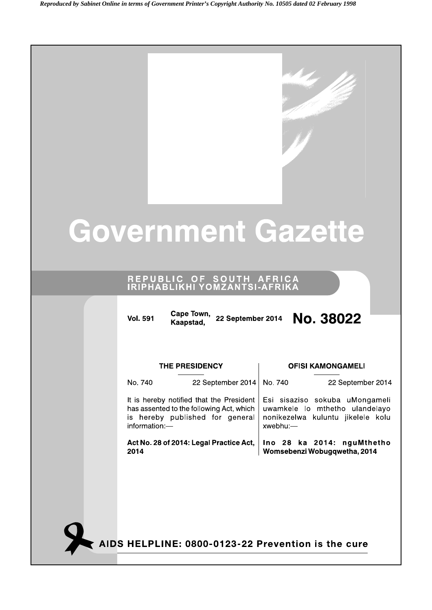# **Government Gazette**

# REPUBLIC OF SOUTH AFRICA<br>IRIPHABLIKHI YOMZANTSI-AFRIKA

| <b>THE PRESIDENCY</b><br>No. 740<br>22 September 2014<br>It is hereby notified that the President | No. 740     | <b>OFISI KAMONGAMELI</b>                                                                              |
|---------------------------------------------------------------------------------------------------|-------------|-------------------------------------------------------------------------------------------------------|
|                                                                                                   |             |                                                                                                       |
|                                                                                                   |             | 22 September 2014                                                                                     |
| has assented to the following Act, which<br>is hereby published for general<br>information:-      | $xwebhu$ :- | Esi sisaziso sokuba uMongameli<br>uwamkele Io mthetho ulandelayo<br>nonikezelwa kuluntu jikelele kolu |
| Act No. 28 of 2014: Legal Practice Act,<br>2014                                                   |             | Ino 28 ka 2014: nguMthetho<br>Womsebenzi Wobugqwetha, 2014                                            |

AIDS HELPLINE: 0800-0123-22 Prevention is the cure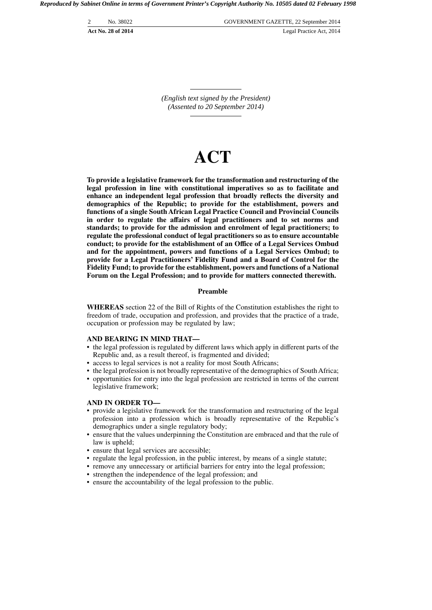2 No. 38022 GOVERNMENT GAZETTE, 22 September 2014 **Act No. 28 of 2014** Legal Practice Act, 2014

> *(English text signed by the President) (Assented to 20 September 2014)*

# **ACT**

**To provide a legislative framework for the transformation and restructuring of the legal profession in line with constitutional imperatives so as to facilitate and enhance an independent legal profession that broadly reflects the diversity and demographics of the Republic; to provide for the establishment, powers and functions of a single South African Legal Practice Council and Provincial Councils in order to regulate the affairs of legal practitioners and to set norms and standards; to provide for the admission and enrolment of legal practitioners; to regulate the professional conduct of legal practitioners so as to ensure accountable conduct; to provide for the establishment of an Office of a Legal Services Ombud and for the appointment, powers and functions of a Legal Services Ombud; to provide for a Legal Practitioners' Fidelity Fund and a Board of Control for the Fidelity Fund; to provide for the establishment, powers and functions of a National Forum on the Legal Profession; and to provide for matters connected therewith.**

# **Preamble**

**WHEREAS** section 22 of the Bill of Rights of the Constitution establishes the right to freedom of trade, occupation and profession, and provides that the practice of a trade, occupation or profession may be regulated by law;

#### **AND BEARING IN MIND THAT—**

- the legal profession is regulated by different laws which apply in different parts of the Republic and, as a result thereof, is fragmented and divided;
- access to legal services is not a reality for most South Africans;
- the legal profession is not broadly representative of the demographics of South Africa;
- opportunities for entry into the legal profession are restricted in terms of the current legislative framework;

# **AND IN ORDER TO—**

- provide a legislative framework for the transformation and restructuring of the legal profession into a profession which is broadly representative of the Republic's demographics under a single regulatory body;
- ensure that the values underpinning the Constitution are embraced and that the rule of law is upheld;
- ensure that legal services are accessible;
- regulate the legal profession, in the public interest, by means of a single statute;
- remove any unnecessary or artificial barriers for entry into the legal profession;
- strengthen the independence of the legal profession; and
- ensure the accountability of the legal profession to the public.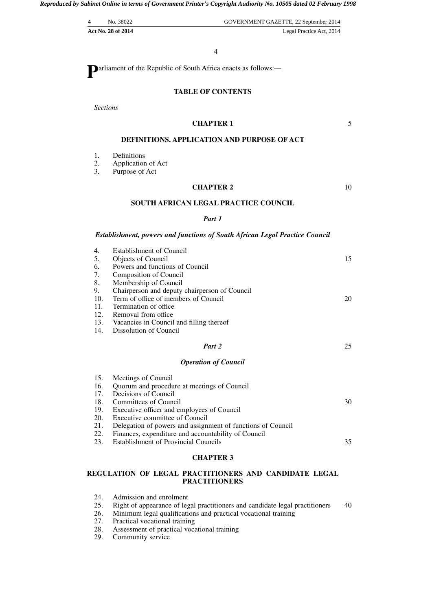| No. 38022                 | GOVERNMENT GAZETTE, 22 September 2014 |
|---------------------------|---------------------------------------|
| <b>Act No. 28 of 2014</b> | Legal Practice Act, 2014              |

4

**P**arliament of the Republic of South Africa enacts as follows:—

# **TABLE OF CONTENTS**

*Sections*

# **CHAPTER 1**

5

# **DEFINITIONS, APPLICATION AND PURPOSE OF ACT**

- 1. Definitions<br>2. Application
- 2. Application of Act<br>3. Purpose of Act
- Purpose of Act

# **CHAPTER 2**

10

35

# **SOUTH AFRICAN LEGAL PRACTICE COUNCIL**

# *Part 1*

#### *Establishment, powers and functions of South African Legal Practice Council*

| 4.  | <b>Establishment of Council</b>                                              |    |
|-----|------------------------------------------------------------------------------|----|
| 5.  | Objects of Council                                                           | 15 |
| 6.  | Powers and functions of Council                                              |    |
| 7.  | Composition of Council                                                       |    |
| 8.  | Membership of Council                                                        |    |
| 9.  | Chairperson and deputy chairperson of Council                                |    |
| 10. | Term of office of members of Council                                         | 20 |
| 11. | Termination of office.                                                       |    |
| 12. | Removal from office                                                          |    |
| 13. | Vacancies in Council and filling thereof                                     |    |
| 14. | Dissolution of Council                                                       |    |
|     |                                                                              |    |
|     | Part 2                                                                       | 25 |
|     |                                                                              |    |
|     | <b>Operation of Council</b>                                                  |    |
| 15. |                                                                              |    |
| 16. | Meetings of Council                                                          |    |
| 17. | Quorum and procedure at meetings of Council<br>Decisions of Council          |    |
| 18. | Committees of Council                                                        | 30 |
| 19. |                                                                              |    |
| 20. | Executive officer and employees of Council<br>Executive committee of Council |    |

22. Finances, expenditure and accountability of Council 23. Establishment of Provincial Councils

# **CHAPTER 3**

# **REGULATION OF LEGAL PRACTITIONERS AND CANDIDATE LEGAL PRACTITIONERS**

- 24. Admission and enrolment<br>25. Right of appearance of leg
- 25. Right of appearance of legal practitioners and candidate legal practitioners 26. Minimum legal qualifications and practical vocational training 40
- Minimum legal qualifications and practical vocational training
- 
- 27. Practical vocational training<br>28. Assessment of practical voca Assessment of practical vocational training
- 29. Community service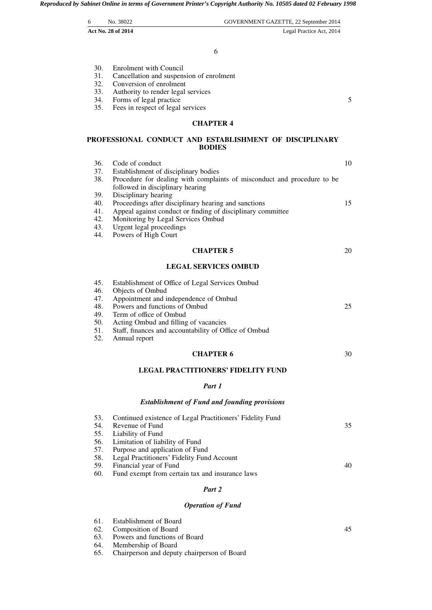| 6 | No. 38022          | GOVERNMENT GAZETTE, 22 September 2014 |
|---|--------------------|---------------------------------------|
|   | Act No. 28 of 2014 | Legal Practice Act, 2014              |

6

| 30. | Enrolment with Council |  |
|-----|------------------------|--|
|     |                        |  |

- 31. Cancellation and suspension of enrolment<br>32. Conversion of enrolment
- 32. Conversion of enrolment<br>33. Authority to render legal
- Authority to render legal services
- 34. Forms of legal practice
- 35. Fees in respect of legal services

# **CHAPTER 4**

5

# **PROFESSIONAL CONDUCT AND ESTABLISHMENT OF DISCIPLINARY BODIES**

| 36. | Code of conduct                                                         | 10 |
|-----|-------------------------------------------------------------------------|----|
| 37. | Establishment of disciplinary bodies                                    |    |
| 38. | Procedure for dealing with complaints of misconduct and procedure to be |    |
|     | followed in disciplinary hearing                                        |    |
| 39. | Disciplinary hearing                                                    |    |
| 40. | Proceedings after disciplinary hearing and sanctions                    | 15 |
| 41. | Appeal against conduct or finding of disciplinary committee             |    |
| 42. | Monitoring by Legal Services Ombud                                      |    |
| 43. | Urgent legal proceedings                                                |    |
| 44. | Powers of High Court                                                    |    |
|     | <b>CHAPTER 5</b>                                                        | 20 |
|     | <b>LEGAL SERVICES OMBUD</b>                                             |    |
| 45. | Establishment of Office of Legal Services Ombud                         |    |
| 46. | Objects of Ombud                                                        |    |
| 47. | Appointment and independence of Ombud                                   |    |
| 48. | Powers and functions of Ombud                                           | 25 |
| 49. | Term of office of Ombud                                                 |    |
| 50. | Acting Ombud and filling of vacancies                                   |    |
| 51. | Staff, finances and accountability of Office of Ombud                   |    |
| 52. | Annual report                                                           |    |
|     | <b>CHAPTER 6</b>                                                        | 30 |
|     | <b>LEGAL PRACTITIONERS' FIDELITY FUND</b>                               |    |
|     | Part 1                                                                  |    |
|     | <b>Establishment of Fund and founding provisions</b>                    |    |
| 53. | Continued existence of Legal Practitioners' Fidelity Fund               |    |
| 54. | Revenue of Fund                                                         | 35 |
| 55. | Liability of Fund                                                       |    |
| 56. | Limitation of liability of Fund                                         |    |
| 57. | Purpose and application of Fund                                         |    |
| 58. | Legal Practitioners' Fidelity Fund Account                              |    |
| 59. | Financial year of Fund                                                  | 40 |

- 59. Financial year of Fund
- 60. Fund exempt from certain tax and insurance laws

# *Part 2*

# *Operation of Fund*

| 61. Establishment of Board                                                                                                                                                                                                                                                                                                         |  |
|------------------------------------------------------------------------------------------------------------------------------------------------------------------------------------------------------------------------------------------------------------------------------------------------------------------------------------|--|
| 62. Composition of Board                                                                                                                                                                                                                                                                                                           |  |
| 63. Powers and functions of Board                                                                                                                                                                                                                                                                                                  |  |
| $\epsilon$ $\mathbf{M}$ $\mathbf{L}$ $\mathbf{L}$ $\mathbf{L}$ $\mathbf{L}$ $\mathbf{L}$ $\mathbf{L}$ $\mathbf{L}$ $\mathbf{L}$ $\mathbf{L}$ $\mathbf{L}$ $\mathbf{L}$ $\mathbf{L}$ $\mathbf{L}$ $\mathbf{L}$ $\mathbf{L}$ $\mathbf{L}$ $\mathbf{L}$ $\mathbf{L}$ $\mathbf{L}$ $\mathbf{L}$ $\mathbf{L}$ $\mathbf{L}$ $\mathbf{L}$ |  |

- 64. Membership of Board<br>65. Chairperson and deput
- 65. Chairperson and deputy chairperson of Board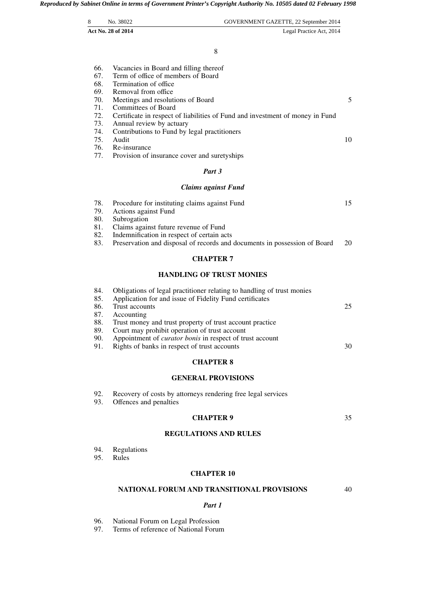|            |                                                                                                                                   | GOVERNMENT GAZETTE, 22 September 2014 |
|------------|-----------------------------------------------------------------------------------------------------------------------------------|---------------------------------------|
|            | Act No. 28 of 2014                                                                                                                | Legal Practice Act, 2014              |
|            | 8                                                                                                                                 |                                       |
| 66.        | Vacancies in Board and filling thereof                                                                                            |                                       |
| 67.        | Term of office of members of Board                                                                                                |                                       |
| 68.        | Termination of office                                                                                                             |                                       |
| 69.        | Removal from office                                                                                                               |                                       |
| 70.        | Meetings and resolutions of Board                                                                                                 |                                       |
| 71.        | <b>Committees of Board</b>                                                                                                        |                                       |
| 72.        | Certificate in respect of liabilities of Fund and investment of money in Fund                                                     |                                       |
| 73.        | Annual review by actuary                                                                                                          |                                       |
| 74.        | Contributions to Fund by legal practitioners                                                                                      |                                       |
| 75.        | Audit                                                                                                                             |                                       |
| 76.<br>77. | Re-insurance<br>Provision of insurance cover and suretyships                                                                      |                                       |
|            | Part 3                                                                                                                            |                                       |
|            | <b>Claims against Fund</b>                                                                                                        |                                       |
| 78.        | Procedure for instituting claims against Fund                                                                                     |                                       |
| 79.<br>80. | Actions against Fund<br>Subrogation                                                                                               |                                       |
| 81.        | Claims against future revenue of Fund                                                                                             |                                       |
| 82.        | Indemnification in respect of certain acts                                                                                        |                                       |
| 83.        | Preservation and disposal of records and documents in possession of Board                                                         |                                       |
|            | <b>CHAPTER 7</b>                                                                                                                  |                                       |
|            | <b>HANDLING OF TRUST MONIES</b>                                                                                                   |                                       |
| 84.<br>85. | Obligations of legal practitioner relating to handling of trust monies<br>Application for and issue of Fidelity Fund certificates |                                       |
| 86.        | Trust accounts                                                                                                                    |                                       |

| 86. Trust accounts                                                  |
|---------------------------------------------------------------------|
| 87. Accounting                                                      |
| 88. Trust money and trust property of trust account practice        |
| 89. Court may prohibit operation of trust account                   |
| 90. Appointment of <i>curator bonis</i> in respect of trust account |
| 91. Rights of banks in respect of trust accounts                    |

# **CHAPTER 8**

# **GENERAL PROVISIONS**

- 92. Recovery of costs by attorneys rendering free legal services
- 93. Offences and penalties

# **CHAPTER 9**

35

30

# **REGULATIONS AND RULES**

- 94. Regulations<br>95. Rules
- Rules

# **CHAPTER 10**

#### **NATIONAL FORUM AND TRANSITIONAL PROVISIONS** 40

# *Part 1*

# 96. National Forum on Legal Profession<br>97. Terms of reference of National Forum

Terms of reference of National Forum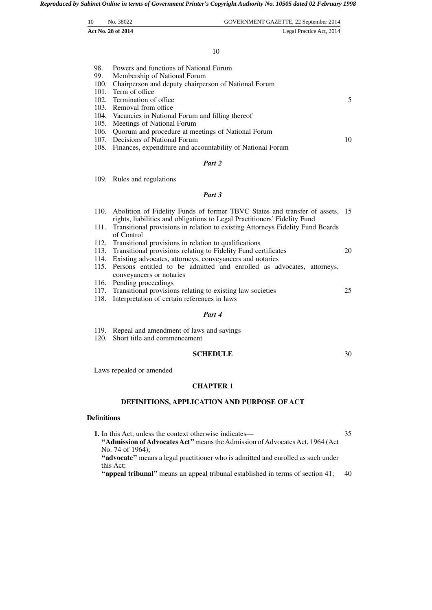| 10<br>No. 38022           | GOVERNMENT GAZETTE, 22 September 2014 |
|---------------------------|---------------------------------------|
| <b>Act No. 28 of 2014</b> | Legal Practice Act, 2014              |
|                           |                                       |

#### 10

| 98. . | Powers and functions of National Forum                    |    |
|-------|-----------------------------------------------------------|----|
|       | 99. Membership of National Forum                          |    |
|       | 100. Chairperson and deputy chairperson of National Forum |    |
|       | 101. Term of office                                       |    |
|       | 102. Termination of office                                | 5  |
|       | 103. Removal from office                                  |    |
|       | 104. Vacancies in National Forum and filling thereof      |    |
|       | 105. Meetings of National Forum                           |    |
|       | 106. Quorum and procedure at meetings of National Forum   |    |
|       | 107. Decisions of National Forum                          | 10 |
|       |                                                           |    |

30

108. Finances, expenditure and accountability of National Forum

# *Part 2*

109. Rules and regulations

# *Part 3*

- 110. Abolition of Fidelity Funds of former TBVC States and transfer of assets, 15 rights, liabilities and obligations to Legal Practitioners' Fidelity Fund
- 111. Transitional provisions in relation to existing Attorneys Fidelity Fund Boards of Control
- 112. Transitional provisions in relation to qualifications
- 113. Transitional provisions relating to Fidelity Fund certificates 20
- 114. Existing advocates, attorneys, conveyancers and notaries
- 115. Persons entitled to be admitted and enrolled as advocates, attorneys, conveyancers or notaries
- 116. Pending proceedings
- 117. Transitional provisions relating to existing law societies 25
- 118. Interpretation of certain references in laws

#### *Part 4*

- 119. Repeal and amendment of laws and savings
- 120. Short title and commencement

# **SCHEDULE**

Laws repealed or amended

#### **CHAPTER 1**

# **DEFINITIONS, APPLICATION AND PURPOSE OF ACT**

#### **Definitions**

**1.** In this Act, unless the context otherwise indicates— **''Admission of Advocates Act''**means the Admission of Advocates Act, 1964 (Act No. 74 of 1964); **''advocate''** means a legal practitioner who is admitted and enrolled as such under this Act; 35

**''appeal tribunal''** means an appeal tribunal established in terms of section 41; 40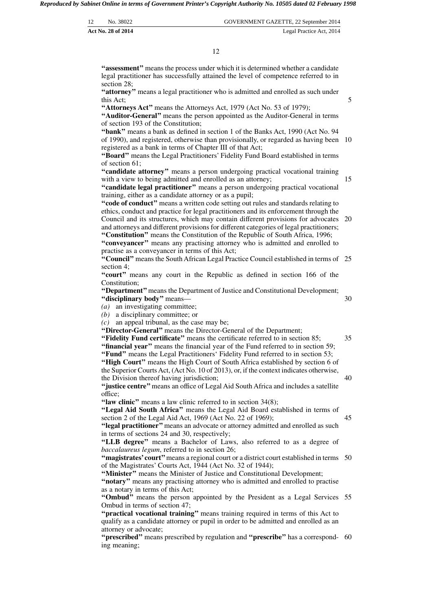| 12                 | No. 38022 | GOVERNMENT GAZETTE, 22 September 2014 |
|--------------------|-----------|---------------------------------------|
| Act No. 28 of 2014 |           | Legal Practice Act, 2014              |

**''assessment''** means the process under which it is determined whether a candidate legal practitioner has successfully attained the level of competence referred to in section 28;

**''attorney''** means a legal practitioner who is admitted and enrolled as such under this Act;

**''Attorneys Act''** means the Attorneys Act, 1979 (Act No. 53 of 1979);

**''Auditor-General''** means the person appointed as the Auditor-General in terms of section 193 of the Constitution;

**''bank''** means a bank as defined in section 1 of the Banks Act, 1990 (Act No. 94 of 1990), and registered, otherwise than provisionally, or regarded as having been 10 registered as a bank in terms of Chapter III of that Act;

**''Board''** means the Legal Practitioners' Fidelity Fund Board established in terms of section 61;

**''candidate attorney''** means a person undergoing practical vocational training with a view to being admitted and enrolled as an attorney;

**''candidate legal practitioner''** means a person undergoing practical vocational training, either as a candidate attorney or as a pupil;

**''code of conduct''** means a written code setting out rules and standards relating to ethics, conduct and practice for legal practitioners and its enforcement through the Council and its structures, which may contain different provisions for advocates 20 and attorneys and different provisions for different categories of legal practitioners;

**''Constitution''** means the Constitution of the Republic of South Africa, 1996; **''conveyancer''** means any practising attorney who is admitted and enrolled to practise as a conveyancer in terms of this Act;

"Council" means the South African Legal Practice Council established in terms of 25 section 4;

**''court''** means any court in the Republic as defined in section 166 of the Constitution;

**''Department''**means the Department of Justice and Constitutional Development; **''disciplinary body''** means—

*(a)* an investigating committee;

*(b)* a disciplinary committee; or

*(c)* an appeal tribunal, as the case may be;

**''Director-General''** means the Director-General of the Department;

**''Fidelity Fund certificate''** means the certificate referred to in section 85; **''financial year''** means the financial year of the Fund referred to in section 59; **''Fund''** means the Legal Practitioners' Fidelity Fund referred to in section 53;

"High Court" means the High Court of South Africa established by section 6 of the Superior Courts Act, (Act No. 10 of 2013), or, if the context indicates otherwise, the Division thereof having jurisdiction;

**''justice centre''**means an office of Legal Aid South Africa and includes a satellite office;

"law clinic" means a law clinic referred to in section 34(8);

**''Legal Aid South Africa''** means the Legal Aid Board established in terms of section 2 of the Legal Aid Act, 1969 (Act No. 22 of 1969); 45

**''legal practitioner''**means an advocate or attorney admitted and enrolled as such in terms of sections 24 and 30, respectively;

**''LLB degree''** means a Bachelor of Laws, also referred to as a degree of *baccalaureus legum*, referred to in section 26;

"magistrates' court" means a regional court or a district court established in terms 50 of the Magistrates' Courts Act, 1944 (Act No. 32 of 1944);

**''Minister''** means the Minister of Justice and Constitutional Development;

**''notary''** means any practising attorney who is admitted and enrolled to practise as a notary in terms of this Act;

"Ombud" means the person appointed by the President as a Legal Services 55 Ombud in terms of section 47;

**''practical vocational training''** means training required in terms of this Act to qualify as a candidate attorney or pupil in order to be admitted and enrolled as an attorney or advocate;

"**prescribed**" means prescribed by regulation and "**prescribe**" has a correspond- 60 ing meaning;

40

35

30

5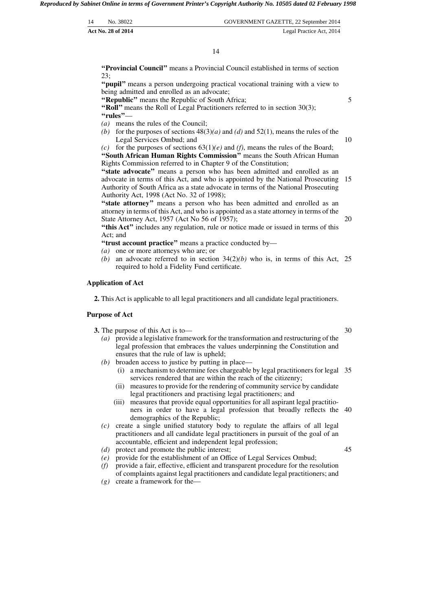| 14 | No. 38022                 | GOVERNMENT GAZETTE, 22 September 2014 |
|----|---------------------------|---------------------------------------|
|    | <b>Act No. 28 of 2014</b> | Legal Practice Act, 2014              |

**''Provincial Council''** means a Provincial Council established in terms of section 23;

**''pupil''** means a person undergoing practical vocational training with a view to being admitted and enrolled as an advocate;

**''Republic''** means the Republic of South Africa;

**''Roll''** means the Roll of Legal Practitioners referred to in section 30(3); **''rules''**—

- *(a)* means the rules of the Council;
- *(b)* for the purposes of sections  $48(3)(a)$  and  $(d)$  and  $52(1)$ , means the rules of the Legal Services Ombud; and 10

*(c)* for the purposes of sections 63(1)*(e)* and *(f)*, means the rules of the Board; **''South African Human Rights Commission''** means the South African Human Rights Commission referred to in Chapter 9 of the Constitution;

"state advocate" means a person who has been admitted and enrolled as an advocate in terms of this Act, and who is appointed by the National Prosecuting 15 Authority of South Africa as a state advocate in terms of the National Prosecuting Authority Act, 1998 (Act No. 32 of 1998);

"state attorney" means a person who has been admitted and enrolled as an attorney in terms of this Act, and who is appointed as a state attorney in terms of the State Attorney Act, 1957 (Act No 56 of 1957);

"this Act" includes any regulation, rule or notice made or issued in terms of this Act; and

**''trust account practice''** means a practice conducted by—

- *(a)* one or more attorneys who are; or
- (b) an advocate referred to in section  $34(2)(b)$  who is, in terms of this Act, 25 required to hold a Fidelity Fund certificate.

#### **Application of Act**

**2.** This Act is applicable to all legal practitioners and all candidate legal practitioners.

#### **Purpose of Act**

**3.** The purpose of this Act is to—

- *(a)* provide a legislative framework for the transformation and restructuring of the legal profession that embraces the values underpinning the Constitution and ensures that the rule of law is upheld;
- *(b)* broaden access to justice by putting in place—
	- (i) a mechanism to determine fees chargeable by legal practitioners for legal 35 services rendered that are within the reach of the citizenry;
	- (ii) measures to provide for the rendering of community service by candidate legal practitioners and practising legal practitioners; and
	- (iii) measures that provide equal opportunities for all aspirant legal practitioners in order to have a legal profession that broadly reflects the 40 demographics of the Republic;
- *(c)* create a single unified statutory body to regulate the affairs of all legal practitioners and all candidate legal practitioners in pursuit of the goal of an accountable, efficient and independent legal profession;
- *(d)* protect and promote the public interest;
- *(e)* provide for the establishment of an Office of Legal Services Ombud;
- *(f)* provide a fair, effective, efficient and transparent procedure for the resolution of complaints against legal practitioners and candidate legal practitioners; and
- *(g)* create a framework for the—

30

45

20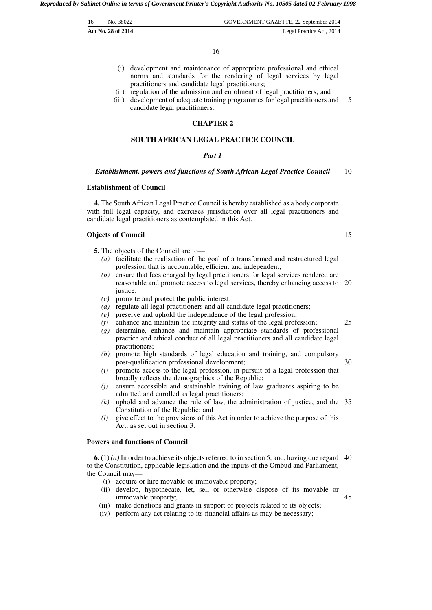| 16 | No. 38022          | GOVERNMENT GAZETTE, 22 September 2014 |
|----|--------------------|---------------------------------------|
|    | Act No. 28 of 2014 | Legal Practice Act, 2014              |

16

- (i) development and maintenance of appropriate professional and ethical norms and standards for the rendering of legal services by legal practitioners and candidate legal practitioners;
- (ii) regulation of the admission and enrolment of legal practitioners; and
- (iii) development of adequate training programmes for legal practitioners and candidate legal practitioners. 5

# **CHAPTER 2**

# **SOUTH AFRICAN LEGAL PRACTICE COUNCIL**

#### *Part 1*

#### *Establishment, powers and functions of South African Legal Practice Council* 10

# **Establishment of Council**

**4.** The South African Legal Practice Council is hereby established as a body corporate with full legal capacity, and exercises jurisdiction over all legal practitioners and candidate legal practitioners as contemplated in this Act.

# **Objects of Council**

- **5.** The objects of the Council are to—
	- *(a)* facilitate the realisation of the goal of a transformed and restructured legal profession that is accountable, efficient and independent;
	- *(b)* ensure that fees charged by legal practitioners for legal services rendered are reasonable and promote access to legal services, thereby enhancing access to 20 iustice:
	- *(c)* promote and protect the public interest;
	- *(d)* regulate all legal practitioners and all candidate legal practitioners;
	- *(e)* preserve and uphold the independence of the legal profession;
	- *(f)* enhance and maintain the integrity and status of the legal profession;
	- *(g)* determine, enhance and maintain appropriate standards of professional practice and ethical conduct of all legal practitioners and all candidate legal practitioners;
	- *(h)* promote high standards of legal education and training, and compulsory post-qualification professional development;
	- *(i)* promote access to the legal profession, in pursuit of a legal profession that broadly reflects the demographics of the Republic;
	- *(j)* ensure accessible and sustainable training of law graduates aspiring to be admitted and enrolled as legal practitioners;
	- *(k)* uphold and advance the rule of law, the administration of justice, and the 35 Constitution of the Republic; and
	- *(l)* give effect to the provisions of this Act in order to achieve the purpose of this Act, as set out in section 3.

## **Powers and functions of Council**

 $6. (1) (a)$  In order to achieve its objects referred to in section 5, and, having due regard 40 to the Constitution, applicable legislation and the inputs of the Ombud and Parliament, the Council may—

- (i) acquire or hire movable or immovable property;
- (ii) develop, hypothecate, let, sell or otherwise dispose of its movable or immovable property;
- (iii) make donations and grants in support of projects related to its objects;
- (iv) perform any act relating to its financial affairs as may be necessary;

15

25

30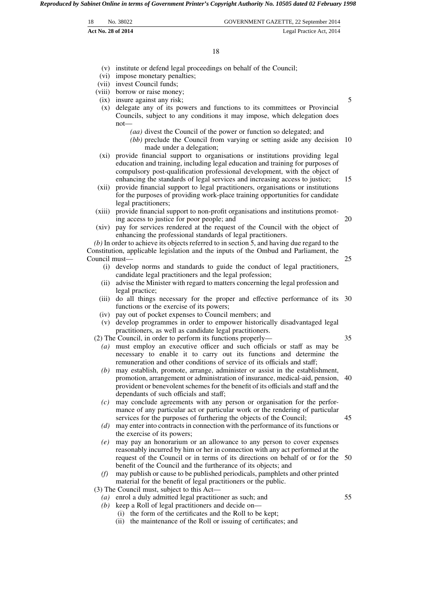| 18 | No. 38022          | GOVERNMENT GAZETTE, 22 September 2014 |
|----|--------------------|---------------------------------------|
|    | Act No. 28 of 2014 | Legal Practice Act, 2014              |

18

- (v) institute or defend legal proceedings on behalf of the Council;
- (vi) impose monetary penalties;
- (vii) invest Council funds;
- (viii) borrow or raise money;
- (ix) insure against any risk;
- (x) delegate any of its powers and functions to its committees or Provincial Councils, subject to any conditions it may impose, which delegation does not—
	- *(aa)* divest the Council of the power or function so delegated; and
	- *(bb)* preclude the Council from varying or setting aside any decision 10 made under a delegation;
- (xi) provide financial support to organisations or institutions providing legal education and training, including legal education and training for purposes of compulsory post-qualification professional development, with the object of enhancing the standards of legal services and increasing access to justice;
- (xii) provide financial support to legal practitioners, organisations or institutions for the purposes of providing work-place training opportunities for candidate legal practitioners;
- (xiii) provide financial support to non-profit organisations and institutions promoting access to justice for poor people; and
- (xiv) pay for services rendered at the request of the Council with the object of enhancing the professional standards of legal practitioners.

*(b)* In order to achieve its objects referred to in section 5, and having due regard to the Constitution, applicable legislation and the inputs of the Ombud and Parliament, the Council must—

- (i) develop norms and standards to guide the conduct of legal practitioners, candidate legal practitioners and the legal profession;
- (ii) advise the Minister with regard to matters concerning the legal profession and legal practice;
- (iii) do all things necessary for the proper and effective performance of its 30 functions or the exercise of its powers;
- (iv) pay out of pocket expenses to Council members; and
- (v) develop programmes in order to empower historically disadvantaged legal practitioners, as well as candidate legal practitioners.

(2) The Council, in order to perform its functions properly—

35

55

- *(a)* must employ an executive officer and such officials or staff as may be necessary to enable it to carry out its functions and determine the remuneration and other conditions of service of its officials and staff; *(b)* may establish, promote, arrange, administer or assist in the establishment,
- promotion, arrangement or administration of insurance, medical-aid, pension, 40 provident or benevolent schemes for the benefit of its officials and staff and the dependants of such officials and staff;
- *(c)* may conclude agreements with any person or organisation for the performance of any particular act or particular work or the rendering of particular services for the purposes of furthering the objects of the Council; 45
- *(d)* may enter into contracts in connection with the performance of its functions or the exercise of its powers;
- *(e)* may pay an honorarium or an allowance to any person to cover expenses reasonably incurred by him or her in connection with any act performed at the request of the Council or in terms of its directions on behalf of or for the 50 benefit of the Council and the furtherance of its objects; and
- *(f)* may publish or cause to be published periodicals, pamphlets and other printed material for the benefit of legal practitioners or the public.

(3) The Council must, subject to this Act—

- *(a)* enrol a duly admitted legal practitioner as such; and
- *(b)* keep a Roll of legal practitioners and decide on—
	- (i) the form of the certificates and the Roll to be kept;
	- (ii) the maintenance of the Roll or issuing of certificates; and

5

15

20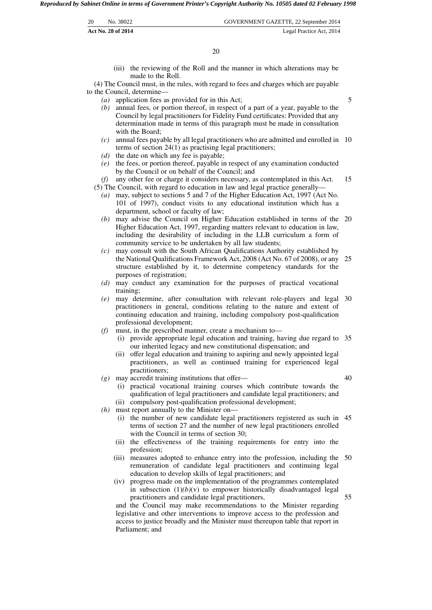| 20 | No. 38022          | GOVERNMENT GAZETTE, 22 September 2014 |
|----|--------------------|---------------------------------------|
|    | Act No. 28 of 2014 | Legal Practice Act, 2014              |

(iii) the reviewing of the Roll and the manner in which alterations may be made to the Roll.

(4) The Council must, in the rules, with regard to fees and charges which are payable to the Council, determine—

- *(a)* application fees as provided for in this Act;
- *(b)* annual fees, or portion thereof, in respect of a part of a year, payable to the Council by legal practitioners for Fidelity Fund certificates: Provided that any determination made in terms of this paragraph must be made in consultation with the Board;
- *(c)* annual fees payable by all legal practitioners who are admitted and enrolled in 10 terms of section 24(1) as practising legal practitioners;
- *(d)* the date on which any fee is payable;
- *(e)* the fees, or portion thereof, payable in respect of any examination conducted by the Council or on behalf of the Council; and

*(f)* any other fee or charge it considers necessary, as contemplated in this Act. (5) The Council, with regard to education in law and legal practice generally— 15

- *(a)* may, subject to sections 5 and 7 of the Higher Education Act, 1997 (Act No. 101 of 1997), conduct visits to any educational institution which has a department, school or faculty of law;
- *(b)* may advise the Council on Higher Education established in terms of the 20 Higher Education Act, 1997, regarding matters relevant to education in law, including the desirability of including in the LLB curriculum a form of community service to be undertaken by all law students;
- *(c)* may consult with the South African Qualifications Authority established by the National Qualifications Framework Act, 2008 (Act No. 67 of 2008), or any 25 structure established by it, to determine competency standards for the purposes of registration;
- *(d)* may conduct any examination for the purposes of practical vocational training;
- *(e)* may determine, after consultation with relevant role-players and legal 30 practitioners in general, conditions relating to the nature and extent of continuing education and training, including compulsory post-qualification professional development;
- *(f)* must, in the prescribed manner, create a mechanism to—
	- (i) provide appropriate legal education and training, having due regard to 35 our inherited legacy and new constitutional dispensation; and
	- (ii) offer legal education and training to aspiring and newly appointed legal practitioners, as well as continued training for experienced legal practitioners;
- *(g)* may accredit training institutions that offer—
	- (i) practical vocational training courses which contribute towards the qualification of legal practitioners and candidate legal practitioners; and (ii) compulsory post-qualification professional development;
- *(h)* must report annually to the Minister on—
	- (i) the number of new candidate legal practitioners registered as such in 45 terms of section 27 and the number of new legal practitioners enrolled with the Council in terms of section 30;
	- (ii) the effectiveness of the training requirements for entry into the profession;
	- (iii) measures adopted to enhance entry into the profession, including the 50 remuneration of candidate legal practitioners and continuing legal education to develop skills of legal practitioners; and
	- (iv) progress made on the implementation of the programmes contemplated in subsection  $(1)(b)(v)$  to empower historically disadvantaged legal practitioners and candidate legal practitioners,

and the Council may make recommendations to the Minister regarding legislative and other interventions to improve access to the profession and access to justice broadly and the Minister must thereupon table that report in Parliament; and

5

40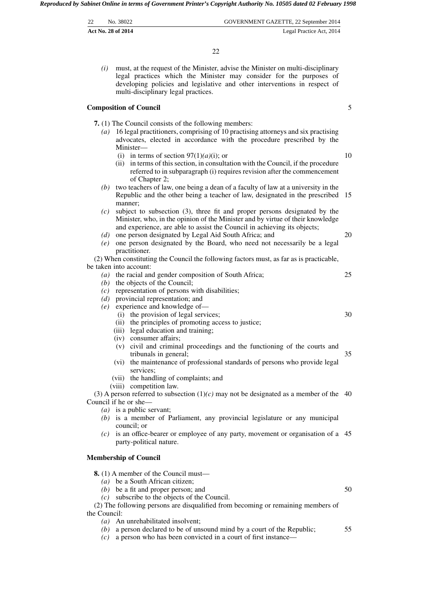| 22 | No. 38022                 | GOVERNMENT GAZETTE, 22 September 2014 |
|----|---------------------------|---------------------------------------|
|    | <b>Act No. 28 of 2014</b> | Legal Practice Act, 2014              |

22

*(i)* must, at the request of the Minister, advise the Minister on multi-disciplinary legal practices which the Minister may consider for the purposes of developing policies and legislative and other interventions in respect of multi-disciplinary legal practices.

#### **Composition of Council**

**7.** (1) The Council consists of the following members:

- *(a)* 16 legal practitioners, comprising of 10 practising attorneys and six practising advocates, elected in accordance with the procedure prescribed by the Minister—
	- (i) in terms of section  $97(1)(a)(i)$ ; or
	- (ii) in terms of this section, in consultation with the Council, if the procedure referred to in subparagraph (i) requires revision after the commencement of Chapter 2;
- *(b)* two teachers of law, one being a dean of a faculty of law at a university in the Republic and the other being a teacher of law, designated in the prescribed 15 manner;
- *(c)* subject to subsection (3), three fit and proper persons designated by the Minister, who, in the opinion of the Minister and by virtue of their knowledge and experience, are able to assist the Council in achieving its objects;
- *(d)* one person designated by Legal Aid South Africa; and
- *(e)* one person designated by the Board, who need not necessarily be a legal practitioner.

(2) When constituting the Council the following factors must, as far as is practicable, be taken into account:

- *(a)* the racial and gender composition of South Africa;
- *(b)* the objects of the Council;
- *(c)* representation of persons with disabilities;
- *(d)* provincial representation; and
- *(e)* experience and knowledge of—
	- (i) the provision of legal services;
	- (ii) the principles of promoting access to justice;
	- (iii) legal education and training;
	- (iv) consumer affairs;
	- (v) civil and criminal proceedings and the functioning of the courts and tribunals in general; 35
	- (vi) the maintenance of professional standards of persons who provide legal services;
	- (vii) the handling of complaints; and
	- (viii) competition law.

(3) A person referred to subsection  $(1)(c)$  may not be designated as a member of the 40 Council if he or she—

- *(a)* is a public servant;
- *(b)* is a member of Parliament, any provincial legislature or any municipal council; or
- *(c)* is an office-bearer or employee of any party, movement or organisation of a 45 party-political nature.

# **Membership of Council**

- **8.** (1) A member of the Council must—
	- *(a)* be a South African citizen;
	- *(b)* be a fit and proper person; and
	- *(c)* subscribe to the objects of the Council.

(2) The following persons are disqualified from becoming or remaining members of the Council:

- *(a)* An unrehabilitated insolvent;
- *(b)* a person declared to be of unsound mind by a court of the Republic;
- *(c)* a person who has been convicted in a court of first instance—
- 55

50

5

10

20

25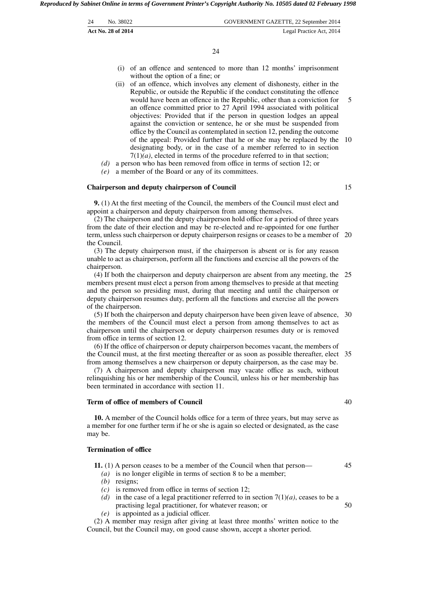| 24 | No. 38022          | GOVERNMENT GAZETTE, 22 September 2014 |
|----|--------------------|---------------------------------------|
|    | Act No. 28 of 2014 | Legal Practice Act, 2014              |

- (i) of an offence and sentenced to more than 12 months' imprisonment without the option of a fine; or
- (ii) of an offence, which involves any element of dishonesty, either in the Republic, or outside the Republic if the conduct constituting the offence would have been an offence in the Republic, other than a conviction for an offence committed prior to 27 April 1994 associated with political objectives: Provided that if the person in question lodges an appeal against the conviction or sentence, he or she must be suspended from office by the Council as contemplated in section 12, pending the outcome of the appeal: Provided further that he or she may be replaced by the 10 designating body, or in the case of a member referred to in section  $7(1)(a)$ , elected in terms of the procedure referred to in that section; 5
- *(d)* a person who has been removed from office in terms of section 12; or
- *(e)* a member of the Board or any of its committees.

#### **Chairperson and deputy chairperson of Council**

**9.** (1) At the first meeting of the Council, the members of the Council must elect and appoint a chairperson and deputy chairperson from among themselves.

(2) The chairperson and the deputy chairperson hold office for a period of three years from the date of their election and may be re-elected and re-appointed for one further term, unless such chairperson or deputy chairperson resigns or ceases to be a member of 20 the Council.

(3) The deputy chairperson must, if the chairperson is absent or is for any reason unable to act as chairperson, perform all the functions and exercise all the powers of the chairperson.

(4) If both the chairperson and deputy chairperson are absent from any meeting, the 25 members present must elect a person from among themselves to preside at that meeting and the person so presiding must, during that meeting and until the chairperson or deputy chairperson resumes duty, perform all the functions and exercise all the powers of the chairperson.

(5) If both the chairperson and deputy chairperson have been given leave of absence, 30 the members of the Council must elect a person from among themselves to act as chairperson until the chairperson or deputy chairperson resumes duty or is removed from office in terms of section 12.

(6) If the office of chairperson or deputy chairperson becomes vacant, the members of the Council must, at the first meeting thereafter or as soon as possible thereafter, elect 35 from among themselves a new chairperson or deputy chairperson, as the case may be.

(7) A chairperson and deputy chairperson may vacate office as such, without relinquishing his or her membership of the Council, unless his or her membership has been terminated in accordance with section 11.

#### **Term of office of members of Council**

**10.** A member of the Council holds office for a term of three years, but may serve as a member for one further term if he or she is again so elected or designated, as the case may be.

#### **Termination of office**

| 11. $(1)$ A person ceases to be a member of the Council when that person— |  |
|---------------------------------------------------------------------------|--|
|---------------------------------------------------------------------------|--|

- *(a)* is no longer eligible in terms of section 8 to be a member;
- *(b)* resigns;
- *(c)* is removed from office in terms of section 12;
- *(d)* in the case of a legal practitioner referred to in section  $7(1)(a)$ , ceases to be a practising legal practitioner, for whatever reason; or 50
- *(e)* is appointed as a judicial officer.

(2) A member may resign after giving at least three months' written notice to the Council, but the Council may, on good cause shown, accept a shorter period.

15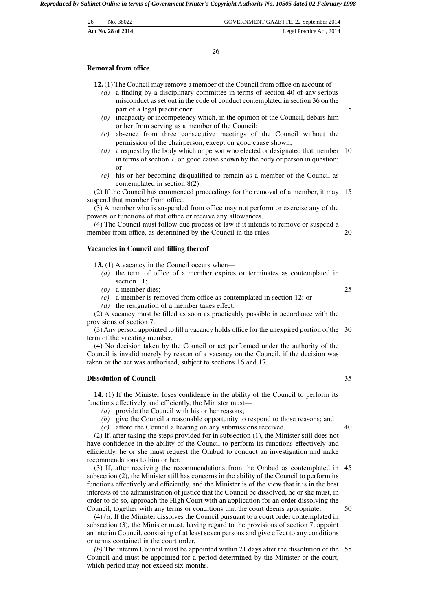| 26 | No. 38022                 | GOVERNMENT GAZETTE, 22 September 2014 |
|----|---------------------------|---------------------------------------|
|    | <b>Act No. 28 of 2014</b> | Legal Practice Act, 2014              |

26

#### **Removal from office**

**12.** (1) The Council may remove a member of the Council from office on account of—

- *(a)* a finding by a disciplinary committee in terms of section 40 of any serious misconduct as set out in the code of conduct contemplated in section 36 on the part of a legal practitioner;
- *(b)* incapacity or incompetency which, in the opinion of the Council, debars him or her from serving as a member of the Council;
- *(c)* absence from three consecutive meetings of the Council without the permission of the chairperson, except on good cause shown;
- *(d)* a request by the body which or person who elected or designated that member 10 in terms of section 7, on good cause shown by the body or person in question; or
- *(e)* his or her becoming disqualified to remain as a member of the Council as contemplated in section 8(2).

(2) If the Council has commenced proceedings for the removal of a member, it may 15 suspend that member from office.

(3) A member who is suspended from office may not perform or exercise any of the powers or functions of that office or receive any allowances.

(4) The Council must follow due process of law if it intends to remove or suspend a member from office, as determined by the Council in the rules.

#### **Vacancies in Council and filling thereof**

**13.** (1) A vacancy in the Council occurs when—

- *(a)* the term of office of a member expires or terminates as contemplated in section 11;
- *(b)* a member dies;
- *(c)* a member is removed from office as contemplated in section 12; or
- *(d)* the resignation of a member takes effect.

(2) A vacancy must be filled as soon as practicably possible in accordance with the provisions of section 7.

(3) Any person appointed to fill a vacancy holds office for the unexpired portion of the 30 term of the vacating member.

(4) No decision taken by the Council or act performed under the authority of the Council is invalid merely by reason of a vacancy on the Council, if the decision was taken or the act was authorised, subject to sections 16 and 17.

#### **Dissolution of Council**

**14.** (1) If the Minister loses confidence in the ability of the Council to perform its functions effectively and efficiently, the Minister must—

*(a)* provide the Council with his or her reasons;

*(b)* give the Council a reasonable opportunity to respond to those reasons; and

*(c)* afford the Council a hearing on any submissions received.

(2) If, after taking the steps provided for in subsection (1), the Minister still does not have confidence in the ability of the Council to perform its functions effectively and efficiently, he or she must request the Ombud to conduct an investigation and make recommendations to him or her.

(3) If, after receiving the recommendations from the Ombud as contemplated in 45 subsection (2), the Minister still has concerns in the ability of the Council to perform its functions effectively and efficiently, and the Minister is of the view that it is in the best interests of the administration of justice that the Council be dissolved, he or she must, in order to do so, approach the High Court with an application for an order dissolving the Council, together with any terms or conditions that the court deems appropriate. 50

(4) *(a)* If the Minister dissolves the Council pursuant to a court order contemplated in subsection (3), the Minister must, having regard to the provisions of section 7, appoint an interim Council, consisting of at least seven persons and give effect to any conditions or terms contained in the court order.

*(b)* The interim Council must be appointed within 21 days after the dissolution of the 55 Council and must be appointed for a period determined by the Minister or the court, which period may not exceed six months.

35

40

5

20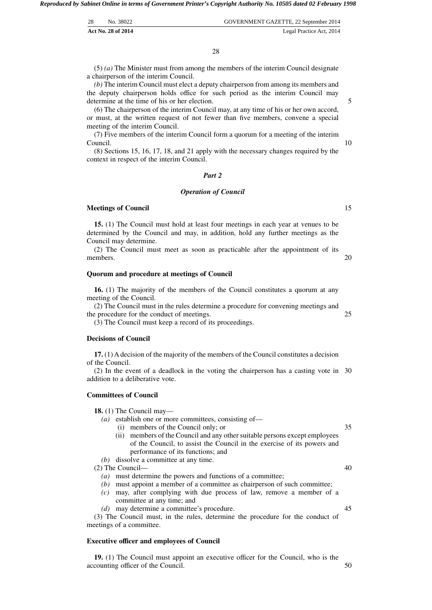| 28 | No. 38022          | GOVERNMENT GAZETTE, 22 September 2014 |
|----|--------------------|---------------------------------------|
|    | Act No. 28 of 2014 | Legal Practice Act, 2014              |

(5) *(a)* The Minister must from among the members of the interim Council designate a chairperson of the interim Council.

*(b)* The interim Council must elect a deputy chairperson from among its members and the deputy chairperson holds office for such period as the interim Council may determine at the time of his or her election.

(6) The chairperson of the interim Council may, at any time of his or her own accord, or must, at the written request of not fewer than five members, convene a special meeting of the interim Council.

(7) Five members of the interim Council form a quorum for a meeting of the interim Council.

(8) Sections 15, 16, 17, 18, and 21 apply with the necessary changes required by the context in respect of the interim Council.

#### *Part 2*

#### *Operation of Council*

#### **Meetings of Council**

**15.** (1) The Council must hold at least four meetings in each year at venues to be determined by the Council and may, in addition, hold any further meetings as the Council may determine.

(2) The Council must meet as soon as practicable after the appointment of its members.

#### **Quorum and procedure at meetings of Council**

**16.** (1) The majority of the members of the Council constitutes a quorum at any meeting of the Council.

(2) The Council must in the rules determine a procedure for convening meetings and the procedure for the conduct of meetings. 25

(3) The Council must keep a record of its proceedings.

#### **Decisions of Council**

**17.** (1) A decision of the majority of the members of the Council constitutes a decision of the Council.

(2) In the event of a deadlock in the voting the chairperson has a casting vote in 30 addition to a deliberative vote.

# **Committees of Council**

**18.** (1) The Council may—

- *(a)* establish one or more committees, consisting of—
	- (i) members of the Council only; or
	- (ii) members of the Council and any other suitable persons except employees of the Council, to assist the Council in the exercise of its powers and performance of its functions; and
- *(b)* dissolve a committee at any time.

(2) The Council—

- *(a)* must determine the powers and functions of a committee;
- *(b)* must appoint a member of a committee as chairperson of such committee;
- *(c)* may, after complying with due process of law, remove a member of a committee at any time; and
- *(d)* may determine a committee's procedure.

(3) The Council must, in the rules, determine the procedure for the conduct of meetings of a committee.

#### **Executive officer and employees of Council**

**19.** (1) The Council must appoint an executive officer for the Council, who is the accounting officer of the Council.

35

40

45

15

20

5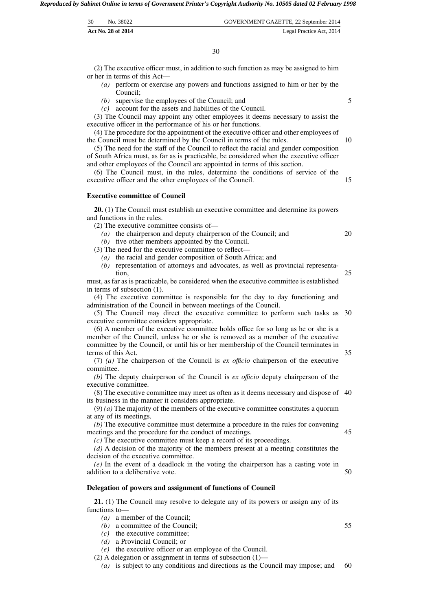| 30 | No. 38022          | GOVERNMENT GAZETTE, 22 September 2014 |
|----|--------------------|---------------------------------------|
|    | Act No. 28 of 2014 | Legal Practice Act, 2014              |

(2) The executive officer must, in addition to such function as may be assigned to him or her in terms of this Act—

- *(a)* perform or exercise any powers and functions assigned to him or her by the Council;
- *(b)* supervise the employees of the Council; and
- *(c)* account for the assets and liabilities of the Council.

(3) The Council may appoint any other employees it deems necessary to assist the executive officer in the performance of his or her functions.

(4) The procedure for the appointment of the executive officer and other employees of the Council must be determined by the Council in terms of the rules.

(5) The need for the staff of the Council to reflect the racial and gender composition of South Africa must, as far as is practicable, be considered when the executive officer and other employees of the Council are appointed in terms of this section.

(6) The Council must, in the rules, determine the conditions of service of the executive officer and the other employees of the Council. 15

#### **Executive committee of Council**

**20.** (1) The Council must establish an executive committee and determine its powers and functions in the rules.

(2) The executive committee consists of—

*(a)* the chairperson and deputy chairperson of the Council; and

*(b)* five other members appointed by the Council.

- (3) The need for the executive committee to reflect—
	- *(a)* the racial and gender composition of South Africa; and
	- *(b)* representation of attorneys and advocates, as well as provincial representation,

must, as far as is practicable, be considered when the executive committee is established in terms of subsection (1).

(4) The executive committee is responsible for the day to day functioning and administration of the Council in between meetings of the Council.

(5) The Council may direct the executive committee to perform such tasks as 30 executive committee considers appropriate.

(6) A member of the executive committee holds office for so long as he or she is a member of the Council, unless he or she is removed as a member of the executive committee by the Council, or until his or her membership of the Council terminates in terms of this Act.

(7) *(a)* The chairperson of the Council is *ex offıcio* chairperson of the executive committee.

*(b)* The deputy chairperson of the Council is *ex offıcio* deputy chairperson of the executive committee.

(8) The executive committee may meet as often as it deems necessary and dispose of 40 its business in the manner it considers appropriate.

(9) *(a)* The majority of the members of the executive committee constitutes a quorum at any of its meetings.

*(b)* The executive committee must determine a procedure in the rules for convening meetings and the procedure for the conduct of meetings. 45

*(c)* The executive committee must keep a record of its proceedings.

*(d)* A decision of the majority of the members present at a meeting constitutes the decision of the executive committee.

*(e)* In the event of a deadlock in the voting the chairperson has a casting vote in addition to a deliberative vote.

#### **Delegation of powers and assignment of functions of Council**

**21.** (1) The Council may resolve to delegate any of its powers or assign any of its functions to—

*(a)* a member of the Council;

*(b)* a committee of the Council;

- *(c)* the executive committee;
- *(d)* a Provincial Council; or

*(e)* the executive officer or an employee of the Council.

- (2) A delegation or assignment in terms of subsection  $(1)$ —
- *(a)* is subject to any conditions and directions as the Council may impose; and 60

55

50

10

5

25

35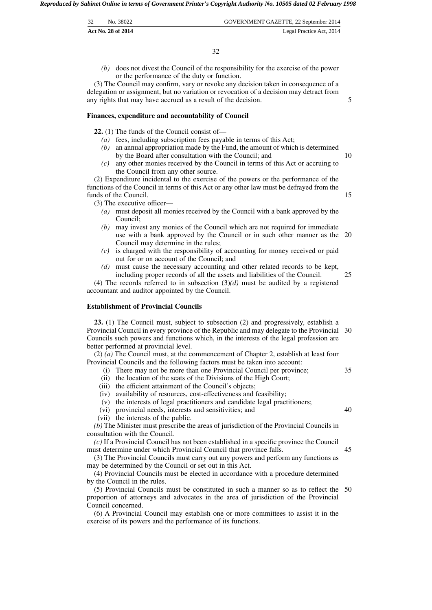| 32 | No. 38022          | GOVERNMENT GAZETTE, 22 September 2014 |
|----|--------------------|---------------------------------------|
|    | Act No. 28 of 2014 | Legal Practice Act, 2014              |

*(b)* does not divest the Council of the responsibility for the exercise of the power or the performance of the duty or function.

(3) The Council may confirm, vary or revoke any decision taken in consequence of a delegation or assignment, but no variation or revocation of a decision may detract from any rights that may have accrued as a result of the decision.

#### **Finances, expenditure and accountability of Council**

**22.** (1) The funds of the Council consist of—

- *(a)* fees, including subscription fees payable in terms of this Act;
- *(b)* an annual appropriation made by the Fund, the amount of which is determined by the Board after consultation with the Council; and
- *(c)* any other monies received by the Council in terms of this Act or accruing to the Council from any other source.

(2) Expenditure incidental to the exercise of the powers or the performance of the functions of the Council in terms of this Act or any other law must be defrayed from the funds of the Council.

(3) The executive officer—

- *(a)* must deposit all monies received by the Council with a bank approved by the Council;
- *(b)* may invest any monies of the Council which are not required for immediate use with a bank approved by the Council or in such other manner as the 20 Council may determine in the rules;
- *(c)* is charged with the responsibility of accounting for money received or paid out for or on account of the Council; and
- *(d)* must cause the necessary accounting and other related records to be kept, including proper records of all the assets and liabilities of the Council. 25

(4) The records referred to in subsection (3)*(d)* must be audited by a registered accountant and auditor appointed by the Council.

#### **Establishment of Provincial Councils**

**23.** (1) The Council must, subject to subsection (2) and progressively, establish a Provincial Council in every province of the Republic and may delegate to the Provincial 30 Councils such powers and functions which, in the interests of the legal profession are better performed at provincial level.

(2) *(a)* The Council must, at the commencement of Chapter 2, establish at least four Provincial Councils and the following factors must be taken into account:

- (i) There may not be more than one Provincial Council per province;
- (ii) the location of the seats of the Divisions of the High Court;
- (iii) the efficient attainment of the Council's objects;
- (iv) availability of resources, cost-effectiveness and feasibility;
- (v) the interests of legal practitioners and candidate legal practitioners;
- (vi) provincial needs, interests and sensitivities; and
- (vii) the interests of the public.

*(b)* The Minister must prescribe the areas of jurisdiction of the Provincial Councils in consultation with the Council.

*(c)* If a Provincial Council has not been established in a specific province the Council must determine under which Provincial Council that province falls.

(3) The Provincial Councils must carry out any powers and perform any functions as may be determined by the Council or set out in this Act.

(4) Provincial Councils must be elected in accordance with a procedure determined by the Council in the rules.

(5) Provincial Councils must be constituted in such a manner so as to reflect the 50 proportion of attorneys and advocates in the area of jurisdiction of the Provincial Council concerned.

(6) A Provincial Council may establish one or more committees to assist it in the exercise of its powers and the performance of its functions.

40

45

35

5

10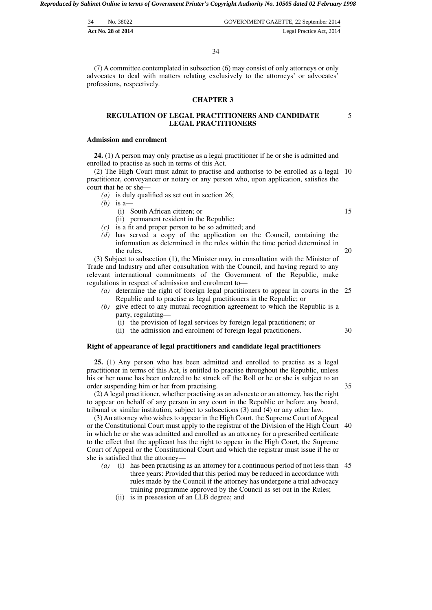| 34 | No. 38022          | GOVERNMENT GAZETTE, 22 September 2014 |
|----|--------------------|---------------------------------------|
|    | Act No. 28 of 2014 | Legal Practice Act, 2014              |

(7) A committee contemplated in subsection (6) may consist of only attorneys or only advocates to deal with matters relating exclusively to the attorneys' or advocates' professions, respectively.

# **CHAPTER 3**

# **REGULATION OF LEGAL PRACTITIONERS AND CANDIDATE LEGAL PRACTITIONERS**

#### **Admission and enrolment**

**24.** (1) A person may only practise as a legal practitioner if he or she is admitted and enrolled to practise as such in terms of this Act.

(2) The High Court must admit to practise and authorise to be enrolled as a legal 10 practitioner, conveyancer or notary or any person who, upon application, satisfies the court that he or she—

- *(a)* is duly qualified as set out in section 26;
- *(b)* is a—
	- (i) South African citizen; or
	- (ii) permanent resident in the Republic;
- *(c)* is a fit and proper person to be so admitted; and
- *(d)* has served a copy of the application on the Council, containing the information as determined in the rules within the time period determined in the rules.

(3) Subject to subsection (1), the Minister may, in consultation with the Minister of Trade and Industry and after consultation with the Council, and having regard to any relevant international commitments of the Government of the Republic, make regulations in respect of admission and enrolment to—

- *(a)* determine the right of foreign legal practitioners to appear in courts in the 25 Republic and to practise as legal practitioners in the Republic; or
- *(b)* give effect to any mutual recognition agreement to which the Republic is a party, regulating—
	- (i) the provision of legal services by foreign legal practitioners; or
	- (ii) the admission and enrolment of foreign legal practitioners.

#### **Right of appearance of legal practitioners and candidate legal practitioners**

**25.** (1) Any person who has been admitted and enrolled to practise as a legal practitioner in terms of this Act, is entitled to practise throughout the Republic, unless his or her name has been ordered to be struck off the Roll or he or she is subject to an order suspending him or her from practising.

(2) A legal practitioner, whether practising as an advocate or an attorney, has the right to appear on behalf of any person in any court in the Republic or before any board, tribunal or similar institution, subject to subsections (3) and (4) or any other law.

(3) An attorney who wishes to appear in the High Court, the Supreme Court of Appeal or the Constitutional Court must apply to the registrar of the Division of the High Court 40 in which he or she was admitted and enrolled as an attorney for a prescribed certificate to the effect that the applicant has the right to appear in the High Court, the Supreme Court of Appeal or the Constitutional Court and which the registrar must issue if he or she is satisfied that the attorney—

- *(a)* (i) has been practising as an attorney for a continuous period of not less than 45 three years: Provided that this period may be reduced in accordance with rules made by the Council if the attorney has undergone a trial advocacy training programme approved by the Council as set out in the Rules;
	- (ii) is in possession of an LLB degree; and

15

20

5

35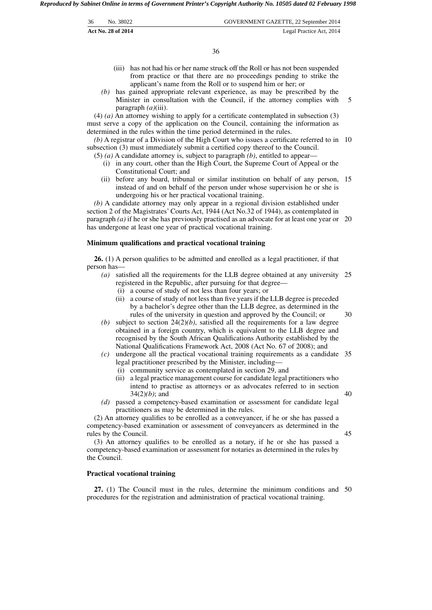| 36 | No. 38022          | GOVERNMENT GAZETTE, 22 September 2014 |
|----|--------------------|---------------------------------------|
|    | Act No. 28 of 2014 | Legal Practice Act, 2014              |

36

- (iii) has not had his or her name struck off the Roll or has not been suspended from practice or that there are no proceedings pending to strike the applicant's name from the Roll or to suspend him or her; or
- *(b)* has gained appropriate relevant experience, as may be prescribed by the Minister in consultation with the Council, if the attorney complies with paragraph *(a)*(iii). 5

(4) *(a)* An attorney wishing to apply for a certificate contemplated in subsection (3) must serve a copy of the application on the Council, containing the information as determined in the rules within the time period determined in the rules.

*(b)* A registrar of a Division of the High Court who issues a certificate referred to in 10 subsection (3) must immediately submit a certified copy thereof to the Council.

(5) *(a)* A candidate attorney is, subject to paragraph *(b)*, entitled to appear—

- (i) in any court, other than the High Court, the Supreme Court of Appeal or the Constitutional Court; and
- (ii) before any board, tribunal or similar institution on behalf of any person, 15 instead of and on behalf of the person under whose supervision he or she is undergoing his or her practical vocational training.

*(b)* A candidate attorney may only appear in a regional division established under section 2 of the Magistrates' Courts Act, 1944 (Act No.32 of 1944), as contemplated in paragraph *(a)* if he or she has previously practised as an advocate for at least one year or 20 has undergone at least one year of practical vocational training.

#### **Minimum qualifications and practical vocational training**

**26.** (1) A person qualifies to be admitted and enrolled as a legal practitioner, if that person has—

- *(a)* satisfied all the requirements for the LLB degree obtained at any university 25 registered in the Republic, after pursuing for that degree—
	- (i) a course of study of not less than four years; or
	- (ii) a course of study of not less than five years if the LLB degree is preceded by a bachelor's degree other than the LLB degree, as determined in the rules of the university in question and approved by the Council; or 30
- *(b)* subject to section  $24(2)(b)$ , satisfied all the requirements for a law degree obtained in a foreign country, which is equivalent to the LLB degree and recognised by the South African Qualifications Authority established by the National Qualifications Framework Act, 2008 (Act No. 67 of 2008); and
- *(c)* undergone all the practical vocational training requirements as a candidate 35 legal practitioner prescribed by the Minister, including—
	- (i) community service as contemplated in section 29, and
	- (ii) a legal practice management course for candidate legal practitioners who intend to practise as attorneys or as advocates referred to in section 34(2)*(b)*; and
- *(d)* passed a competency-based examination or assessment for candidate legal practitioners as may be determined in the rules.

(2) An attorney qualifies to be enrolled as a conveyancer, if he or she has passed a competency-based examination or assessment of conveyancers as determined in the rules by the Council.

45

40

(3) An attorney qualifies to be enrolled as a notary, if he or she has passed a competency-based examination or assessment for notaries as determined in the rules by the Council.

#### **Practical vocational training**

**27.** (1) The Council must in the rules, determine the minimum conditions and 50 procedures for the registration and administration of practical vocational training.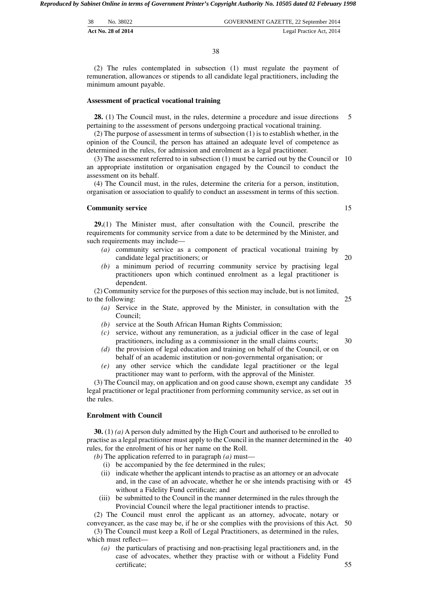| 38 | No. 38022          | GOVERNMENT GAZETTE, 22 September 2014 |
|----|--------------------|---------------------------------------|
|    | Act No. 28 of 2014 | Legal Practice Act, 2014              |

(2) The rules contemplated in subsection (1) must regulate the payment of remuneration, allowances or stipends to all candidate legal practitioners, including the minimum amount payable.

#### **Assessment of practical vocational training**

**28.** (1) The Council must, in the rules, determine a procedure and issue directions pertaining to the assessment of persons undergoing practical vocational training. 5

(2) The purpose of assessment in terms of subsection (1) is to establish whether, in the opinion of the Council, the person has attained an adequate level of competence as determined in the rules, for admission and enrolment as a legal practitioner.

(3) The assessment referred to in subsection (1) must be carried out by the Council or 10 an appropriate institution or organisation engaged by the Council to conduct the assessment on its behalf.

(4) The Council must, in the rules, determine the criteria for a person, institution, organisation or association to qualify to conduct an assessment in terms of this section.

#### **Community service**

**29.**(1) The Minister must, after consultation with the Council, prescribe the requirements for community service from a date to be determined by the Minister, and such requirements may include—

- *(a)* community service as a component of practical vocational training by candidate legal practitioners; or
- *(b)* a minimum period of recurring community service by practising legal practitioners upon which continued enrolment as a legal practitioner is dependent.

(2) Community service for the purposes of this section may include, but is not limited, to the following:

- *(a)* Service in the State, approved by the Minister, in consultation with the Council;
- *(b)* service at the South African Human Rights Commission;
- *(c)* service, without any remuneration, as a judicial officer in the case of legal practitioners, including as a commissioner in the small claims courts; 30
- *(d)* the provision of legal education and training on behalf of the Council, or on behalf of an academic institution or non-governmental organisation; or
- *(e)* any other service which the candidate legal practitioner or the legal practitioner may want to perform, with the approval of the Minister.

(3) The Council may, on application and on good cause shown, exempt any candidate 35 legal practitioner or legal practitioner from performing community service, as set out in the rules.

# **Enrolment with Council**

**30.** (1) *(a)* A person duly admitted by the High Court and authorised to be enrolled to practise as a legal practitioner must apply to the Council in the manner determined in the 40 rules, for the enrolment of his or her name on the Roll.

*(b)* The application referred to in paragraph *(a)* must—

- (i) be accompanied by the fee determined in the rules;
- (ii) indicate whether the applicant intends to practise as an attorney or an advocate and, in the case of an advocate, whether he or she intends practising with or 45 without a Fidelity Fund certificate; and
- (iii) be submitted to the Council in the manner determined in the rules through the Provincial Council where the legal practitioner intends to practise.

(2) The Council must enrol the applicant as an attorney, advocate, notary or conveyancer, as the case may be, if he or she complies with the provisions of this Act. 50

(3) The Council must keep a Roll of Legal Practitioners, as determined in the rules, which must reflect—

*(a)* the particulars of practising and non-practising legal practitioners and, in the case of advocates, whether they practise with or without a Fidelity Fund certificate;

20

25

15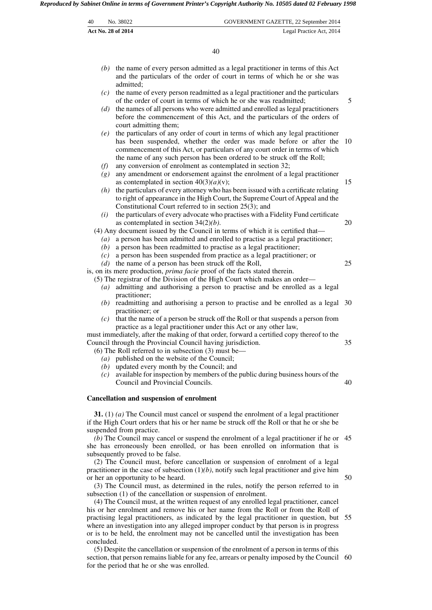| 40 | No. 38022                 | GOVERNMENT GAZETTE, 22 September 2014 |
|----|---------------------------|---------------------------------------|
|    | <b>Act No. 28 of 2014</b> | Legal Practice Act, 2014              |

|                                                                                            | 40                                                                                                                                                                                                                                                                                                                                               |    |  |
|--------------------------------------------------------------------------------------------|--------------------------------------------------------------------------------------------------------------------------------------------------------------------------------------------------------------------------------------------------------------------------------------------------------------------------------------------------|----|--|
| (b)                                                                                        | the name of every person admitted as a legal practitioner in terms of this Act<br>and the particulars of the order of court in terms of which he or she was<br>admitted;                                                                                                                                                                         |    |  |
| (c)                                                                                        | the name of every person readmitted as a legal practitioner and the particulars<br>of the order of court in terms of which he or she was readmitted;                                                                                                                                                                                             | 5  |  |
| (d)                                                                                        | the names of all persons who were admitted and enrolled as legal practitioners<br>before the commencement of this Act, and the particulars of the orders of<br>court admitting them;                                                                                                                                                             |    |  |
| (e)                                                                                        | the particulars of any order of court in terms of which any legal practitioner<br>has been suspended, whether the order was made before or after the<br>commencement of this Act, or particulars of any court order in terms of which<br>the name of any such person has been ordered to be struck off the Roll;                                 | 10 |  |
| (f)<br>(g)                                                                                 | any conversion of enrolment as contemplated in section 32;<br>any amendment or endorsement against the enrolment of a legal practitioner                                                                                                                                                                                                         |    |  |
| (h)                                                                                        | as contemplated in section $40(3)(a)(v)$ ;<br>the particulars of every attorney who has been issued with a certificate relating<br>to right of appearance in the High Court, the Supreme Court of Appeal and the                                                                                                                                 | 15 |  |
| (i)                                                                                        | Constitutional Court referred to in section 25(3); and<br>the particulars of every advocate who practises with a Fidelity Fund certificate<br>as contemplated in section $34(2)(b)$ .                                                                                                                                                            | 20 |  |
| $\left(a\right)$<br>(b)                                                                    | (4) Any document issued by the Council in terms of which it is certified that—<br>a person has been admitted and enrolled to practise as a legal practitioner;<br>a person has been readmitted to practise as a legal practitioner;                                                                                                              |    |  |
| (c)<br>(d)                                                                                 | a person has been suspended from practice as a legal practitioner; or<br>the name of a person has been struck off the Roll,                                                                                                                                                                                                                      | 25 |  |
| (a)                                                                                        | is, on its mere production, <i>prima facie</i> proof of the facts stated therein.<br>(5) The registrar of the Division of the High Court which makes an order-<br>admitting and authorising a person to practise and be enrolled as a legal                                                                                                      |    |  |
|                                                                                            | practitioner;<br>$(b)$ readmitting and authorising a person to practise and be enrolled as a legal<br>practitioner; or                                                                                                                                                                                                                           | 30 |  |
| (c)                                                                                        | that the name of a person be struck off the Roll or that suspends a person from<br>practice as a legal practitioner under this Act or any other law,<br>must immediately, after the making of that order, forward a certified copy thereof to the                                                                                                |    |  |
|                                                                                            | Council through the Provincial Council having jurisdiction.<br>$(6)$ The Roll referred to in subsection $(3)$ must be—                                                                                                                                                                                                                           | 35 |  |
| (c)                                                                                        | $(a)$ published on the website of the Council;<br>$(b)$ updated every month by the Council; and<br>available for inspection by members of the public during business hours of the<br>Council and Provincial Councils.                                                                                                                            | 40 |  |
|                                                                                            | <b>Cancellation and suspension of enrolment</b>                                                                                                                                                                                                                                                                                                  |    |  |
|                                                                                            | 31. (1) (a) The Council must cancel or suspend the enrolment of a legal practitioner<br>if the High Court orders that his or her name be struck off the Roll or that he or she be<br>suspended from practice.                                                                                                                                    |    |  |
|                                                                                            | $(b)$ The Council may cancel or suspend the enrolment of a legal practitioner if he or<br>she has erroneously been enrolled, or has been enrolled on information that is                                                                                                                                                                         | 45 |  |
|                                                                                            | subsequently proved to be false.<br>(2) The Council must, before cancellation or suspension of enrolment of a legal<br>practitioner in the case of subsection $(1)(b)$ , notify such legal practitioner and give him<br>or her an opportunity to be heard.<br>(3) The Council must, as determined in the rules, notify the person referred to in | 50 |  |
|                                                                                            | subsection (1) of the cancellation or suspension of enrolment.<br>(4) The Council must, at the written request of any enrolled legal practitioner, cancel<br>his or her enrolment and remove his or her name from the Roll or from the Roll of                                                                                                   |    |  |
| practising legal practitioners, as indicated by the legal practitioner in question, but 55 |                                                                                                                                                                                                                                                                                                                                                  |    |  |

where an investigation into any alleged improper conduct by that person is in progress or is to be held, the enrolment may not be cancelled until the investigation has been concluded.

(5) Despite the cancellation or suspension of the enrolment of a person in terms of this section, that person remains liable for any fee, arrears or penalty imposed by the Council 60 for the period that he or she was enrolled.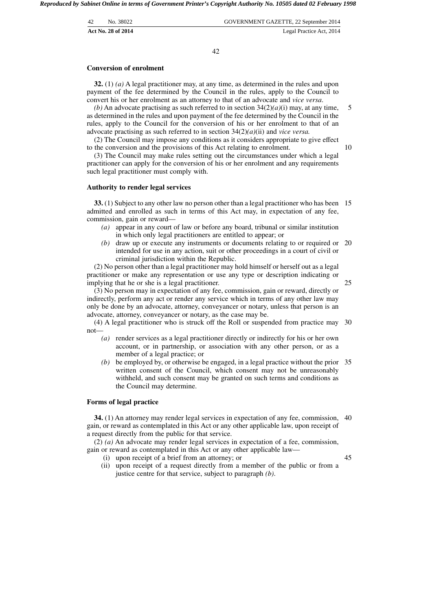| 42 | No. 38022          | GOVERNMENT GAZETTE, 22 September 2014 |
|----|--------------------|---------------------------------------|
|    | Act No. 28 of 2014 | Legal Practice Act, 2014              |

#### **Conversion of enrolment**

**32.** (1) *(a)* A legal practitioner may, at any time, as determined in the rules and upon payment of the fee determined by the Council in the rules, apply to the Council to convert his or her enrolment as an attorney to that of an advocate and *vice versa*.

*(b)* An advocate practising as such referred to in section  $34(2)(a)(i)$  may, at any time, as determined in the rules and upon payment of the fee determined by the Council in the rules, apply to the Council for the conversion of his or her enrolment to that of an advocate practising as such referred to in section 34(2)*(a)*(ii) and *vice versa.*

(2) The Council may impose any conditions as it considers appropriate to give effect to the conversion and the provisions of this Act relating to enrolment.

(3) The Council may make rules setting out the circumstances under which a legal practitioner can apply for the conversion of his or her enrolment and any requirements such legal practitioner must comply with.

#### **Authority to render legal services**

**33.** (1) Subject to any other law no person other than a legal practitioner who has been 15 admitted and enrolled as such in terms of this Act may, in expectation of any fee, commission, gain or reward—

- *(a)* appear in any court of law or before any board, tribunal or similar institution in which only legal practitioners are entitled to appear; or
- *(b)* draw up or execute any instruments or documents relating to or required or 20 intended for use in any action, suit or other proceedings in a court of civil or criminal jurisdiction within the Republic.

(2) No person other than a legal practitioner may hold himself or herself out as a legal practitioner or make any representation or use any type or description indicating or implying that he or she is a legal practitioner.

25

5

10

(3) No person may in expectation of any fee, commission, gain or reward, directly or indirectly, perform any act or render any service which in terms of any other law may only be done by an advocate, attorney, conveyancer or notary, unless that person is an advocate, attorney, conveyancer or notary, as the case may be.

(4) A legal practitioner who is struck off the Roll or suspended from practice may 30 not—

- *(a)* render services as a legal practitioner directly or indirectly for his or her own account, or in partnership, or association with any other person, or as a member of a legal practice; or
- *(b)* be employed by, or otherwise be engaged, in a legal practice without the prior 35 written consent of the Council, which consent may not be unreasonably withheld, and such consent may be granted on such terms and conditions as the Council may determine.

#### **Forms of legal practice**

**34.** (1) An attorney may render legal services in expectation of any fee, commission, 40 gain, or reward as contemplated in this Act or any other applicable law, upon receipt of a request directly from the public for that service.

(2) *(a)* An advocate may render legal services in expectation of a fee, commission, gain or reward as contemplated in this Act or any other applicable law—

(i) upon receipt of a brief from an attorney; or

45

(ii) upon receipt of a request directly from a member of the public or from a justice centre for that service, subject to paragraph *(b)*.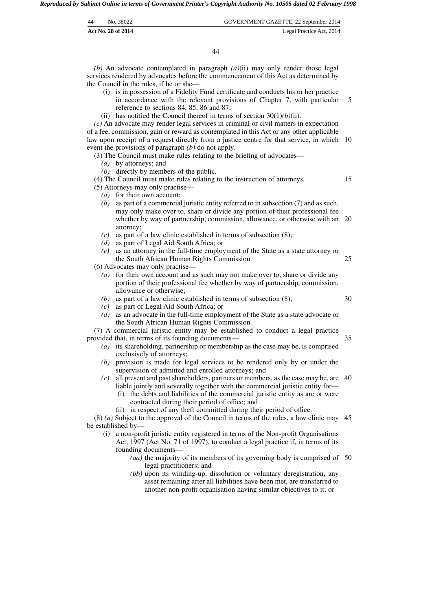| 44 | No. 38022          | GOVERNMENT GAZETTE, 22 September 2014 |
|----|--------------------|---------------------------------------|
|    | Act No. 28 of 2014 | Legal Practice Act, 2014              |

44

*(b)* An advocate contemplated in paragraph *(a)*(ii) may only render those legal services rendered by advocates before the commencement of this Act as determined by the Council in the rules, if he or she—

- (i) is in possession of a Fidelity Fund certificate and conducts his or her practice in accordance with the relevant provisions of Chapter 7, with particular reference to sections 84, 85, 86 and 87; 5
- (ii) has notified the Council thereof in terms of section  $30(1)(b)(ii)$ .

*(c)* An advocate may render legal services in criminal or civil matters in expectation of a fee, commission, gain or reward as contemplated in this Act or any other applicable law upon receipt of a request directly from a justice centre for that service, in which 10 event the provisions of paragraph *(b)* do not apply.

(3) The Council must make rules relating to the briefing of advocates—

- *(a)* by attorneys; and
- *(b)* directly by members of the public.

(4) The Council must make rules relating to the instruction of attorneys.

15

- (5) Attorneys may only practise—
	- *(a)* for their own account;
	- *(b)* as part of a commercial juristic entity referred to in subsection (7) and as such, may only make over to, share or divide any portion of their professional fee whether by way of partnership, commission, allowance, or otherwise with an 20 attorney;
	- *(c)* as part of a law clinic established in terms of subsection (8);
	- *(d)* as part of Legal Aid South Africa; or
	- *(e)* as an attorney in the full-time employment of the State as a state attorney or the South African Human Rights Commission.

(6) Advocates may only practise—

- *(a)* for their own account and as such may not make over to, share or divide any portion of their professional fee whether by way of partnership, commission, allowance or otherwise;
- *(b)* as part of a law clinic established in terms of subsection (8);
- *(c)* as part of Legal Aid South Africa; or
- *(d)* as an advocate in the full-time employment of the State as a state advocate or the South African Human Rights Commission.

(7) A commercial juristic entity may be established to conduct a legal practice provided that, in terms of its founding documents— 35

- *(a)* its shareholding, partnership or membership as the case may be, is comprised exclusively of attorneys;
- *(b)* provision is made for legal services to be rendered only by or under the supervision of admitted and enrolled attorneys; and
- *(c)* all present and past shareholders, partners or members, as the case may be, are 40 liable jointly and severally together with the commercial juristic entity for—
	- (i) the debts and liabilities of the commercial juristic entity as are or were contracted during their period of office; and
	- (ii) in respect of any theft committed during their period of office.

(8) *(a)* Subject to the approval of the Council in terms of the rules, a law clinic may 45 be established by—

- (i) a non-profit juristic entity registered in terms of the Non-profit Organisations Act, 1997 (Act No. 71 of 1997), to conduct a legal practice if, in terms of its founding documents—
	- *(aa)* the majority of its members of its governing body is comprised of 50 legal practitioners; and
	- *(bb)* upon its winding-up, dissolution or voluntary deregistration, any asset remaining after all liabilities have been met, are transferred to another non-profit organisation having similar objectives to it; or

30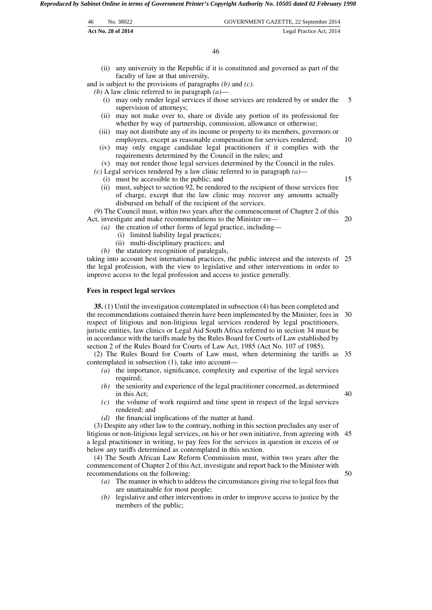| 46 | No. 38022          | GOVERNMENT GAZETTE, 22 September 2014 |
|----|--------------------|---------------------------------------|
|    | Act No. 28 of 2014 | Legal Practice Act, 2014              |

46

(ii) any university in the Republic if it is constituted and governed as part of the faculty of law at that university,

and is subject to the provisions of paragraphs *(b)* and *(c)*.

*(b)* A law clinic referred to in paragraph *(a)*—

- (i) may only render legal services if those services are rendered by or under the supervision of attorneys; 5
- (ii) may not make over to, share or divide any portion of its professional fee whether by way of partnership, commission, allowance or otherwise;
- (iii) may not distribute any of its income or property to its members, governors or employees, except as reasonable compensation for services rendered;
- (iv) may only engage candidate legal practitioners if it complies with the requirements determined by the Council in the rules; and

(v) may not render those legal services determined by the Council in the rules. *(c)* Legal services rendered by a law clinic referred to in paragraph *(a)*—

- (i) must be accessible to the public; and
- (ii) must, subject to section  $92$ , be rendered to the recipient of those services free of charge, except that the law clinic may recover any amounts actually disbursed on behalf of the recipient of the services.

(9) The Council must, within two years after the commencement of Chapter 2 of this Act, investigate and make recommendations to the Minister on—

- *(a)* the creation of other forms of legal practice, including—
	- (i) limited liability legal practices;
	- (ii) multi-disciplinary practices; and
- *(b)* the statutory recognition of paralegals,

taking into account best international practices, the public interest and the interests of 25 the legal profession, with the view to legislative and other interventions in order to improve access to the legal profession and access to justice generally.

#### **Fees in respect legal services**

**35.** (1) Until the investigation contemplated in subsection (4) has been completed and the recommendations contained therein have been implemented by the Minister, fees in 30 respect of litigious and non-litigious legal services rendered by legal practitioners, juristic entities, law clinics or Legal Aid South Africa referred to in section 34 must be in accordance with the tariffs made by the Rules Board for Courts of Law established by section 2 of the Rules Board for Courts of Law Act, 1985 (Act No. 107 of 1985).

(2) The Rules Board for Courts of Law must, when determining the tariffs as 35 contemplated in subsection (1), take into account—

- *(a)* the importance, significance, complexity and expertise of the legal services required;
- *(b)* the seniority and experience of the legal practitioner concerned, as determined in this Act; 40
- *(c)* the volume of work required and time spent in respect of the legal services rendered; and
- *(d)* the financial implications of the matter at hand.

(3) Despite any other law to the contrary, nothing in this section precludes any user of litigious or non-litigious legal services, on his or her own initiative, from agreeing with 45 a legal practitioner in writing, to pay fees for the services in question in excess of or below any tariffs determined as contemplated in this section.

(4) The South African Law Reform Commission must, within two years after the commencement of Chapter 2 of this Act, investigate and report back to the Minister with recommendations on the following:

- *(a)* The manner in which to address the circumstances giving rise to legal fees that are unattainable for most people;
- *(b)* legislative and other interventions in order to improve access to justice by the members of the public;

20

50

15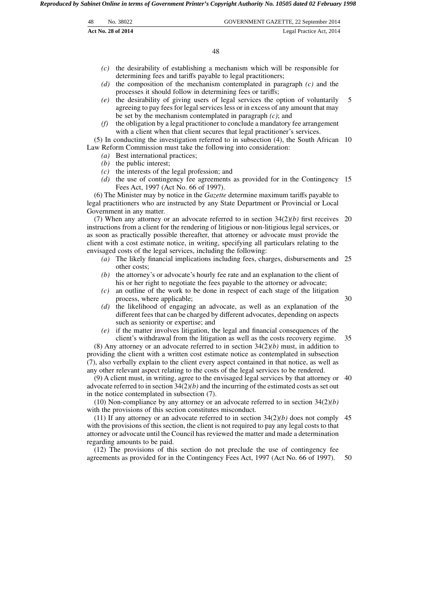| -48 | No. 38022          | GOVERNMENT GAZETTE, 22 September 2014 |
|-----|--------------------|---------------------------------------|
|     | Act No. 28 of 2014 | Legal Practice Act, 2014              |

48

- *(c)* the desirability of establishing a mechanism which will be responsible for determining fees and tariffs payable to legal practitioners;
- *(d)* the composition of the mechanism contemplated in paragraph *(c)* and the processes it should follow in determining fees or tariffs;
- *(e)* the desirability of giving users of legal services the option of voluntarily agreeing to pay fees for legal services less or in excess of any amount that may be set by the mechanism contemplated in paragraph *(c)*; and 5
- *(f)* the obligation by a legal practitioner to conclude a mandatory fee arrangement with a client when that client secures that legal practitioner's services.

(5) In conducting the investigation referred to in subsection (4), the South African 10 Law Reform Commission must take the following into consideration:

- *(a)* Best international practices;
- *(b)* the public interest;
- *(c)* the interests of the legal profession; and
- *(d)* the use of contingency fee agreements as provided for in the Contingency 15 Fees Act, 1997 (Act No. 66 of 1997).

(6) The Minister may by notice in the *Gazette* determine maximum tariffs payable to legal practitioners who are instructed by any State Department or Provincial or Local Government in any matter.

(7) When any attorney or an advocate referred to in section  $34(2)/b$ ) first receives instructions from a client for the rendering of litigious or non-litigious legal services, or as soon as practically possible thereafter, that attorney or advocate must provide the client with a cost estimate notice, in writing, specifying all particulars relating to the envisaged costs of the legal services, including the following: 20

- *(a)* The likely financial implications including fees, charges, disbursements and 25 other costs;
- *(b)* the attorney's or advocate's hourly fee rate and an explanation to the client of his or her right to negotiate the fees payable to the attorney or advocate;
- *(c)* an outline of the work to be done in respect of each stage of the litigation process, where applicable;
- *(d)* the likelihood of engaging an advocate, as well as an explanation of the different fees that can be charged by different advocates, depending on aspects such as seniority or expertise; and
- *(e)* if the matter involves litigation, the legal and financial consequences of the client's withdrawal from the litigation as well as the costs recovery regime. 35

(8) Any attorney or an advocate referred to in section 34(2)*(b)* must, in addition to providing the client with a written cost estimate notice as contemplated in subsection (7), also verbally explain to the client every aspect contained in that notice, as well as any other relevant aspect relating to the costs of the legal services to be rendered.

(9) A client must, in writing, agree to the envisaged legal services by that attorney or 40 advocate referred to in section 34(2)*(b)* and the incurring of the estimated costs as set out in the notice contemplated in subsection (7).

(10) Non-compliance by any attorney or an advocate referred to in section 34(2)*(b)* with the provisions of this section constitutes misconduct.

(11) If any attorney or an advocate referred to in section  $34(2)(b)$  does not comply 45 with the provisions of this section, the client is not required to pay any legal costs to that attorney or advocate until the Council has reviewed the matter and made a determination regarding amounts to be paid.

(12) The provisions of this section do not preclude the use of contingency fee agreements as provided for in the Contingency Fees Act, 1997 (Act No. 66 of 1997). 50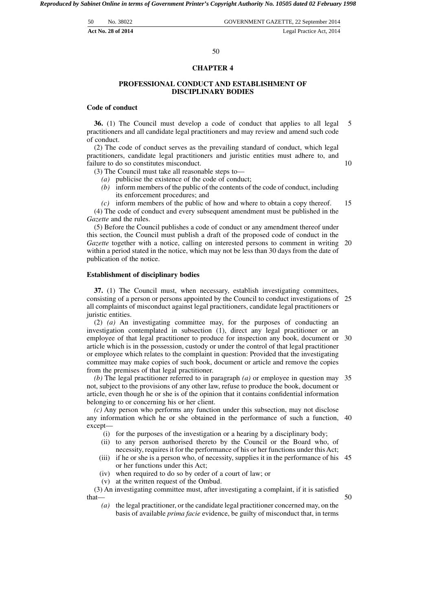| 50 | No. 38022          | GOVERNMENT GAZETTE, 22 September 2014 |
|----|--------------------|---------------------------------------|
|    | Act No. 28 of 2014 | Legal Practice Act, 2014              |

#### **CHAPTER 4**

#### **PROFESSIONAL CONDUCT AND ESTABLISHMENT OF DISCIPLINARY BODIES**

#### **Code of conduct**

**36.** (1) The Council must develop a code of conduct that applies to all legal practitioners and all candidate legal practitioners and may review and amend such code of conduct. 5

(2) The code of conduct serves as the prevailing standard of conduct, which legal practitioners, candidate legal practitioners and juristic entities must adhere to, and failure to do so constitutes misconduct.

(3) The Council must take all reasonable steps to—

- (a) publicise the existence of the code of conduct;<br>(b) inform members of the public of the contents of
- inform members of the public of the contents of the code of conduct, including its enforcement procedures; and
- *(c)* inform members of the public of how and where to obtain a copy thereof. 15

(4) The code of conduct and every subsequent amendment must be published in the *Gazette* and the rules.

(5) Before the Council publishes a code of conduct or any amendment thereof under this section, the Council must publish a draft of the proposed code of conduct in the *Gazette* together with a notice, calling on interested persons to comment in writing within a period stated in the notice, which may not be less than 30 days from the date of publication of the notice. 20

#### **Establishment of disciplinary bodies**

**37.** (1) The Council must, when necessary, establish investigating committees, consisting of a person or persons appointed by the Council to conduct investigations of 25 all complaints of misconduct against legal practitioners, candidate legal practitioners or juristic entities.

(2) *(a)* An investigating committee may, for the purposes of conducting an investigation contemplated in subsection (1), direct any legal practitioner or an employee of that legal practitioner to produce for inspection any book, document or 30 article which is in the possession, custody or under the control of that legal practitioner or employee which relates to the complaint in question: Provided that the investigating committee may make copies of such book, document or article and remove the copies from the premises of that legal practitioner.

*(b)* The legal practitioner referred to in paragraph *(a)* or employee in question may 35 not, subject to the provisions of any other law, refuse to produce the book, document or article, even though he or she is of the opinion that it contains confidential information belonging to or concerning his or her client.

*(c)* Any person who performs any function under this subsection, may not disclose any information which he or she obtained in the performance of such a function, 40 except—

- (i) for the purposes of the investigation or a hearing by a disciplinary body;
- (ii) to any person authorised thereto by the Council or the Board who, of necessity, requires it for the performance of his or her functions under this Act;
- (iii) if he or she is a person who, of necessity, supplies it in the performance of his 45 or her functions under this Act;
- (iv) when required to do so by order of a court of law; or
- (v) at the written request of the Ombud.

(3) An investigating committee must, after investigating a complaint, if it is satisfied that—

*(a)* the legal practitioner, or the candidate legal practitioner concerned may, on the basis of available *prima facie* evidence, be guilty of misconduct that, in terms

50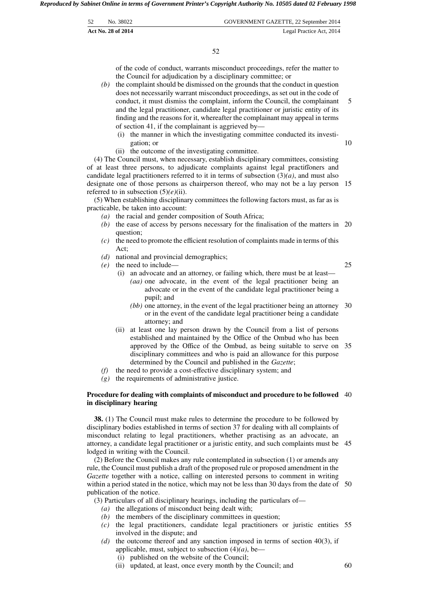| 52. | No. 38022                 | GOVERNMENT GAZETTE, 22 September 2014 |
|-----|---------------------------|---------------------------------------|
|     | <b>Act No. 28 of 2014</b> | Legal Practice Act, 2014              |

of the code of conduct, warrants misconduct proceedings, refer the matter to the Council for adjudication by a disciplinary committee; or

- *(b)* the complaint should be dismissed on the grounds that the conduct in question does not necessarily warrant misconduct proceedings, as set out in the code of conduct, it must dismiss the complaint, inform the Council, the complainant and the legal practitioner, candidate legal practitioner or juristic entity of its finding and the reasons for it, whereafter the complainant may appeal in terms of section 41, if the complainant is aggrieved by— 5
	- (i) the manner in which the investigating committee conducted its investigation; or
	- (ii) the outcome of the investigating committee.

(4) The Council must, when necessary, establish disciplinary committees, consisting of at least three persons, to adjudicate complaints against legal practitioners and candidate legal practitioners referred to it in terms of subsection  $(3)(a)$ , and must also designate one of those persons as chairperson thereof, who may not be a lay person 15 referred to in subsection (5)*(e)*(ii).

(5) When establishing disciplinary committees the following factors must, as far as is practicable, be taken into account:

- *(a)* the racial and gender composition of South Africa;
- *(b)* the ease of access by persons necessary for the finalisation of the matters in 20 question;
- *(c)* the need to promote the efficient resolution of complaints made in terms of this Act;
- *(d)* national and provincial demographics;
- *(e)* the need to include—

25

10

- (i) an advocate and an attorney, or failing which, there must be at least— *(aa)* one advocate, in the event of the legal practitioner being an advocate or in the event of the candidate legal practitioner being a pupil; and
	- *(bb)* one attorney, in the event of the legal practitioner being an attorney 30 or in the event of the candidate legal practitioner being a candidate attorney; and
- (ii) at least one lay person drawn by the Council from a list of persons established and maintained by the Office of the Ombud who has been approved by the Office of the Ombud, as being suitable to serve on 35 disciplinary committees and who is paid an allowance for this purpose determined by the Council and published in the *Gazette*;
- *(f)* the need to provide a cost-effective disciplinary system; and
- *(g)* the requirements of administrative justice.

#### **Procedure for dealing with complaints of misconduct and procedure to be followed** 40 **in disciplinary hearing**

**38.** (1) The Council must make rules to determine the procedure to be followed by disciplinary bodies established in terms of section 37 for dealing with all complaints of misconduct relating to legal practitioners, whether practising as an advocate, an attorney, a candidate legal practitioner or a juristic entity, and such complaints must be 45 lodged in writing with the Council.

(2) Before the Council makes any rule contemplated in subsection (1) or amends any rule, the Council must publish a draft of the proposed rule or proposed amendment in the *Gazette* together with a notice, calling on interested persons to comment in writing within a period stated in the notice, which may not be less than 30 days from the date of 50 publication of the notice.

(3) Particulars of all disciplinary hearings, including the particulars of—

- *(a)* the allegations of misconduct being dealt with;
- *(b)* the members of the disciplinary committees in question;
- *(c)* the legal practitioners, candidate legal practitioners or juristic entities 55 involved in the dispute; and
- *(d)* the outcome thereof and any sanction imposed in terms of section 40(3), if applicable, must, subject to subsection  $(4)(a)$ , be—
	- (i) published on the website of the Council;
	- (ii) updated, at least, once every month by the Council; and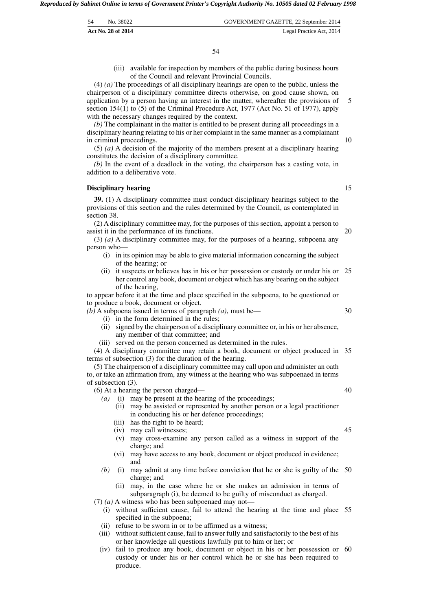| .54 | No. 38022          | GOVERNMENT GAZETTE, 22 September 2014 |
|-----|--------------------|---------------------------------------|
|     | Act No. 28 of 2014 | Legal Practice Act, 2014              |

(iii) available for inspection by members of the public during business hours of the Council and relevant Provincial Councils.

(4) *(a)* The proceedings of all disciplinary hearings are open to the public, unless the chairperson of a disciplinary committee directs otherwise, on good cause shown, on application by a person having an interest in the matter, whereafter the provisions of section 154(1) to (5) of the Criminal Procedure Act, 1977 (Act No. 51 of 1977), apply with the necessary changes required by the context.

*(b)* The complainant in the matter is entitled to be present during all proceedings in a disciplinary hearing relating to his or her complaint in the same manner as a complainant in criminal proceedings.

(5) *(a)* A decision of the majority of the members present at a disciplinary hearing constitutes the decision of a disciplinary committee.

*(b)* In the event of a deadlock in the voting, the chairperson has a casting vote, in addition to a deliberative vote.

#### **Disciplinary hearing**

**39.** (1) A disciplinary committee must conduct disciplinary hearings subject to the provisions of this section and the rules determined by the Council, as contemplated in section 38.

(2) A disciplinary committee may, for the purposes of this section, appoint a person to assist it in the performance of its functions.

(3) *(a)* A disciplinary committee may, for the purposes of a hearing, subpoena any person who—

- (i) in its opinion may be able to give material information concerning the subject of the hearing; or
- (ii) it suspects or believes has in his or her possession or custody or under his or 25 her control any book, document or object which has any bearing on the subject of the hearing,

to appear before it at the time and place specified in the subpoena, to be questioned or to produce a book, document or object.

*(b)* A subpoena issued in terms of paragraph *(a)*, must be—

- (i) in the form determined in the rules;
- (ii) signed by the chairperson of a disciplinary committee or, in his or her absence, any member of that committee; and
- (iii) served on the person concerned as determined in the rules.

(4) A disciplinary committee may retain a book, document or object produced in 35 terms of subsection (3) for the duration of the hearing.

(6) At a hearing the person charged—

- *(a)* (i) may be present at the hearing of the proceedings;
	- (ii) may be assisted or represented by another person or a legal practitioner in conducting his or her defence proceedings;
	- (iii) has the right to be heard;
	- (iv) may call witnesses;
	- (v) may cross-examine any person called as a witness in support of the charge; and
	- (vi) may have access to any book, document or object produced in evidence; and
- *(b)* (i) may admit at any time before conviction that he or she is guilty of the 50 charge; and
	- (ii) may, in the case where he or she makes an admission in terms of subparagraph (i), be deemed to be guilty of misconduct as charged.

(7) *(a)* A witness who has been subpoenaed may not—

- (i) without sufficient cause, fail to attend the hearing at the time and place 55 specified in the subpoena;
- (ii) refuse to be sworn in or to be affirmed as a witness;
- (iii) without sufficient cause, fail to answer fully and satisfactorily to the best of his or her knowledge all questions lawfully put to him or her; or
- (iv) fail to produce any book, document or object in his or her possession or 60 custody or under his or her control which he or she has been required to produce.

15

20

30

10

5

40

<sup>(5)</sup> The chairperson of a disciplinary committee may call upon and administer an oath to, or take an affirmation from, any witness at the hearing who was subpoenaed in terms of subsection (3).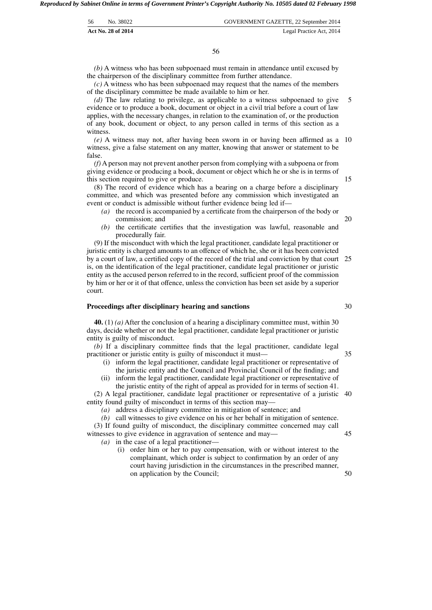| 56 | No. 38022          | GOVERNMENT GAZETTE, 22 September 2014 |
|----|--------------------|---------------------------------------|
|    | Act No. 28 of 2014 | Legal Practice Act, 2014              |

*(b)* A witness who has been subpoenaed must remain in attendance until excused by the chairperson of the disciplinary committee from further attendance.

*(c)* A witness who has been subpoenaed may request that the names of the members of the disciplinary committee be made available to him or her.

*(d)* The law relating to privilege, as applicable to a witness subpoenaed to give evidence or to produce a book, document or object in a civil trial before a court of law applies, with the necessary changes, in relation to the examination of, or the production of any book, document or object, to any person called in terms of this section as a witness. 5

*(e)* A witness may not, after having been sworn in or having been affirmed as a 10 witness, give a false statement on any matter, knowing that answer or statement to be false.

*(f)* A person may not prevent another person from complying with a subpoena or from giving evidence or producing a book, document or object which he or she is in terms of this section required to give or produce.

(8) The record of evidence which has a bearing on a charge before a disciplinary committee, and which was presented before any commission which investigated an event or conduct is admissible without further evidence being led if—

- *(a)* the record is accompanied by a certificate from the chairperson of the body or commission; and
- *(b)* the certificate certifies that the investigation was lawful, reasonable and procedurally fair.

(9) If the misconduct with which the legal practitioner, candidate legal practitioner or juristic entity is charged amounts to an offence of which he, she or it has been convicted by a court of law, a certified copy of the record of the trial and conviction by that court is, on the identification of the legal practitioner, candidate legal practitioner or juristic entity as the accused person referred to in the record, sufficient proof of the commission by him or her or it of that offence, unless the conviction has been set aside by a superior court. 25

#### **Proceedings after disciplinary hearing and sanctions**

**40.** (1) *(a)* After the conclusion of a hearing a disciplinary committee must, within 30 days, decide whether or not the legal practitioner, candidate legal practitioner or juristic entity is guilty of misconduct.

*(b)* If a disciplinary committee finds that the legal practitioner, candidate legal practitioner or juristic entity is guilty of misconduct it must— 35

- (i) inform the legal practitioner, candidate legal practitioner or representative of the juristic entity and the Council and Provincial Council of the finding; and
- (ii) inform the legal practitioner, candidate legal practitioner or representative of the juristic entity of the right of appeal as provided for in terms of section 41.

(2) A legal practitioner, candidate legal practitioner or representative of a juristic 40 entity found guilty of misconduct in terms of this section may—

*(a)* address a disciplinary committee in mitigation of sentence; and

*(b)* call witnesses to give evidence on his or her behalf in mitigation of sentence. (3) If found guilty of misconduct, the disciplinary committee concerned may call witnesses to give evidence in aggravation of sentence and may—

*(a)* in the case of a legal practitioner—

(i) order him or her to pay compensation, with or without interest to the complainant, which order is subject to confirmation by an order of any court having jurisdiction in the circumstances in the prescribed manner, on application by the Council;

45

50

20

15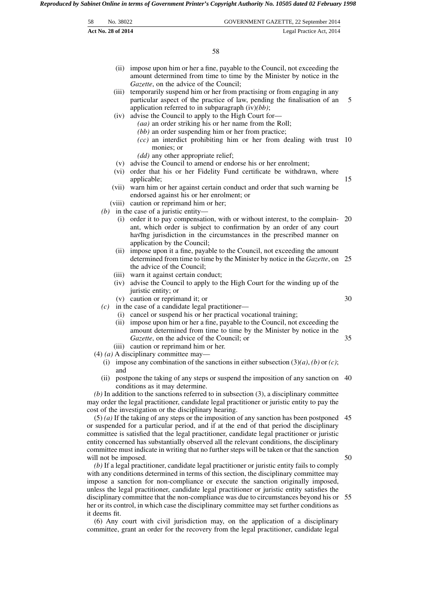| 58 | No. 38022          | GOVERNMENT GAZETTE, 22 September 2014                                                                                                                                                                                                                      |
|----|--------------------|------------------------------------------------------------------------------------------------------------------------------------------------------------------------------------------------------------------------------------------------------------|
|    | Act No. 28 of 2014 | Legal Practice Act, 2014                                                                                                                                                                                                                                   |
|    |                    |                                                                                                                                                                                                                                                            |
|    |                    | 58                                                                                                                                                                                                                                                         |
|    |                    | (ii) impose upon him or her a fine, payable to the Council, not exceeding the<br>amount determined from time to time by the Minister by notice in the<br>Gazette, on the advice of the Council;                                                            |
|    | (iii)              | temporarily suspend him or her from practising or from engaging in any<br>particular aspect of the practice of law, pending the finalisation of an<br>application referred to in subparagraph $(iv)(bb)$ ;                                                 |
|    | (iv)               | advise the Council to apply to the High Court for-<br>(aa) an order striking his or her name from the Roll;                                                                                                                                                |
|    |                    | $(bb)$ an order suspending him or her from practice;<br>$(cc)$ an interdict prohibiting him or her from dealing with trust 10<br>monies; or                                                                                                                |
|    | (vi)               | (dd) any other appropriate relief;<br>(v) advise the Council to amend or endorse his or her enrolment;<br>order that his or her Fidelity Fund certificate be withdrawn, where                                                                              |
|    | (vii)              | applicable;<br>warn him or her against certain conduct and order that such warning be<br>endorsed against his or her enrolment; or                                                                                                                         |
|    |                    | (viii) caution or reprimand him or her;                                                                                                                                                                                                                    |
|    |                    | (b) in the case of a juristic entity—                                                                                                                                                                                                                      |
|    | (1)                | order it to pay compensation, with or without interest, to the complain- 20<br>ant, which order is subject to confirmation by an order of any court<br>having jurisdiction in the circumstances in the prescribed manner on<br>application by the Council; |
|    |                    | (ii) impose upon it a fine, payable to the Council, not exceeding the amount<br>determined from time to time by the Minister by notice in the Gazette, on 25<br>the advice of the Council;                                                                 |
|    | (iv)               | (iii) warn it against certain conduct;<br>advise the Council to apply to the High Court for the winding up of the<br>juristic entity; or                                                                                                                   |
|    | (c)                | (v) caution or reprimand it; or<br>in the case of a candidate legal practitioner-<br>(i) cancel or suspend his or her practical vocational training;                                                                                                       |
|    |                    | (ii) impose upon him or her a fine, payable to the Council, not exceeding the<br>amount determined from time to time by the Minister by notice in the<br>Gazette, on the advice of the Council; or                                                         |
|    |                    | (iii) caution or reprimand him or her.<br>$(4)$ (a) A disciplinary committee may—<br>(i) impose any combination of the sanctions in either subsection $(3)(a)$ , $(b)$ or $(c)$ ;                                                                          |
|    | and<br>(ii)        | postpone the taking of any steps or suspend the imposition of any sanction on 40<br>conditions as it may determine.                                                                                                                                        |
|    |                    | $(b)$ In addition to the sanctions referred to in subsection (3), a disciplinary committee<br>may order the legal practitioner, candidate legal practitioner or juristic entity to pay the<br>cost of the investigation or the disciplinary hearing.       |
|    |                    | $(5)$ (a) If the taking of any steps or the imposition of any sanction has been postponed 45<br>or suspended for a particular period, and if at the end of that period the disciplinary                                                                    |

committee is satisfied that the legal practitioner, candidate legal practitioner or juristic entity concerned has substantially observed all the relevant conditions, the disciplinary committee must indicate in writing that no further steps will be taken or that the sanction will not be imposed. 50

*(b)* If a legal practitioner, candidate legal practitioner or juristic entity fails to comply with any conditions determined in terms of this section, the disciplinary committee may impose a sanction for non-compliance or execute the sanction originally imposed, unless the legal practitioner, candidate legal practitioner or juristic entity satisfies the disciplinary committee that the non-compliance was due to circumstances beyond his or 55 her or its control, in which case the disciplinary committee may set further conditions as it deems fit.

(6) Any court with civil jurisdiction may, on the application of a disciplinary committee, grant an order for the recovery from the legal practitioner, candidate legal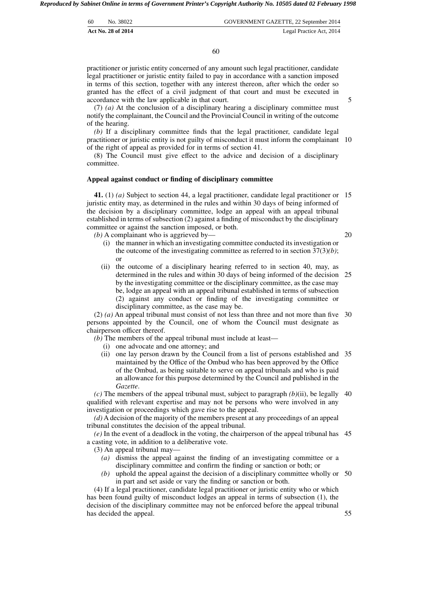| 60 | No. 38022          | GOVERNMENT GAZETTE, 22 September 2014 |
|----|--------------------|---------------------------------------|
|    | Act No. 28 of 2014 | Legal Practice Act, 2014              |

practitioner or juristic entity concerned of any amount such legal practitioner, candidate legal practitioner or juristic entity failed to pay in accordance with a sanction imposed in terms of this section, together with any interest thereon, after which the order so granted has the effect of a civil judgment of that court and must be executed in accordance with the law applicable in that court.

(7) *(a)* At the conclusion of a disciplinary hearing a disciplinary committee must notify the complainant, the Council and the Provincial Council in writing of the outcome of the hearing.

*(b)* If a disciplinary committee finds that the legal practitioner, candidate legal practitioner or juristic entity is not guilty of misconduct it must inform the complainant 10 of the right of appeal as provided for in terms of section 41.

(8) The Council must give effect to the advice and decision of a disciplinary committee.

#### **Appeal against conduct or finding of disciplinary committee**

**41.** (1) *(a)* Subject to section 44, a legal practitioner, candidate legal practitioner or 15 juristic entity may, as determined in the rules and within 30 days of being informed of the decision by a disciplinary committee, lodge an appeal with an appeal tribunal established in terms of subsection (2) against a finding of misconduct by the disciplinary committee or against the sanction imposed, or both.

*(b)* A complainant who is aggrieved by—

20

55

- (i) the manner in which an investigating committee conducted its investigation or the outcome of the investigating committee as referred to in section 37(3)*(b)*; or
- (ii) the outcome of a disciplinary hearing referred to in section 40, may, as determined in the rules and within 30 days of being informed of the decision 25 by the investigating committee or the disciplinary committee, as the case may be, lodge an appeal with an appeal tribunal established in terms of subsection (2) against any conduct or finding of the investigating committee or disciplinary committee, as the case may be.

(2) *(a)* An appeal tribunal must consist of not less than three and not more than five 30 persons appointed by the Council, one of whom the Council must designate as chairperson officer thereof.

*(b)* The members of the appeal tribunal must include at least—

- (i) one advocate and one attorney; and
- (ii) one lay person drawn by the Council from a list of persons established and 35 maintained by the Office of the Ombud who has been approved by the Office of the Ombud, as being suitable to serve on appeal tribunals and who is paid an allowance for this purpose determined by the Council and published in the *Gazette*.

 $(c)$  The members of the appeal tribunal must, subject to paragraph  $(b)(ii)$ , be legally 40 qualified with relevant expertise and may not be persons who were involved in any investigation or proceedings which gave rise to the appeal.

*(d)* A decision of the majority of the members present at any proceedings of an appeal tribunal constitutes the decision of the appeal tribunal.

*(e)* In the event of a deadlock in the voting, the chairperson of the appeal tribunal has 45 a casting vote, in addition to a deliberative vote.

(3) An appeal tribunal may—

- *(a)* dismiss the appeal against the finding of an investigating committee or a disciplinary committee and confirm the finding or sanction or both; or
- *(b)* uphold the appeal against the decision of a disciplinary committee wholly or 50 in part and set aside or vary the finding or sanction or both.

(4) If a legal practitioner, candidate legal practitioner or juristic entity who or which has been found guilty of misconduct lodges an appeal in terms of subsection (1), the decision of the disciplinary committee may not be enforced before the appeal tribunal has decided the appeal.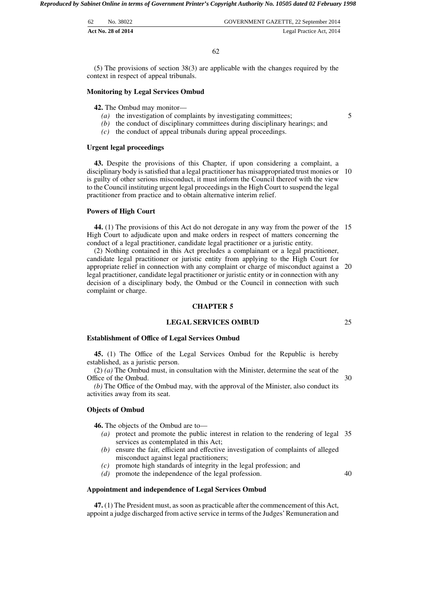| 62 | No. 38022          | GOVERNMENT GAZETTE, 22 September 2014 |
|----|--------------------|---------------------------------------|
|    | Act No. 28 of 2014 | Legal Practice Act, 2014              |

62

(5) The provisions of section 38(3) are applicable with the changes required by the context in respect of appeal tribunals.

## **Monitoring by Legal Services Ombud**

**42.** The Ombud may monitor—

- *(a)* the investigation of complaints by investigating committees;
- *(b)* the conduct of disciplinary committees during disciplinary hearings; and
- *(c)* the conduct of appeal tribunals during appeal proceedings.

#### **Urgent legal proceedings**

**43.** Despite the provisions of this Chapter, if upon considering a complaint, a disciplinary body is satisfied that a legal practitioner has misappropriated trust monies or 10 is guilty of other serious misconduct, it must inform the Council thereof with the view to the Council instituting urgent legal proceedings in the High Court to suspend the legal practitioner from practice and to obtain alternative interim relief.

#### **Powers of High Court**

**44.** (1) The provisions of this Act do not derogate in any way from the power of the 15 High Court to adjudicate upon and make orders in respect of matters concerning the conduct of a legal practitioner, candidate legal practitioner or a juristic entity.

(2) Nothing contained in this Act precludes a complainant or a legal practitioner, candidate legal practitioner or juristic entity from applying to the High Court for appropriate relief in connection with any complaint or charge of misconduct against a 20 legal practitioner, candidate legal practitioner or juristic entity or in connection with any decision of a disciplinary body, the Ombud or the Council in connection with such complaint or charge.

#### **CHAPTER 5**

# **LEGAL SERVICES OMBUD**

# **Establishment of Office of Legal Services Ombud**

**45.** (1) The Office of the Legal Services Ombud for the Republic is hereby established, as a juristic person.

(2) *(a)* The Ombud must, in consultation with the Minister, determine the seat of the Office of the Ombud. 30

*(b)* The Office of the Ombud may, with the approval of the Minister, also conduct its activities away from its seat.

#### **Objects of Ombud**

**46.** The objects of the Ombud are to—

- *(a)* protect and promote the public interest in relation to the rendering of legal 35 services as contemplated in this Act;
- *(b)* ensure the fair, efficient and effective investigation of complaints of alleged misconduct against legal practitioners;
- *(c)* promote high standards of integrity in the legal profession; and
- *(d)* promote the independence of the legal profession.

#### **Appointment and independence of Legal Services Ombud**

**47.** (1) The President must, as soon as practicable after the commencement of this Act, appoint a judge discharged from active service in terms of the Judges'Remuneration and 5

25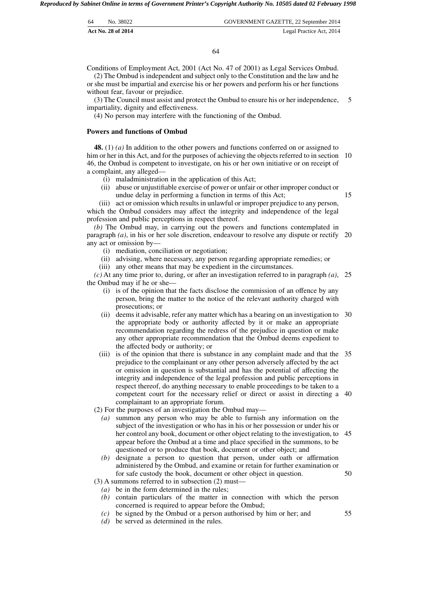| 64 | No. 38022                 | GOVERNMENT GAZETTE, 22 September 2014 |
|----|---------------------------|---------------------------------------|
|    | <b>Act No. 28 of 2014</b> | Legal Practice Act, 2014              |

Conditions of Employment Act, 2001 (Act No. 47 of 2001) as Legal Services Ombud.

(2) The Ombud is independent and subject only to the Constitution and the law and he or she must be impartial and exercise his or her powers and perform his or her functions without fear, favour or prejudice.

(3) The Council must assist and protect the Ombud to ensure his or her independence, impartiality, dignity and effectiveness. 5

(4) No person may interfere with the functioning of the Ombud.

#### **Powers and functions of Ombud**

**48.** (1) *(a)* In addition to the other powers and functions conferred on or assigned to him or her in this Act, and for the purposes of achieving the objects referred to in section 10 46, the Ombud is competent to investigate, on his or her own initiative or on receipt of a complaint, any alleged—

- (i) maladministration in the application of this Act;
- (ii) abuse or unjustifiable exercise of power or unfair or other improper conduct or undue delay in performing a function in terms of this Act;

15

(iii) act or omission which results in unlawful or improper prejudice to any person, which the Ombud considers may affect the integrity and independence of the legal profession and public perceptions in respect thereof.

*(b)* The Ombud may, in carrying out the powers and functions contemplated in paragraph *(a)*, in his or her sole discretion, endeavour to resolve any dispute or rectify 20 any act or omission by—

(i) mediation, conciliation or negotiation;

(ii) advising, where necessary, any person regarding appropriate remedies; or

(iii) any other means that may be expedient in the circumstances.

*(c)* At any time prior to, during, or after an investigation referred to in paragraph *(a)*, 25 the Ombud may if he or she—

- (i) is of the opinion that the facts disclose the commission of an offence by any person, bring the matter to the notice of the relevant authority charged with prosecutions; or
- (ii) deems it advisable, refer any matter which has a bearing on an investigation to 30 the appropriate body or authority affected by it or make an appropriate recommendation regarding the redress of the prejudice in question or make any other appropriate recommendation that the Ombud deems expedient to the affected body or authority; or
- (iii) is of the opinion that there is substance in any complaint made and that the 35 prejudice to the complainant or any other person adversely affected by the act or omission in question is substantial and has the potential of affecting the integrity and independence of the legal profession and public perceptions in respect thereof, do anything necessary to enable proceedings to be taken to a competent court for the necessary relief or direct or assist in directing a 40 complainant to an appropriate forum.

(2) For the purposes of an investigation the Ombud may—

- *(a)* summon any person who may be able to furnish any information on the subject of the investigation or who has in his or her possession or under his or her control any book, document or other object relating to the investigation, to 45 appear before the Ombud at a time and place specified in the summons, to be questioned or to produce that book, document or other object; and
- *(b)* designate a person to question that person, under oath or affirmation administered by the Ombud, and examine or retain for further examination or for safe custody the book, document or other object in question.
- (3) A summons referred to in subsection (2) must—
- *(a)* be in the form determined in the rules;
- *(b)* contain particulars of the matter in connection with which the person concerned is required to appear before the Ombud;
- *(c)* be signed by the Ombud or a person authorised by him or her; and
- *(d)* be served as determined in the rules.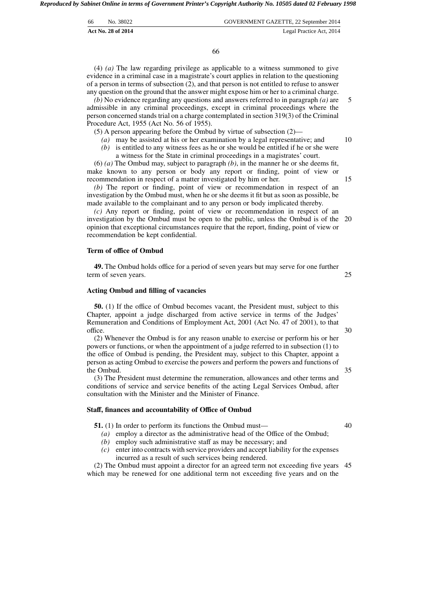| -66 | No. 38022          | GOVERNMENT GAZETTE, 22 September 2014 |
|-----|--------------------|---------------------------------------|
|     | Act No. 28 of 2014 | Legal Practice Act, 2014              |

66

(4) *(a)* The law regarding privilege as applicable to a witness summoned to give evidence in a criminal case in a magistrate's court applies in relation to the questioning of a person in terms of subsection (2), and that person is not entitled to refuse to answer any question on the ground that the answer might expose him or her to a criminal charge.

*(b)* No evidence regarding any questions and answers referred to in paragraph *(a)* are admissible in any criminal proceedings, except in criminal proceedings where the person concerned stands trial on a charge contemplated in section 319(3) of the Criminal Procedure Act, 1955 (Act No. 56 of 1955).

(5) A person appearing before the Ombud by virtue of subsection (2)—

- *(a)* may be assisted at his or her examination by a legal representative; and
- *(b)* is entitled to any witness fees as he or she would be entitled if he or she were
- a witness for the State in criminal proceedings in a magistrates' court.

(6) *(a)* The Ombud may, subject to paragraph *(b)*, in the manner he or she deems fit, make known to any person or body any report or finding, point of view or recommendation in respect of a matter investigated by him or her.

*(b)* The report or finding, point of view or recommendation in respect of an investigation by the Ombud must, when he or she deems it fit but as soon as possible, be made available to the complainant and to any person or body implicated thereby.

*(c)* Any report or finding, point of view or recommendation in respect of an investigation by the Ombud must be open to the public, unless the Ombud is of the opinion that exceptional circumstances require that the report, finding, point of view or recommendation be kept confidential. 20

#### **Term of office of Ombud**

**49.** The Ombud holds office for a period of seven years but may serve for one further term of seven years.

#### **Acting Ombud and filling of vacancies**

**50.** (1) If the office of Ombud becomes vacant, the President must, subject to this Chapter, appoint a judge discharged from active service in terms of the Judges' Remuneration and Conditions of Employment Act, 2001 (Act No. 47 of 2001), to that office.

(2) Whenever the Ombud is for any reason unable to exercise or perform his or her powers or functions, or when the appointment of a judge referred to in subsection (1) to the office of Ombud is pending, the President may, subject to this Chapter, appoint a person as acting Ombud to exercise the powers and perform the powers and functions of the Ombud.

(3) The President must determine the remuneration, allowances and other terms and conditions of service and service benefits of the acting Legal Services Ombud, after consultation with the Minister and the Minister of Finance.

#### **Staff, finances and accountability of Office of Ombud**

**51.** (1) In order to perform its functions the Ombud must—

- *(a)* employ a director as the administrative head of the Office of the Ombud;
- *(b)* employ such administrative staff as may be necessary; and
- *(c)* enter into contracts with service providers and accept liability for the expenses incurred as a result of such services being rendered.

(2) The Ombud must appoint a director for an agreed term not exceeding five years 45 which may be renewed for one additional term not exceeding five years and on the

25

30

35

40

15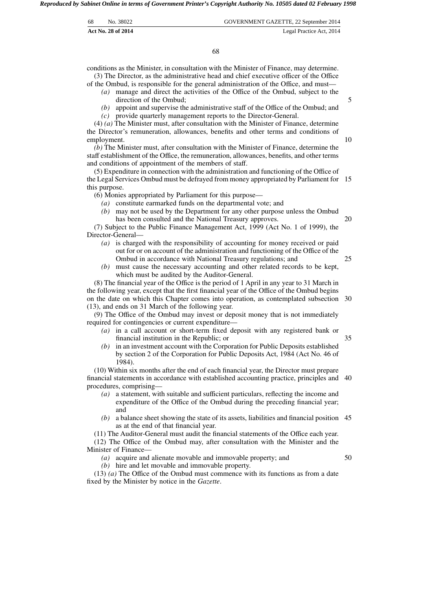| -68 | No. 38022          | GOVERNMENT GAZETTE, 22 September 2014 |
|-----|--------------------|---------------------------------------|
|     | Act No. 28 of 2014 | Legal Practice Act, 2014              |

68

conditions as the Minister, in consultation with the Minister of Finance, may determine. (3) The Director, as the administrative head and chief executive officer of the Office

of the Ombud, is responsible for the general administration of the Office, and must— *(a)* manage and direct the activities of the Office of the Ombud, subject to the

- direction of the Ombud;
- *(b)* appoint and supervise the administrative staff of the Office of the Ombud; and

*(c)* provide quarterly management reports to the Director-General.

(4) *(a)* The Minister must, after consultation with the Minister of Finance, determine the Director's remuneration, allowances, benefits and other terms and conditions of employment.

*(b)* The Minister must, after consultation with the Minister of Finance, determine the staff establishment of the Office, the remuneration, allowances, benefits, and other terms and conditions of appointment of the members of staff.

(5) Expenditure in connection with the administration and functioning of the Office of the Legal Services Ombud must be defrayed from money appropriated by Parliament for 15 this purpose.

(6) Monies appropriated by Parliament for this purpose—

- *(a)* constitute earmarked funds on the departmental vote; and
- *(b)* may not be used by the Department for any other purpose unless the Ombud has been consulted and the National Treasury approves.

(7) Subject to the Public Finance Management Act, 1999 (Act No. 1 of 1999), the Director-General—

- *(a)* is charged with the responsibility of accounting for money received or paid out for or on account of the administration and functioning of the Office of the Ombud in accordance with National Treasury regulations; and 25
- *(b)* must cause the necessary accounting and other related records to be kept, which must be audited by the Auditor-General.

(8) The financial year of the Office is the period of 1 April in any year to 31 March in the following year, except that the first financial year of the Office of the Ombud begins on the date on which this Chapter comes into operation, as contemplated subsection 30 (13), and ends on 31 March of the following year.

(9) The Office of the Ombud may invest or deposit money that is not immediately required for contingencies or current expenditure—

- *(a)* in a call account or short-term fixed deposit with any registered bank or financial institution in the Republic; or 35
- *(b)* in an investment account with the Corporation for Public Deposits established by section 2 of the Corporation for Public Deposits Act, 1984 (Act No. 46 of 1984).

(10) Within six months after the end of each financial year, the Director must prepare financial statements in accordance with established accounting practice, principles and 40 procedures, comprising—

- *(a)* a statement, with suitable and sufficient particulars, reflecting the income and expenditure of the Office of the Ombud during the preceding financial year; and
- *(b)* a balance sheet showing the state of its assets, liabilities and financial position 45 as at the end of that financial year.

(11) The Auditor-General must audit the financial statements of the Office each year. (12) The Office of the Ombud may, after consultation with the Minister and the Minister of Finance—

*(a)* acquire and alienate movable and immovable property; and

*(b)* hire and let movable and immovable property.

50

(13) *(a)* The Office of the Ombud must commence with its functions as from a date fixed by the Minister by notice in the *Gazette*.

5

10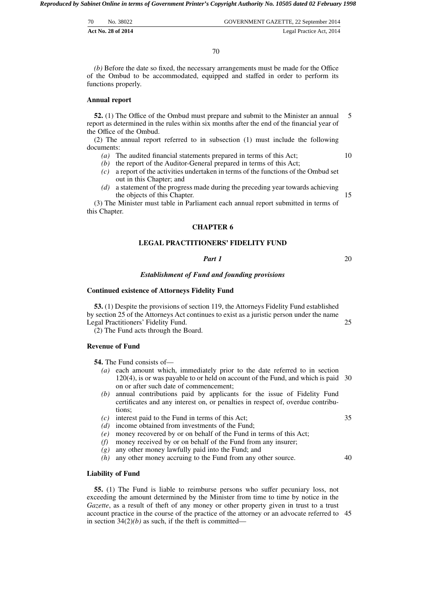| 70 | No. 38022          | GOVERNMENT GAZETTE, 22 September 2014 |
|----|--------------------|---------------------------------------|
|    | Act No. 28 of 2014 | Legal Practice Act, 2014              |

*(b)* Before the date so fixed, the necessary arrangements must be made for the Office of the Ombud to be accommodated, equipped and staffed in order to perform its functions properly.

#### **Annual report**

**52.** (1) The Office of the Ombud must prepare and submit to the Minister an annual report as determined in the rules within six months after the end of the financial year of the Office of the Ombud. 5

(2) The annual report referred to in subsection (1) must include the following documents:

- *(a)* The audited financial statements prepared in terms of this Act;
- *(b)* the report of the Auditor-General prepared in terms of this Act;
- *(c)* a report of the activities undertaken in terms of the functions of the Ombud set out in this Chapter; and
- *(d)* a statement of the progress made during the preceding year towards achieving the objects of this Chapter.

(3) The Minister must table in Parliament each annual report submitted in terms of this Chapter.

#### **CHAPTER 6**

# **LEGAL PRACTITIONERS' FIDELITY FUND**

# *Part 1*

20

25

10

15

# *Establishment of Fund and founding provisions*

#### **Continued existence of Attorneys Fidelity Fund**

**53.** (1) Despite the provisions of section 119, the Attorneys Fidelity Fund established by section 25 of the Attorneys Act continues to exist as a juristic person under the name Legal Practitioners' Fidelity Fund.

(2) The Fund acts through the Board.

# **Revenue of Fund**

**54.** The Fund consists of—

- *(a)* each amount which, immediately prior to the date referred to in section 120(4), is or was payable to or held on account of the Fund, and which is paid 30 on or after such date of commencement;
- *(b)* annual contributions paid by applicants for the issue of Fidelity Fund certificates and any interest on, or penalties in respect of, overdue contributions;
- *(c)* interest paid to the Fund in terms of this Act;
- *(d)* income obtained from investments of the Fund;
- *(e)* money recovered by or on behalf of the Fund in terms of this Act;
- *(f)* money received by or on behalf of the Fund from any insurer;
- *(g)* any other money lawfully paid into the Fund; and
- *(h)* any other money accruing to the Fund from any other source.

# **Liability of Fund**

**55.** (1) The Fund is liable to reimburse persons who suffer pecuniary loss, not exceeding the amount determined by the Minister from time to time by notice in the *Gazette*, as a result of theft of any money or other property given in trust to a trust account practice in the course of the practice of the attorney or an advocate referred to 45 in section  $34(2)(b)$  as such, if the theft is committed—

35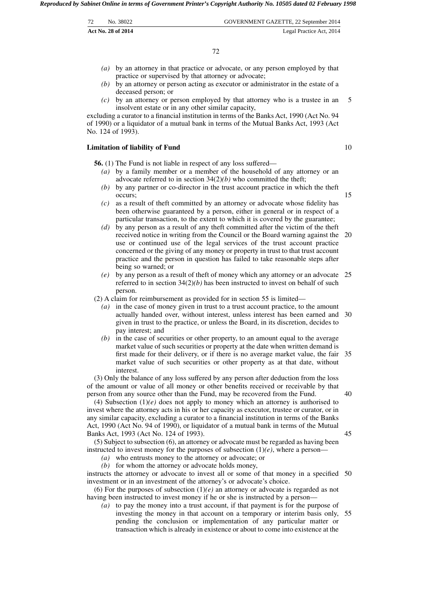| 72 | No. 38022          | GOVERNMENT GAZETTE, 22 September 2014 |
|----|--------------------|---------------------------------------|
|    | Act No. 28 of 2014 | Legal Practice Act, 2014              |

- *(a)* by an attorney in that practice or advocate, or any person employed by that practice or supervised by that attorney or advocate;
- *(b)* by an attorney or person acting as executor or administrator in the estate of a deceased person; or
- *(c)* by an attorney or person employed by that attorney who is a trustee in an insolvent estate or in any other similar capacity, 5

excluding a curator to a financial institution in terms of the Banks Act, 1990 (Act No. 94 of 1990) or a liquidator of a mutual bank in terms of the Mutual Banks Act, 1993 (Act No. 124 of 1993).

#### **Limitation of liability of Fund**

**56.** (1) The Fund is not liable in respect of any loss suffered—

- *(a)* by a family member or a member of the household of any attorney or an advocate referred to in section 34(2)*(b)* who committed the theft;
- *(b)* by any partner or co-director in the trust account practice in which the theft occurs;
- *(c)* as a result of theft committed by an attorney or advocate whose fidelity has been otherwise guaranteed by a person, either in general or in respect of a particular transaction, to the extent to which it is covered by the guarantee;
- *(d)* by any person as a result of any theft committed after the victim of the theft received notice in writing from the Council or the Board warning against the 20 use or continued use of the legal services of the trust account practice concerned or the giving of any money or property in trust to that trust account practice and the person in question has failed to take reasonable steps after being so warned; or
- *(e)* by any person as a result of theft of money which any attorney or an advocate 25 referred to in section 34(2)*(b)* has been instructed to invest on behalf of such person.

(2) A claim for reimbursement as provided for in section 55 is limited—

- *(a)* in the case of money given in trust to a trust account practice, to the amount actually handed over, without interest, unless interest has been earned and 30 given in trust to the practice, or unless the Board, in its discretion, decides to pay interest; and
- *(b)* in the case of securities or other property, to an amount equal to the average market value of such securities or property at the date when written demand is first made for their delivery, or if there is no average market value, the fair 35 market value of such securities or other property as at that date, without interest.

(3) Only the balance of any loss suffered by any person after deduction from the loss of the amount or value of all money or other benefits received or receivable by that person from any source other than the Fund, may be recovered from the Fund.

(4) Subsection (1)*(e)* does not apply to money which an attorney is authorised to invest where the attorney acts in his or her capacity as executor, trustee or curator, or in any similar capacity, excluding a curator to a financial institution in terms of the Banks Act, 1990 (Act No. 94 of 1990), or liquidator of a mutual bank in terms of the Mutual Banks Act, 1993 (Act No. 124 of 1993).

45

40

(5) Subject to subsection (6), an attorney or advocate must be regarded as having been instructed to invest money for the purposes of subsection  $(1)(e)$ , where a person-

*(a)* who entrusts money to the attorney or advocate; or

*(b)* for whom the attorney or advocate holds money,

instructs the attorney or advocate to invest all or some of that money in a specified 50 investment or in an investment of the attorney's or advocate's choice.

(6) For the purposes of subsection  $(1)(e)$  an attorney or advocate is regarded as not having been instructed to invest money if he or she is instructed by a person—

*(a)* to pay the money into a trust account, if that payment is for the purpose of investing the money in that account on a temporary or interim basis only, 55 pending the conclusion or implementation of any particular matter or transaction which is already in existence or about to come into existence at the

10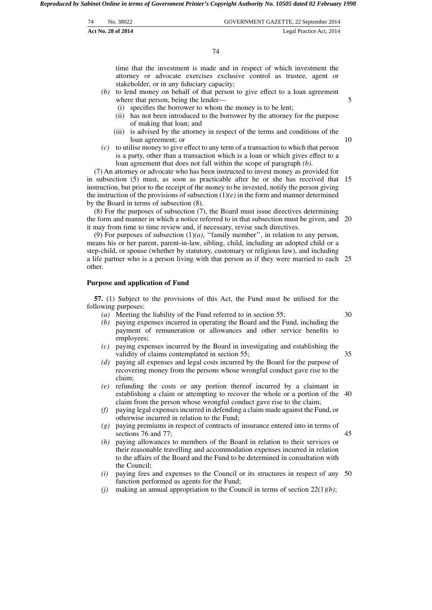| 74 | No. 38022          | GOVERNMENT GAZETTE, 22 September 2014 |
|----|--------------------|---------------------------------------|
|    | Act No. 28 of 2014 | Legal Practice Act, 2014              |

74

time that the investment is made and in respect of which investment the attorney or advocate exercises exclusive control as trustee, agent or stakeholder, or in any fiduciary capacity;

- *(b)* to lend money on behalf of that person to give effect to a loan agreement where that person, being the lender—
	- (i) specifies the borrower to whom the money is to be lent;
	- (ii) has not been introduced to the borrower by the attorney for the purpose of making that loan; and
	- (iii) is advised by the attorney in respect of the terms and conditions of the loan agreement; or
- *(c)* to utilise money to give effect to any term of a transaction to which that person is a party, other than a transaction which is a loan or which gives effect to a loan agreement that does not fall within the scope of paragraph *(b)*.

(7) An attorney or advocate who has been instructed to invest money as provided for in subsection (5) must, as soon as practicable after he or she has received that 15 instruction, but prior to the receipt of the money to be invested, notify the person giving the instruction of the provisions of subsection  $(1)(e)$  in the form and manner determined by the Board in terms of subsection (8).

(8) For the purposes of subsection (7), the Board must issue directives determining the form and manner in which a notice referred to in that subsection must be given, and 20 it may from time to time review and, if necessary, revise such directives.

(9) For purposes of subsection  $(1)(a)$ , "family member", in relation to any person, means his or her parent, parent-in-law, sibling, child, including an adopted child or a step-child, or spouse (whether by statutory, customary or religious law), and including a life partner who is a person living with that person as if they were married to each 25 other.

#### **Purpose and application of Fund**

**57.** (1) Subject to the provisions of this Act, the Fund must be utilised for the following purposes:

*(a)* Meeting the liability of the Fund referred to in section 55;

30

45

5

- *(b)* paying expenses incurred in operating the Board and the Fund, including the payment of remuneration or allowances and other service benefits to employees;
- *(c)* paying expenses incurred by the Board in investigating and establishing the validity of claims contemplated in section 55; 35
- *(d)* paying all expenses and legal costs incurred by the Board for the purpose of recovering money from the persons whose wrongful conduct gave rise to the claim;
- *(e)* refunding the costs or any portion thereof incurred by a claimant in establishing a claim or attempting to recover the whole or a portion of the 40 claim from the person whose wrongful conduct gave rise to the claim;
- *(f)* paying legal expenses incurred in defending a claim made against the Fund, or otherwise incurred in relation to the Fund;
- *(g)* paying premiums in respect of contracts of insurance entered into in terms of sections 76 and 77;
- *(h)* paying allowances to members of the Board in relation to their services or their reasonable travelling and accommodation expenses incurred in relation to the affairs of the Board and the Fund to be determined in consultation with the Council;
- *(i)* paying fees and expenses to the Council or its structures in respect of any 50 function performed as agents for the Fund;
- *(i)* making an annual appropriation to the Council in terms of section  $22(1)(b)$ ;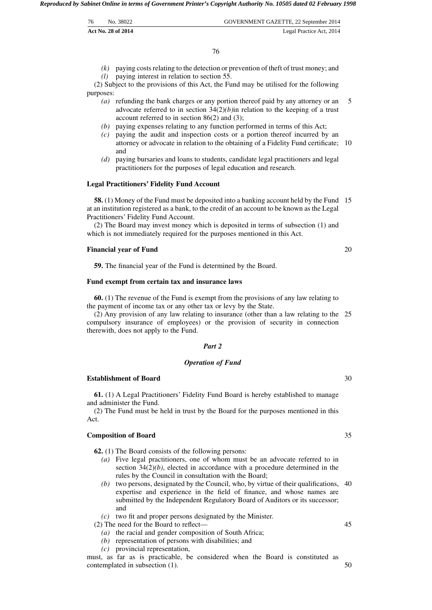| 76 | No. 38022          | GOVERNMENT GAZETTE, 22 September 2014 |
|----|--------------------|---------------------------------------|
|    | Act No. 28 of 2014 | Legal Practice Act, 2014              |

*(k)* paying costs relating to the detection or prevention of theft of trust money; and

*(l)* paying interest in relation to section 55. (2) Subject to the provisions of this Act, the Fund may be utilised for the following purposes:

- *(a)* refunding the bank charges or any portion thereof paid by any attorney or an advocate referred to in section 34(2)*(b)*in relation to the keeping of a trust account referred to in section 86(2) and (3); 5
- *(b)* paying expenses relating to any function performed in terms of this Act;
- *(c)* paying the audit and inspection costs or a portion thereof incurred by an attorney or advocate in relation to the obtaining of a Fidelity Fund certificate; 10 and
- *(d)* paying bursaries and loans to students, candidate legal practitioners and legal practitioners for the purposes of legal education and research.

#### **Legal Practitioners' Fidelity Fund Account**

**58.** (1) Money of the Fund must be deposited into a banking account held by the Fund 15 at an institution registered as a bank, to the credit of an account to be known as the Legal Practitioners' Fidelity Fund Account.

(2) The Board may invest money which is deposited in terms of subsection (1) and which is not immediately required for the purposes mentioned in this Act.

#### **Financial year of Fund**

**59.** The financial year of the Fund is determined by the Board.

#### **Fund exempt from certain tax and insurance laws**

**60.** (1) The revenue of the Fund is exempt from the provisions of any law relating to the payment of income tax or any other tax or levy by the State.

(2) Any provision of any law relating to insurance (other than a law relating to the 25 compulsory insurance of employees) or the provision of security in connection therewith, does not apply to the Fund.

# *Part 2*

#### *Operation of Fund*

# **Establishment of Board**

**61.** (1) A Legal Practitioners' Fidelity Fund Board is hereby established to manage and administer the Fund.

(2) The Fund must be held in trust by the Board for the purposes mentioned in this Act.

#### **Composition of Board**

**62.** (1) The Board consists of the following persons:

- *(a)* Five legal practitioners, one of whom must be an advocate referred to in section 34(2)*(b)*, elected in accordance with a procedure determined in the rules by the Council in consultation with the Board;
- *(b)* two persons, designated by the Council, who, by virtue of their qualifications, 40 expertise and experience in the field of finance, and whose names are submitted by the Independent Regulatory Board of Auditors or its successor; and
- *(c)* two fit and proper persons designated by the Minister.

(2) The need for the Board to reflect—

- *(a)* the racial and gender composition of South Africa;
- *(b)* representation of persons with disabilities; and
- *(c)* provincial representation,

must, as far as is practicable, be considered when the Board is constituted as contemplated in subsection (1). 50

30

35

20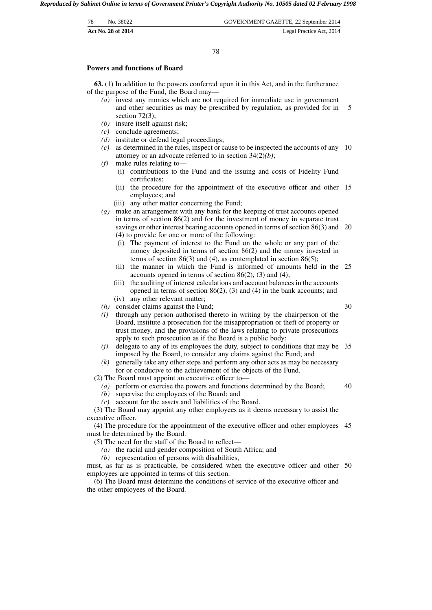| 78 | No. 38022          | GOVERNMENT GAZETTE, 22 September 2014 |
|----|--------------------|---------------------------------------|
|    | Act No. 28 of 2014 | Legal Practice Act, 2014              |

78

#### **Powers and functions of Board**

**63.** (1) In addition to the powers conferred upon it in this Act, and in the furtherance of the purpose of the Fund, the Board may—

- *(a)* invest any monies which are not required for immediate use in government and other securities as may be prescribed by regulation, as provided for in section 72(3); 5
- *(b)* insure itself against risk;
- *(c)* conclude agreements;
- *(d)* institute or defend legal proceedings;
- *(e)* as determined in the rules, inspect or cause to be inspected the accounts of any 10 attorney or an advocate referred to in section 34(2)*(b)*;
- *(f)* make rules relating to—
	- (i) contributions to the Fund and the issuing and costs of Fidelity Fund certificates;
	- (ii) the procedure for the appointment of the executive officer and other 15 employees; and
	- (iii) any other matter concerning the Fund;

*(g)* make an arrangement with any bank for the keeping of trust accounts opened in terms of section 86(2) and for the investment of money in separate trust savings or other interest bearing accounts opened in terms of section 86(3) and 20 (4) to provide for one or more of the following:

- (i) The payment of interest to the Fund on the whole or any part of the money deposited in terms of section 86(2) and the money invested in terms of section  $86(3)$  and  $(4)$ , as contemplated in section  $86(5)$ ;
- (ii) the manner in which the Fund is informed of amounts held in the 25 accounts opened in terms of section  $86(2)$ , (3) and (4);
- (iii) the auditing of interest calculations and account balances in the accounts opened in terms of section 86(2), (3) and (4) in the bank accounts; and
- (iv) any other relevant matter;
- *(h)* consider claims against the Fund;
- *(i)* through any person authorised thereto in writing by the chairperson of the Board, institute a prosecution for the misappropriation or theft of property or trust money, and the provisions of the laws relating to private prosecutions apply to such prosecution as if the Board is a public body;
- *(j)* delegate to any of its employees the duty, subject to conditions that may be 35 imposed by the Board, to consider any claims against the Fund; and
- *(k)* generally take any other steps and perform any other acts as may be necessary for or conducive to the achievement of the objects of the Fund.
- (2) The Board must appoint an executive officer to—
	- *(a)* perform or exercise the powers and functions determined by the Board; 40
	- *(b)* supervise the employees of the Board; and
	- *(c)* account for the assets and liabilities of the Board.

(3) The Board may appoint any other employees as it deems necessary to assist the executive officer.

(4) The procedure for the appointment of the executive officer and other employees 45 must be determined by the Board.

- (5) The need for the staff of the Board to reflect—
	- *(a)* the racial and gender composition of South Africa; and
	- *(b)* representation of persons with disabilities,

must, as far as is practicable, be considered when the executive officer and other 50 employees are appointed in terms of this section.

(6) The Board must determine the conditions of service of the executive officer and the other employees of the Board.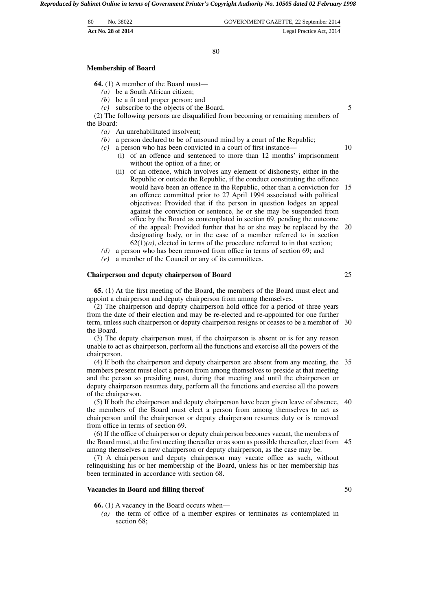80

#### **Membership of Board**

**64.** (1) A member of the Board must—

- *(a)* be a South African citizen;
- *(b)* be a fit and proper person; and
- *(c)* subscribe to the objects of the Board.

(2) The following persons are disqualified from becoming or remaining members of the Board:

- *(a)* An unrehabilitated insolvent;
- *(b)* a person declared to be of unsound mind by a court of the Republic;
- *(c)* a person who has been convicted in a court of first instance—
	- (i) of an offence and sentenced to more than 12 months' imprisonment without the option of a fine; or
	- (ii) of an offence, which involves any element of dishonesty, either in the Republic or outside the Republic, if the conduct constituting the offence would have been an offence in the Republic, other than a conviction for 15 an offence committed prior to 27 April 1994 associated with political objectives: Provided that if the person in question lodges an appeal against the conviction or sentence, he or she may be suspended from office by the Board as contemplated in section 69, pending the outcome of the appeal: Provided further that he or she may be replaced by the 20 designating body, or in the case of a member referred to in section  $62(1)(a)$ , elected in terms of the procedure referred to in that section;
- *(d)* a person who has been removed from office in terms of section 69; and
- *(e)* a member of the Council or any of its committees.

# **Chairperson and deputy chairperson of Board**

**65.** (1) At the first meeting of the Board, the members of the Board must elect and appoint a chairperson and deputy chairperson from among themselves.

(2) The chairperson and deputy chairperson hold office for a period of three years from the date of their election and may be re-elected and re-appointed for one further term, unless such chairperson or deputy chairperson resigns or ceases to be a member of 30 the Board.

(3) The deputy chairperson must, if the chairperson is absent or is for any reason unable to act as chairperson, perform all the functions and exercise all the powers of the chairperson.

(4) If both the chairperson and deputy chairperson are absent from any meeting, the 35 members present must elect a person from among themselves to preside at that meeting and the person so presiding must, during that meeting and until the chairperson or deputy chairperson resumes duty, perform all the functions and exercise all the powers of the chairperson.

(5) If both the chairperson and deputy chairperson have been given leave of absence, 40 the members of the Board must elect a person from among themselves to act as chairperson until the chairperson or deputy chairperson resumes duty or is removed from office in terms of section 69.

(6) If the office of chairperson or deputy chairperson becomes vacant, the members of the Board must, at the first meeting thereafter or as soon as possible thereafter, elect from 45 among themselves a new chairperson or deputy chairperson, as the case may be.

(7) A chairperson and deputy chairperson may vacate office as such, without relinquishing his or her membership of the Board, unless his or her membership has been terminated in accordance with section 68.

#### **Vacancies in Board and filling thereof**

**66.** (1) A vacancy in the Board occurs when—

*(a)* the term of office of a member expires or terminates as contemplated in section 68:

25

50

5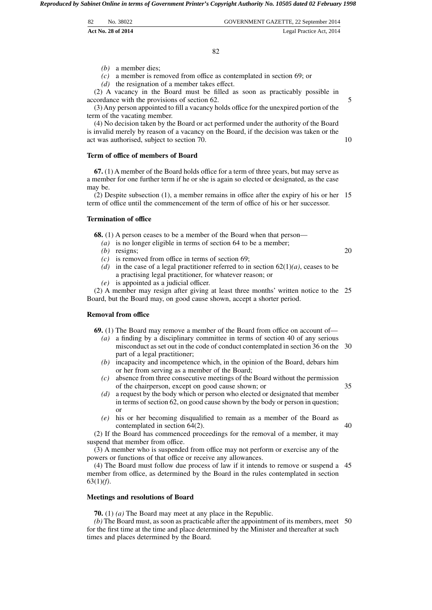| 82<br>GOVERNMENT GAZETTE, 22 September 2014<br>No. 38022 |  |
|----------------------------------------------------------|--|

*(b)* a member dies;

*(c)* a member is removed from office as contemplated in section 69; or

*(d)* the resignation of a member takes effect.

(2) A vacancy in the Board must be filled as soon as practicably possible in accordance with the provisions of section 62.

(3) Any person appointed to fill a vacancy holds office for the unexpired portion of the term of the vacating member.

(4) No decision taken by the Board or act performed under the authority of the Board is invalid merely by reason of a vacancy on the Board, if the decision was taken or the act was authorised, subject to section 70.

#### **Term of office of members of Board**

**67.** (1) A member of the Board holds office for a term of three years, but may serve as a member for one further term if he or she is again so elected or designated, as the case may be.

(2) Despite subsection (1), a member remains in office after the expiry of his or her 15 term of office until the commencement of the term of office of his or her successor.

# **Termination of office**

**68.** (1) A person ceases to be a member of the Board when that person—

- *(a)* is no longer eligible in terms of section 64 to be a member;
- *(b)* resigns;
- *(c)* is removed from office in terms of section 69;
- *(d)* in the case of a legal practitioner referred to in section  $62(1)(a)$ , ceases to be a practising legal practitioner, for whatever reason; or
- *(e)* is appointed as a judicial officer.

(2) A member may resign after giving at least three months' written notice to the 25 Board, but the Board may, on good cause shown, accept a shorter period.

#### **Removal from office**

**69.** (1) The Board may remove a member of the Board from office on account of—

- *(a)* a finding by a disciplinary committee in terms of section 40 of any serious misconduct as set out in the code of conduct contemplated in section 36 on the 30 part of a legal practitioner;
- *(b)* incapacity and incompetence which, in the opinion of the Board, debars him or her from serving as a member of the Board;
- *(c)* absence from three consecutive meetings of the Board without the permission of the chairperson, except on good cause shown; or
- *(d)* a request by the body which or person who elected or designated that member in terms of section 62, on good cause shown by the body or person in question; or
- *(e)* his or her becoming disqualified to remain as a member of the Board as contemplated in section 64(2).

(2) If the Board has commenced proceedings for the removal of a member, it may suspend that member from office.

(3) A member who is suspended from office may not perform or exercise any of the powers or functions of that office or receive any allowances.

(4) The Board must follow due process of law if it intends to remove or suspend a 45 member from office, as determined by the Board in the rules contemplated in section 63(1)*(f)*.

#### **Meetings and resolutions of Board**

**70.** (1) *(a)* The Board may meet at any place in the Republic.

*(b)* The Board must, as soon as practicable after the appointment of its members, meet 50 for the first time at the time and place determined by the Minister and thereafter at such times and places determined by the Board.

20

35

40

5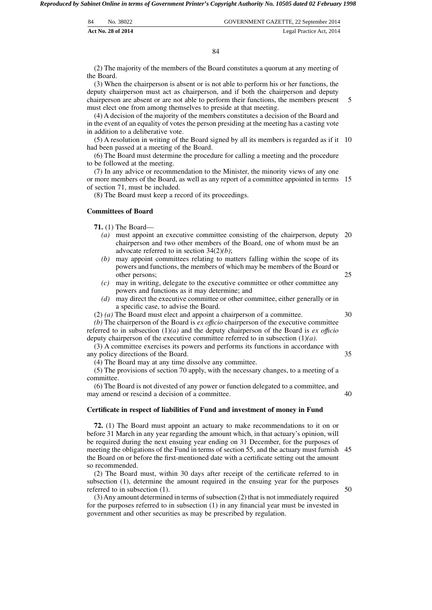| 84 | No. 38022          | GOVERNMENT GAZETTE, 22 September 2014 |
|----|--------------------|---------------------------------------|
|    | Act No. 28 of 2014 | Legal Practice Act, 2014              |

(2) The majority of the members of the Board constitutes a quorum at any meeting of the Board.

(3) When the chairperson is absent or is not able to perform his or her functions, the deputy chairperson must act as chairperson, and if both the chairperson and deputy chairperson are absent or are not able to perform their functions, the members present must elect one from among themselves to preside at that meeting. 5

(4) A decision of the majority of the members constitutes a decision of the Board and in the event of an equality of votes the person presiding at the meeting has a casting vote in addition to a deliberative vote.

(5) A resolution in writing of the Board signed by all its members is regarded as if it 10 had been passed at a meeting of the Board.

(6) The Board must determine the procedure for calling a meeting and the procedure to be followed at the meeting.

(7) In any advice or recommendation to the Minister, the minority views of any one or more members of the Board, as well as any report of a committee appointed in terms 15 of section 71, must be included.

(8) The Board must keep a record of its proceedings.

# **Committees of Board**

**71.** (1) The Board—

- *(a)* must appoint an executive committee consisting of the chairperson, deputy 20 chairperson and two other members of the Board, one of whom must be an advocate referred to in section 34(2)*(b)*;
- *(b)* may appoint committees relating to matters falling within the scope of its powers and functions, the members of which may be members of the Board or other persons;
- *(c)* may in writing, delegate to the executive committee or other committee any powers and functions as it may determine; and
- *(d)* may direct the executive committee or other committee, either generally or in a specific case, to advise the Board.
- (2) *(a)* The Board must elect and appoint a chairperson of a committee.

*(b)* The chairperson of the Board is *ex offıcio* chairperson of the executive committee referred to in subsection (1)*(a)* and the deputy chairperson of the Board is *ex offıcio* deputy chairperson of the executive committee referred to in subsection (1)*(a)*.

(3) A committee exercises its powers and performs its functions in accordance with any policy directions of the Board. 35

(4) The Board may at any time dissolve any committee.

(5) The provisions of section 70 apply, with the necessary changes, to a meeting of a committee.

(6) The Board is not divested of any power or function delegated to a committee, and may amend or rescind a decision of a committee.

#### **Certificate in respect of liabilities of Fund and investment of money in Fund**

**72.** (1) The Board must appoint an actuary to make recommendations to it on or before 31 March in any year regarding the amount which, in that actuary's opinion, will be required during the next ensuing year ending on 31 December, for the purposes of meeting the obligations of the Fund in terms of section 55, and the actuary must furnish 45 the Board on or before the first-mentioned date with a certificate setting out the amount so recommended.

(2) The Board must, within 30 days after receipt of the certificate referred to in subsection (1), determine the amount required in the ensuing year for the purposes referred to in subsection (1).

(3) Any amount determined in terms of subsection (2) that is not immediately required for the purposes referred to in subsection (1) in any financial year must be invested in government and other securities as may be prescribed by regulation.

30

40

50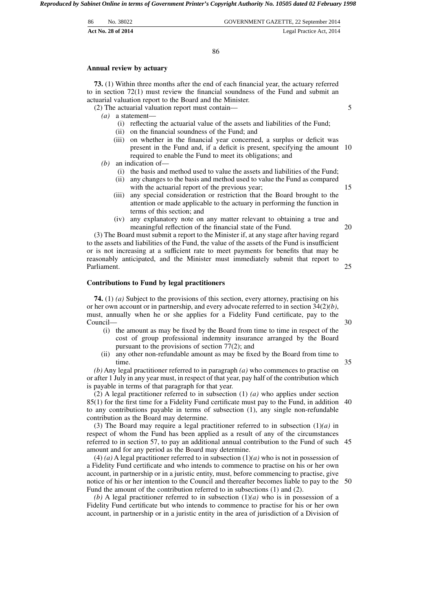| -86 | No. 38022          | GOVERNMENT GAZETTE, 22 September 2014 |
|-----|--------------------|---------------------------------------|
|     | Act No. 28 of 2014 | Legal Practice Act, 2014              |

86

#### **Annual review by actuary**

**73.** (1) Within three months after the end of each financial year, the actuary referred to in section 72(1) must review the financial soundness of the Fund and submit an actuarial valuation report to the Board and the Minister.

(2) The actuarial valuation report must contain—

- *(a)* a statement—
	- (i) reflecting the actuarial value of the assets and liabilities of the Fund;
	- (ii) on the financial soundness of the Fund; and
	- (iii) on whether in the financial year concerned, a surplus or deficit was present in the Fund and, if a deficit is present, specifying the amount 10 required to enable the Fund to meet its obligations; and
- *(b)* an indication of—
	- (i) the basis and method used to value the assets and liabilities of the Fund;
	- (ii) any changes to the basis and method used to value the Fund as compared with the actuarial report of the previous year;
	- (iii) any special consideration or restriction that the Board brought to the attention or made applicable to the actuary in performing the function in terms of this section; and
	- (iv) any explanatory note on any matter relevant to obtaining a true and meaningful reflection of the financial state of the Fund. 20

(3) The Board must submit a report to the Minister if, at any stage after having regard to the assets and liabilities of the Fund, the value of the assets of the Fund is insufficient or is not increasing at a sufficient rate to meet payments for benefits that may be reasonably anticipated, and the Minister must immediately submit that report to Parliament.

# **Contributions to Fund by legal practitioners**

**74.** (1) *(a)* Subject to the provisions of this section, every attorney, practising on his or her own account or in partnership, and every advocate referred to in section 34(2)*(b)*, must, annually when he or she applies for a Fidelity Fund certificate, pay to the Council—

- (i) the amount as may be fixed by the Board from time to time in respect of the cost of group professional indemnity insurance arranged by the Board pursuant to the provisions of section 77(2); and
- (ii) any other non-refundable amount as may be fixed by the Board from time to time.

*(b)* Any legal practitioner referred to in paragraph *(a)* who commences to practise on or after 1 July in any year must, in respect of that year, pay half of the contribution which is payable in terms of that paragraph for that year.

(2) A legal practitioner referred to in subsection (1) *(a)* who applies under section 85(1) for the first time for a Fidelity Fund certificate must pay to the Fund, in addition 40 to any contributions payable in terms of subsection (1), any single non-refundable contribution as the Board may determine.

(3) The Board may require a legal practitioner referred to in subsection (1)*(a)* in respect of whom the Fund has been applied as a result of any of the circumstances referred to in section 57, to pay an additional annual contribution to the Fund of such 45 amount and for any period as the Board may determine.

 $(4)$  *(a)* A legal practitioner referred to in subsection  $(1)(a)$  who is not in possession of a Fidelity Fund certificate and who intends to commence to practise on his or her own account, in partnership or in a juristic entity, must, before commencing to practise, give notice of his or her intention to the Council and thereafter becomes liable to pay to the 50 Fund the amount of the contribution referred to in subsections (1) and (2).

*(b)* A legal practitioner referred to in subsection (1)*(a)* who is in possession of a Fidelity Fund certificate but who intends to commence to practise for his or her own account, in partnership or in a juristic entity in the area of jurisdiction of a Division of

30

35

25

5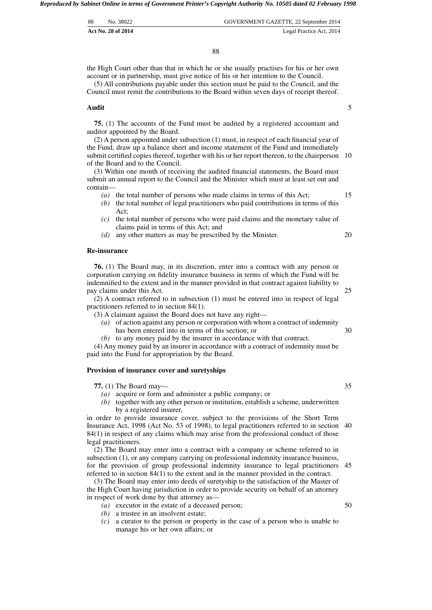|    | Act No. 28 of 2014 | Legal Practice Act, 2014              |
|----|--------------------|---------------------------------------|
| 88 | No. 38022          | GOVERNMENT GAZETTE, 22 September 2014 |

the High Court other than that in which he or she usually practises for his or her own account or in partnership, must give notice of his or her intention to the Council.

(5) All contributions payable under this section must be paid to the Council, and the Council must remit the contributions to the Board within seven days of receipt thereof.

#### **Audit**

**75.** (1) The accounts of the Fund must be audited by a registered accountant and auditor appointed by the Board.

(2) A person appointed under subsection (1) must, in respect of each financial year of the Fund, draw up a balance sheet and income statement of the Fund and immediately submit certified copies thereof, together with his or her report thereon, to the chairperson 10 of the Board and to the Council.

(3) Within one month of receiving the audited financial statements, the Board must submit an annual report to the Council and the Minister which must at least set out and contain—

- *(a)* the total number of persons who made claims in terms of this Act;
- *(b)* the total number of legal practitioners who paid contributions in terms of this Act;
- *(c)* the total number of persons who were paid claims and the monetary value of claims paid in terms of this Act; and
- *(d)* any other matters as may be prescribed by the Minister.

#### **Re-insurance**

**76.** (1) The Board may, in its discretion, enter into a contract with any person or corporation carrying on fidelity insurance business in terms of which the Fund will be indemnified to the extent and in the manner provided in that contract against liability to pay claims under this Act.

(2) A contract referred to in subsection (1) must be entered into in respect of legal practitioners referred to in section 84(1).

(3) A claimant against the Board does not have any right—

- *(a)* of action against any person or corporation with whom a contract of indemnity has been entered into in terms of this section; or
- *(b)* to any money paid by the insurer in accordance with that contract.

(4) Any money paid by an insurer in accordance with a contract of indemnity must be paid into the Fund for appropriation by the Board.

#### **Provision of insurance cover and suretyships**

**77.** (1) The Board may—

- *(a)* acquire or form and administer a public company; or
- *(b)* together with any other person or institution, establish a scheme, underwritten by a registered insurer,

in order to provide insurance cover, subject to the provisions of the Short Term Insurance Act, 1998 (Act No. 53 of 1998), to legal practitioners referred to in section 40 84(1) in respect of any claims which may arise from the professional conduct of those legal practitioners.

(2) The Board may enter into a contract with a company or scheme referred to in subsection (1), or any company carrying on professional indemnity insurance business, for the provision of group professional indemnity insurance to legal practitioners 45 referred to in section 84(1) to the extent and in the manner provided in the contract.

(3) The Board may enter into deeds of suretyship to the satisfaction of the Master of the High Court having jurisdiction in order to provide security on behalf of an attorney in respect of work done by that attorney as—

- *(a)* executor in the estate of a deceased person;
- *(b)* a trustee in an insolvent estate;
- *(c)* a curator to the person or property in the case of a person who is unable to manage his or her own affairs; or

#### 20

15

5

30

25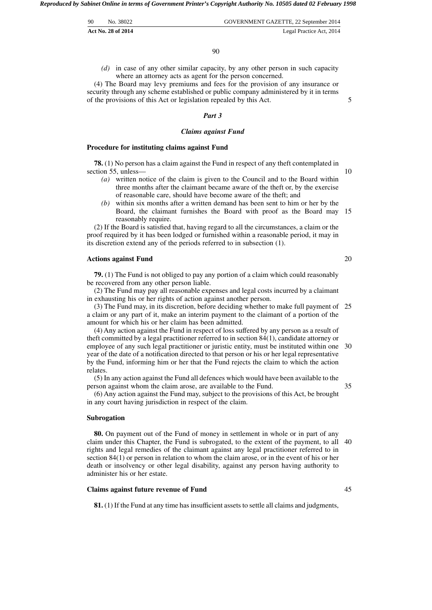| 90 | No. 38022          | GOVERNMENT GAZETTE, 22 September 2014 |
|----|--------------------|---------------------------------------|
|    | Act No. 28 of 2014 | Legal Practice Act, 2014              |

*(d)* in case of any other similar capacity, by any other person in such capacity where an attorney acts as agent for the person concerned.

(4) The Board may levy premiums and fees for the provision of any insurance or security through any scheme established or public company administered by it in terms of the provisions of this Act or legislation repealed by this Act.

# *Part 3*

#### *Claims against Fund*

#### **Procedure for instituting claims against Fund**

**78.** (1) No person has a claim against the Fund in respect of any theft contemplated in section 55, unless—

- *(a)* written notice of the claim is given to the Council and to the Board within three months after the claimant became aware of the theft or, by the exercise of reasonable care, should have become aware of the theft; and
- *(b)* within six months after a written demand has been sent to him or her by the Board, the claimant furnishes the Board with proof as the Board may 15 reasonably require.

(2) If the Board is satisfied that, having regard to all the circumstances, a claim or the proof required by it has been lodged or furnished within a reasonable period, it may in its discretion extend any of the periods referred to in subsection (1).

#### **Actions against Fund**

**79.** (1) The Fund is not obliged to pay any portion of a claim which could reasonably be recovered from any other person liable.

(2) The Fund may pay all reasonable expenses and legal costs incurred by a claimant in exhausting his or her rights of action against another person.

(3) The Fund may, in its discretion, before deciding whether to make full payment of 25 a claim or any part of it, make an interim payment to the claimant of a portion of the amount for which his or her claim has been admitted.

(4) Any action against the Fund in respect of loss suffered by any person as a result of theft committed by a legal practitioner referred to in section 84(1), candidate attorney or employee of any such legal practitioner or juristic entity, must be instituted within one 30 year of the date of a notification directed to that person or his or her legal representative by the Fund, informing him or her that the Fund rejects the claim to which the action relates.

(5) In any action against the Fund all defences which would have been available to the person against whom the claim arose, are available to the Fund.

35

(6) Any action against the Fund may, subject to the provisions of this Act, be brought in any court having jurisdiction in respect of the claim.

#### **Subrogation**

**80.** On payment out of the Fund of money in settlement in whole or in part of any claim under this Chapter, the Fund is subrogated, to the extent of the payment, to all 40 rights and legal remedies of the claimant against any legal practitioner referred to in section 84(1) or person in relation to whom the claim arose, or in the event of his or her death or insolvency or other legal disability, against any person having authority to administer his or her estate.

#### **Claims against future revenue of Fund**

**81.** (1) If the Fund at any time has insufficient assets to settle all claims and judgments,

45

20

5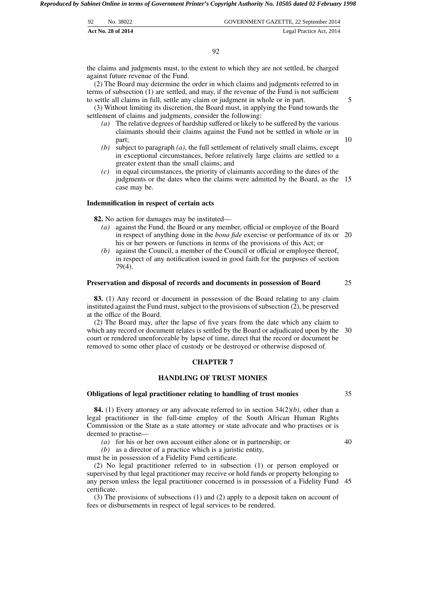| 92 | No. 38022          | GOVERNMENT GAZETTE, 22 September 2014 |
|----|--------------------|---------------------------------------|
|    | Act No. 28 of 2014 | Legal Practice Act, 2014              |

the claims and judgments must, to the extent to which they are not settled, be charged against future revenue of the Fund.

(2) The Board may determine the order in which claims and judgments referred to in terms of subsection (1) are settled, and may, if the revenue of the Fund is not sufficient to settle all claims in full, settle any claim or judgment in whole or in part.

(3) Without limiting its discretion, the Board must, in applying the Fund towards the settlement of claims and judgments, consider the following:

- *(a)* The relative degrees of hardship suffered or likely to be suffered by the various claimants should their claims against the Fund not be settled in whole or in part;
- *(b)* subject to paragraph *(a)*, the full settlement of relatively small claims, except in exceptional circumstances, before relatively large claims are settled to a greater extent than the small claims; and
- *(c)* in equal circumstances, the priority of claimants according to the dates of the judgments or the dates when the claims were admitted by the Board, as the 15 case may be.

#### **Indemnification in respect of certain acts**

**82.** No action for damages may be instituted—

- *(a)* against the Fund, the Board or any member, official or employee of the Board in respect of anything done in the *bona fide* exercise or performance of its or 20 his or her powers or functions in terms of the provisions of this Act; or
- *(b)* against the Council, a member of the Council or official or employee thereof, in respect of any notification issued in good faith for the purposes of section 79(4).

#### **Preservation and disposal of records and documents in possession of Board** 25

**83.** (1) Any record or document in possession of the Board relating to any claim instituted against the Fund must, subject to the provisions of subsection (2), be preserved at the office of the Board.

(2) The Board may, after the lapse of five years from the date which any claim to which any record or document relates is settled by the Board or adjudicated upon by the 30 court or rendered unenforceable by lapse of time, direct that the record or document be removed to some other place of custody or be destroyed or otherwise disposed of.

# **CHAPTER 7**

# **HANDLING OF TRUST MONIES**

#### **Obligations of legal practitioner relating to handling of trust monies**

**84.** (1) Every attorney or any advocate referred to in section 34(2)*(b)*, other than a legal practitioner in the full-time employ of the South African Human Rights Commission or the State as a state attorney or state advocate and who practises or is deemed to practise—

*(a)* for his or her own account either alone or in partnership; or

40

35

*(b)* as a director of a practice which is a juristic entity,

must be in possession of a Fidelity Fund certificate.

(2) No legal practitioner referred to in subsection (1) or person employed or supervised by that legal practitioner may receive or hold funds or property belonging to any person unless the legal practitioner concerned is in possession of a Fidelity Fund 45 certificate.

(3) The provisions of subsections (1) and (2) apply to a deposit taken on account of fees or disbursements in respect of legal services to be rendered.

5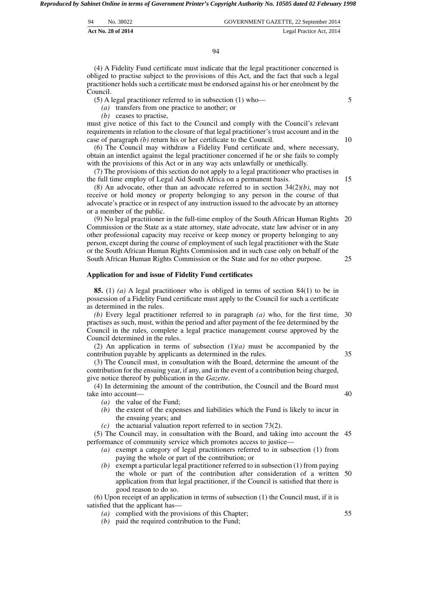| 94<br>GOVERNMENT GAZETTE, 22 September 2014<br>No. 38022 |  |
|----------------------------------------------------------|--|

94

(4) A Fidelity Fund certificate must indicate that the legal practitioner concerned is obliged to practise subject to the provisions of this Act, and the fact that such a legal practitioner holds such a certificate must be endorsed against his or her enrolment by the Council.

(5) A legal practitioner referred to in subsection (1) who—

*(a)* transfers from one practice to another; or

*(b)* ceases to practise,

must give notice of this fact to the Council and comply with the Council's relevant requirements in relation to the closure of that legal practitioner's trust account and in the case of paragraph *(b)* return his or her certificate to the Council.

(6) The Council may withdraw a Fidelity Fund certificate and, where necessary, obtain an interdict against the legal practitioner concerned if he or she fails to comply with the provisions of this Act or in any way acts unlawfully or unethically.

(7) The provisions of this section do not apply to a legal practitioner who practises in the full time employ of Legal Aid South Africa on a permanent basis.

(8) An advocate, other than an advocate referred to in section 34(2)*(b)*, may not receive or hold money or property belonging to any person in the course of that advocate's practice or in respect of any instruction issued to the advocate by an attorney or a member of the public.

(9) No legal practitioner in the full-time employ of the South African Human Rights Commission or the State as a state attorney, state advocate, state law adviser or in any other professional capacity may receive or keep money or property belonging to any person, except during the course of employment of such legal practitioner with the State or the South African Human Rights Commission and in such case only on behalf of the South African Human Rights Commission or the State and for no other purpose. 20 25

# **Application for and issue of Fidelity Fund certificates**

**85.** (1) *(a)* A legal practitioner who is obliged in terms of section 84(1) to be in possession of a Fidelity Fund certificate must apply to the Council for such a certificate as determined in the rules.

*(b)* Every legal practitioner referred to in paragraph *(a)* who, for the first time, 30 practises as such, must, within the period and after payment of the fee determined by the Council in the rules, complete a legal practice management course approved by the Council determined in the rules.

(2) An application in terms of subsection (1)*(a)* must be accompanied by the contribution payable by applicants as determined in the rules. 35

(3) The Council must, in consultation with the Board, determine the amount of the contribution for the ensuing year, if any, and in the event of a contribution being charged, give notice thereof by publication in the *Gazette*.

(4) In determining the amount of the contribution, the Council and the Board must take into account—

- *(a)* the value of the Fund;
- *(b)* the extent of the expenses and liabilities which the Fund is likely to incur in the ensuing years; and
- *(c)* the actuarial valuation report referred to in section 73(2).

(5) The Council may, in consultation with the Board, and taking into account the 45 performance of community service which promotes access to justice—

- *(a)* exempt a category of legal practitioners referred to in subsection (1) from paying the whole or part of the contribution; or
- *(b)* exempt a particular legal practitioner referred to in subsection (1) from paying the whole or part of the contribution after consideration of a written 50 application from that legal practitioner, if the Council is satisfied that there is good reason to do so.

(6) Upon receipt of an application in terms of subsection (1) the Council must, if it is satisfied that the applicant has—

- *(a)* complied with the provisions of this Chapter;
- *(b)* paid the required contribution to the Fund;

40

55

5

10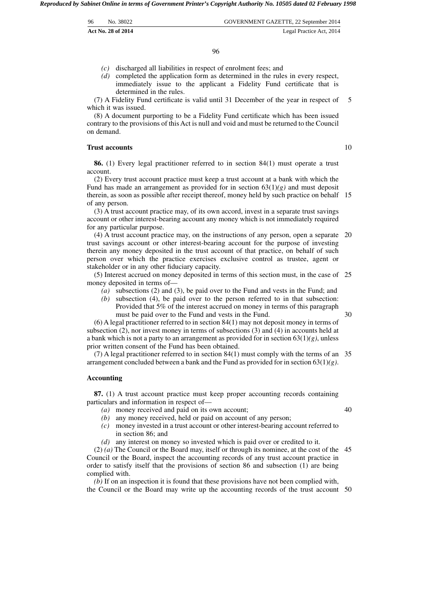| 96 | No. 38022          | GOVERNMENT GAZETTE, 22 September 2014 |
|----|--------------------|---------------------------------------|
|    | Act No. 28 of 2014 | Legal Practice Act, 2014              |

- *(c)* discharged all liabilities in respect of enrolment fees; and
- *(d)* completed the application form as determined in the rules in every respect, immediately issue to the applicant a Fidelity Fund certificate that is determined in the rules.

(7) A Fidelity Fund certificate is valid until 31 December of the year in respect of which it was issued. 5

(8) A document purporting to be a Fidelity Fund certificate which has been issued contrary to the provisions of this Act is null and void and must be returned to the Council on demand.

#### **Trust accounts**

10

**86.** (1) Every legal practitioner referred to in section 84(1) must operate a trust account.

(2) Every trust account practice must keep a trust account at a bank with which the Fund has made an arrangement as provided for in section  $63(1)(g)$  and must deposit therein, as soon as possible after receipt thereof, money held by such practice on behalf 15 of any person.

(3) A trust account practice may, of its own accord, invest in a separate trust savings account or other interest-bearing account any money which is not immediately required for any particular purpose.

(4) A trust account practice may, on the instructions of any person, open a separate 20 trust savings account or other interest-bearing account for the purpose of investing therein any money deposited in the trust account of that practice, on behalf of such person over which the practice exercises exclusive control as trustee, agent or stakeholder or in any other fiduciary capacity.

(5) Interest accrued on money deposited in terms of this section must, in the case of 25 money deposited in terms of—

- *(a)* subsections (2) and (3), be paid over to the Fund and vests in the Fund; and
- *(b)* subsection (4), be paid over to the person referred to in that subsection: Provided that 5% of the interest accrued on money in terms of this paragraph must be paid over to the Fund and vests in the Fund.

(6) A legal practitioner referred to in section 84(1) may not deposit money in terms of subsection (2), nor invest money in terms of subsections (3) and (4) in accounts held at a bank which is not a party to an arrangement as provided for in section 63(1)*(g)*, unless prior written consent of the Fund has been obtained.

(7) A legal practitioner referred to in section 84(1) must comply with the terms of an 35 arrangement concluded between a bank and the Fund as provided for in section 63(1)*(g)*.

#### **Accounting**

**87.** (1) A trust account practice must keep proper accounting records containing particulars and information in respect of—

*(a)* money received and paid on its own account;

40

- *(b)* any money received, held or paid on account of any person;
- *(c)* money invested in a trust account or other interest-bearing account referred to in section 86; and
- *(d)* any interest on money so invested which is paid over or credited to it.

(2) *(a)* The Council or the Board may, itself or through its nominee, at the cost of the 45 Council or the Board, inspect the accounting records of any trust account practice in order to satisfy itself that the provisions of section 86 and subsection (1) are being complied with.

*(b)* If on an inspection it is found that these provisions have not been complied with, the Council or the Board may write up the accounting records of the trust account 50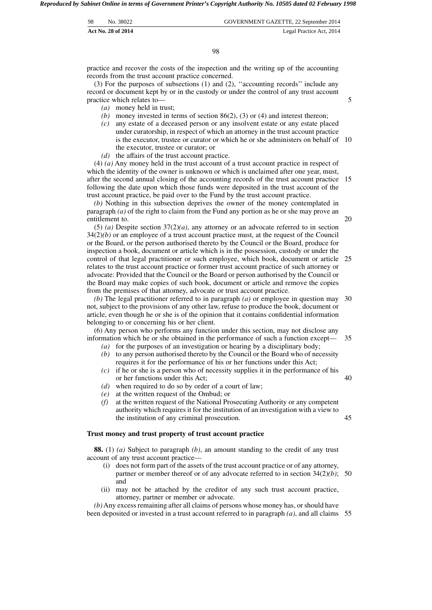| - 98 | No. 38022          | GOVERNMENT GAZETTE, 22 September 2014 |
|------|--------------------|---------------------------------------|
|      | Act No. 28 of 2014 | Legal Practice Act, 2014              |

98

practice and recover the costs of the inspection and the writing up of the accounting records from the trust account practice concerned.

(3) For the purposes of subsections (1) and (2), ''accounting records'' include any record or document kept by or in the custody or under the control of any trust account practice which relates to—

- *(a)* money held in trust;
- *(b)* money invested in terms of section 86(2), (3) or (4) and interest thereon;
- *(c)* any estate of a deceased person or any insolvent estate or any estate placed under curatorship, in respect of which an attorney in the trust account practice is the executor, trustee or curator or which he or she administers on behalf of 10 the executor, trustee or curator; or
- *(d)* the affairs of the trust account practice.

(4) *(a)* Any money held in the trust account of a trust account practice in respect of which the identity of the owner is unknown or which is unclaimed after one year, must, after the second annual closing of the accounting records of the trust account practice 15 following the date upon which those funds were deposited in the trust account of the trust account practice, be paid over to the Fund by the trust account practice.

*(b)* Nothing in this subsection deprives the owner of the money contemplated in paragraph *(a)* of the right to claim from the Fund any portion as he or she may prove an entitlement to.

(5) *(a)* Despite section  $37(2)(a)$ , any attorney or an advocate referred to in section  $34(2)(b)$  or an employee of a trust account practice must, at the request of the Council or the Board, or the person authorised thereto by the Council or the Board, produce for inspection a book, document or article which is in the possession, custody or under the control of that legal practitioner or such employee, which book, document or article relates to the trust account practice or former trust account practice of such attorney or advocate: Provided that the Council or the Board or person authorised by the Council or the Board may make copies of such book, document or article and remove the copies from the premises of that attorney, advocate or trust account practice. 25

*(b)* The legal practitioner referred to in paragraph *(a)* or employee in question may not, subject to the provisions of any other law, refuse to produce the book, document or article, even though he or she is of the opinion that it contains confidential information belonging to or concerning his or her client. 30

(6) Any person who performs any function under this section, may not disclose any information which he or she obtained in the performance of such a function except— 35

- *(a)* for the purposes of an investigation or hearing by a disciplinary body;
- *(b)* to any person authorised thereto by the Council or the Board who of necessity requires it for the performance of his or her functions under this Act;
- *(c)* if he or she is a person who of necessity supplies it in the performance of his or her functions under this Act; 40
- *(d)* when required to do so by order of a court of law;
- *(e)* at the written request of the Ombud; or
- *(f)* at the written request of the National Prosecuting Authority or any competent authority which requires it for the institution of an investigation with a view to the institution of any criminal prosecution. 45

#### **Trust money and trust property of trust account practice**

**88.** (1) *(a)* Subject to paragraph *(b)*, an amount standing to the credit of any trust account of any trust account practice—

- (i) does not form part of the assets of the trust account practice or of any attorney, partner or member thereof or of any advocate referred to in section 34(2)*(b)*; 50 and
- (ii) may not be attached by the creditor of any such trust account practice, attorney, partner or member or advocate.

*(b)*Any excess remaining after all claims of persons whose money has, or should have been deposited or invested in a trust account referred to in paragraph *(a)*, and all claims 55

20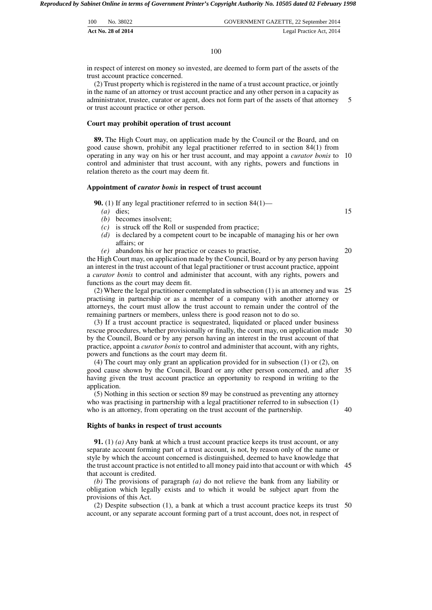| 100 | No. 38022                 | GOVERNMENT GAZETTE, 22 September 2014 |
|-----|---------------------------|---------------------------------------|
|     | <b>Act No. 28 of 2014</b> | Legal Practice Act, 2014              |

in respect of interest on money so invested, are deemed to form part of the assets of the trust account practice concerned.

(2) Trust property which is registered in the name of a trust account practice, or jointly in the name of an attorney or trust account practice and any other person in a capacity as administrator, trustee, curator or agent, does not form part of the assets of that attorney or trust account practice or other person. 5

#### **Court may prohibit operation of trust account**

**89.** The High Court may, on application made by the Council or the Board, and on good cause shown, prohibit any legal practitioner referred to in section 84(1) from operating in any way on his or her trust account, and may appoint a *curator bonis* to 10 control and administer that trust account, with any rights, powers and functions in relation thereto as the court may deem fit.

#### **Appointment of** *curator bonis* **in respect of trust account**

**90.** (1) If any legal practitioner referred to in section 84(1)—

- *(a)* dies;
- *(b)* becomes insolvent;
- *(c)* is struck off the Roll or suspended from practice;
- *(d)* is declared by a competent court to be incapable of managing his or her own affairs; or
- *(e)* abandons his or her practice or ceases to practise,

the High Court may, on application made by the Council, Board or by any person having an interest in the trust account of that legal practitioner or trust account practice, appoint a *curator bonis* to control and administer that account, with any rights, powers and functions as the court may deem fit.

(2) Where the legal practitioner contemplated in subsection (1) is an attorney and was 25 practising in partnership or as a member of a company with another attorney or attorneys, the court must allow the trust account to remain under the control of the remaining partners or members, unless there is good reason not to do so.

(3) If a trust account practice is sequestrated, liquidated or placed under business rescue procedures, whether provisionally or finally, the court may, on application made 30 by the Council, Board or by any person having an interest in the trust account of that practice, appoint a *curator bonis* to control and administer that account, with any rights, powers and functions as the court may deem fit.

(4) The court may only grant an application provided for in subsection (1) or (2), on good cause shown by the Council, Board or any other person concerned, and after 35 having given the trust account practice an opportunity to respond in writing to the application.

(5) Nothing in this section or section 89 may be construed as preventing any attorney who was practising in partnership with a legal practitioner referred to in subsection (1) who is an attorney, from operating on the trust account of the partnership.

#### **Rights of banks in respect of trust accounts**

**91.** (1) *(a)* Any bank at which a trust account practice keeps its trust account, or any separate account forming part of a trust account, is not, by reason only of the name or style by which the account concerned is distinguished, deemed to have knowledge that the trust account practice is not entitled to all money paid into that account or with which 45 that account is credited.

*(b)* The provisions of paragraph *(a)* do not relieve the bank from any liability or obligation which legally exists and to which it would be subject apart from the provisions of this Act.

(2) Despite subsection (1), a bank at which a trust account practice keeps its trust 50 account, or any separate account forming part of a trust account, does not, in respect of

15

20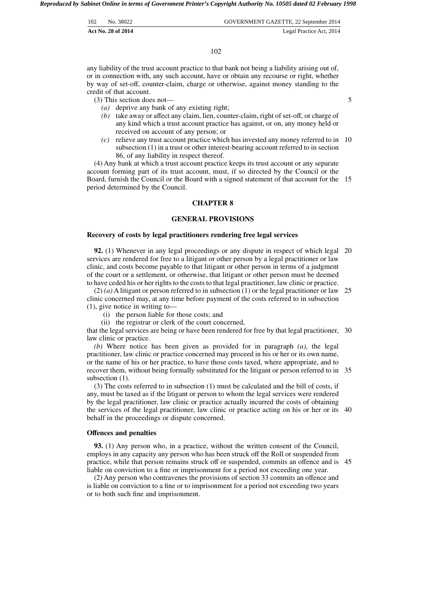| 102 | No. 38022          | GOVERNMENT GAZETTE, 22 September 2014 |
|-----|--------------------|---------------------------------------|
|     | Act No. 28 of 2014 | Legal Practice Act, 2014              |

102

any liability of the trust account practice to that bank not being a liability arising out of, or in connection with, any such account, have or obtain any recourse or right, whether by way of set-off, counter-claim, charge or otherwise, against money standing to the credit of that account.

(3) This section does not—

- *(a)* deprive any bank of any existing right;
- *(b)* take away or affect any claim, lien, counter-claim, right of set-off, or charge of any kind which a trust account practice has against, or on, any money held or received on account of any person; or
- *(c)* relieve any trust account practice which has invested any money referred to in 10 subsection (1) in a trust or other interest-bearing account referred to in section 86, of any liability in respect thereof.

(4) Any bank at which a trust account practice keeps its trust account or any separate account forming part of its trust account, must, if so directed by the Council or the Board, furnish the Council or the Board with a signed statement of that account for the 15 period determined by the Council.

#### **CHAPTER 8**

# **GENERAL PROVISIONS**

#### **Recovery of costs by legal practitioners rendering free legal services**

**92.** (1) Whenever in any legal proceedings or any dispute in respect of which legal 20 services are rendered for free to a litigant or other person by a legal practitioner or law clinic, and costs become payable to that litigant or other person in terms of a judgment of the court or a settlement, or otherwise, that litigant or other person must be deemed to have ceded his or her rights to the costs to that legal practitioner, law clinic or practice.

 $(2)$  *(a)* A litigant or person referred to in subsection (1) or the legal practitioner or law clinic concerned may, at any time before payment of the costs referred to in subsection (1), give notice in writing to— 25

- (i) the person liable for those costs; and
- (ii) the registrar or clerk of the court concerned,

that the legal services are being or have been rendered for free by that legal practitioner, 30 law clinic or practice.

*(b)* Where notice has been given as provided for in paragraph *(a)*, the legal practitioner, law clinic or practice concerned may proceed in his or her or its own name, or the name of his or her practice, to have those costs taxed, where appropriate, and to recover them, without being formally substituted for the litigant or person referred to in 35 subsection  $(1)$ .

(3) The costs referred to in subsection (1) must be calculated and the bill of costs, if any, must be taxed as if the litigant or person to whom the legal services were rendered by the legal practitioner, law clinic or practice actually incurred the costs of obtaining the services of the legal practitioner, law clinic or practice acting on his or her or its 40 behalf in the proceedings or dispute concerned.

#### **Offences and penalties**

**93.** (1) Any person who, in a practice, without the written consent of the Council, employs in any capacity any person who has been struck off the Roll or suspended from practice, while that person remains struck off or suspended, commits an offence and is 45 liable on conviction to a fine or imprisonment for a period not exceeding one year.

(2) Any person who contravenes the provisions of section 33 commits an offence and is liable on conviction to a fine or to imprisonment for a period not exceeding two years or to both such fine and imprisonment.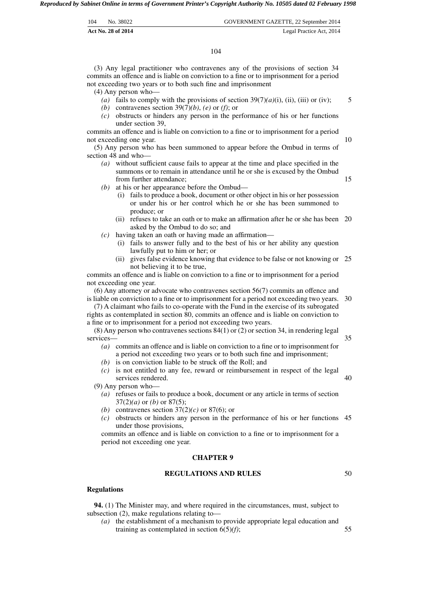| 104 | No. 38022          | GOVERNMENT GAZETTE, 22 September 2014 |
|-----|--------------------|---------------------------------------|
|     | Act No. 28 of 2014 | Legal Practice Act, 2014              |

(3) Any legal practitioner who contravenes any of the provisions of section 34 commits an offence and is liable on conviction to a fine or to imprisonment for a period not exceeding two years or to both such fine and imprisonment

(4) Any person who—

(a) fails to comply with the provisions of section  $39(7)(a)(i)$ , (ii), (iii) or (iv);

5

10

15

50

- *(b)* contravenes section 39(7)*(b)*, *(e)* or *(f)*; or
- *(c)* obstructs or hinders any person in the performance of his or her functions under section 39,

commits an offence and is liable on conviction to a fine or to imprisonment for a period not exceeding one year.

(5) Any person who has been summoned to appear before the Ombud in terms of section 48 and who—

- *(a)* without sufficient cause fails to appear at the time and place specified in the summons or to remain in attendance until he or she is excused by the Ombud from further attendance;
- *(b)* at his or her appearance before the Ombud—
	- (i) fails to produce a book, document or other object in his or her possession or under his or her control which he or she has been summoned to produce; or
	- (ii) refuses to take an oath or to make an affirmation after he or she has been 20 asked by the Ombud to do so; and
- *(c)* having taken an oath or having made an affirmation—
	- (i) fails to answer fully and to the best of his or her ability any question lawfully put to him or her; or
	- (ii) gives false evidence knowing that evidence to be false or not knowing or 25 not believing it to be true,

commits an offence and is liable on conviction to a fine or to imprisonment for a period not exceeding one year.

(6) Any attorney or advocate who contravenes section 56(7) commits an offence and is liable on conviction to a fine or to imprisonment for a period not exceeding two years. 30

(7) A claimant who fails to co-operate with the Fund in the exercise of its subrogated rights as contemplated in section 80, commits an offence and is liable on conviction to a fine or to imprisonment for a period not exceeding two years.

(8) Any person who contravenes sections 84(1) or (2) or section 34, in rendering legal services— 35

- *(a)* commits an offence and is liable on conviction to a fine or to imprisonment for a period not exceeding two years or to both such fine and imprisonment;
- *(b)* is on conviction liable to be struck off the Roll; and
- *(c)* is not entitled to any fee, reward or reimbursement in respect of the legal services rendered. 40

(9) Any person who—

- *(a)* refuses or fails to produce a book, document or any article in terms of section 37(2)*(a)* or *(b)* or 87(5);
- *(b)* contravenes section 37(2)*(c)* or 87(6); or
- *(c)* obstructs or hinders any person in the performance of his or her functions 45 under those provisions,

commits an offence and is liable on conviction to a fine or to imprisonment for a period not exceeding one year.

# **CHAPTER 9**

# **REGULATIONS AND RULES**

#### **Regulations**

**94.** (1) The Minister may, and where required in the circumstances, must, subject to subsection (2), make regulations relating to—

*(a)* the establishment of a mechanism to provide appropriate legal education and training as contemplated in section 6(5)*(f)*; 55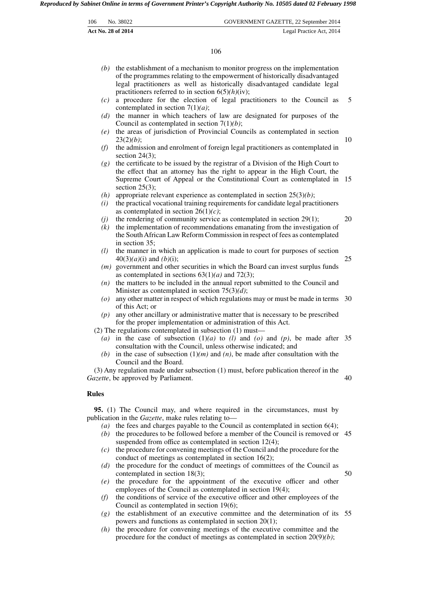|     | Act No. 28 of 2014 | Legal Practice Act, 2014              |  |
|-----|--------------------|---------------------------------------|--|
| 106 | No. 38022          | GOVERNMENT GAZETTE, 22 September 2014 |  |

106

- *(b)* the establishment of a mechanism to monitor progress on the implementation of the programmes relating to the empowerment of historically disadvantaged legal practitioners as well as historically disadvantaged candidate legal practitioners referred to in section 6(5)*(h)*(iv);
- *(c)* a procedure for the election of legal practitioners to the Council as contemplated in section 7(1)*(a)*; 5
- *(d)* the manner in which teachers of law are designated for purposes of the Council as contemplated in section 7(1)*(b)*;
- *(e)* the areas of jurisdiction of Provincial Councils as contemplated in section 23(2)*(b)*; 10
- *(f)* the admission and enrolment of foreign legal practitioners as contemplated in section 24(3);
- *(g)* the certificate to be issued by the registrar of a Division of the High Court to the effect that an attorney has the right to appear in the High Court, the Supreme Court of Appeal or the Constitutional Court as contemplated in 15 section  $25(3)$ ;
- *(h)* appropriate relevant experience as contemplated in section 25(3)*(b)*;
- *(i)* the practical vocational training requirements for candidate legal practitioners as contemplated in section 26(1)*(c)*;
- the rendering of community service as contemplated in section 29(1);
- *(k)* the implementation of recommendations emanating from the investigation of the South African Law Reform Commission in respect of fees as contemplated in section 35;
- *(l)* the manner in which an application is made to court for purposes of section 40(3)*(a)*(i) and *(b)*(i);
- *(m)* government and other securities in which the Board can invest surplus funds as contemplated in sections 63(1)*(a)* and 72(3);
- *(n)* the matters to be included in the annual report submitted to the Council and Minister as contemplated in section 75(3)*(d)*;
- *(o)* any other matter in respect of which regulations may or must be made in terms 30 of this Act; or
- *(p)* any other ancillary or administrative matter that is necessary to be prescribed for the proper implementation or administration of this Act.

(2) The regulations contemplated in subsection (1) must—

- (a) in the case of subsection  $(1)(a)$  to *(l)* and *(o)* and *(p)*, be made after 35 consultation with the Council, unless otherwise indicated; and
- *(b)* in the case of subsection  $(1)(m)$  and  $(n)$ , be made after consultation with the Council and the Board.

(3) Any regulation made under subsection (1) must, before publication thereof in the *Gazette*, be approved by Parliament. 40

#### **Rules**

**95.** (1) The Council may, and where required in the circumstances, must by publication in the *Gazette*, make rules relating to—

- *(a)* the fees and charges payable to the Council as contemplated in section 6(4); *(b)* the procedures to be followed before a member of the Council is removed or 45
- suspended from office as contemplated in section 12(4);
- *(c)* the procedure for convening meetings of the Council and the procedure for the conduct of meetings as contemplated in section 16(2);
- *(d)* the procedure for the conduct of meetings of committees of the Council as contemplated in section 18(3);
- *(e)* the procedure for the appointment of the executive officer and other employees of the Council as contemplated in section 19(4);
- *(f)* the conditions of service of the executive officer and other employees of the Council as contemplated in section 19(6);
- *(g)* the establishment of an executive committee and the determination of its 55 powers and functions as contemplated in section 20(1);
- *(h)* the procedure for convening meetings of the executive committee and the procedure for the conduct of meetings as contemplated in section 20(9)*(b)*;

20

25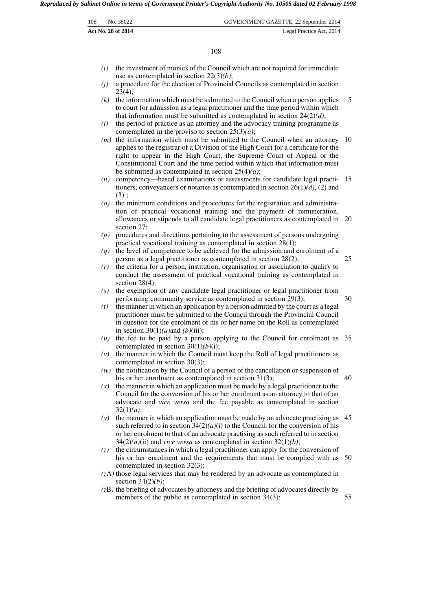|     | <b>Act No. 28 of 2014</b> | Legal Practice Act, 2014              |
|-----|---------------------------|---------------------------------------|
| 108 | No. 38022                 | GOVERNMENT GAZETTE, 22 September 2014 |

108

- *(i)* the investment of monies of the Council which are not required for immediate use as contemplated in section 22(3)*(b)*;
- *(j)* a procedure for the election of Provincial Councils as contemplated in section  $2\bar{3}(4)$ ;
- *(k)* the information which must be submitted to the Council when a person applies to court for admission as a legal practitioner and the time period within which that information must be submitted as contemplated in section 24(2)*(d)*; 5
- *(l)* the period of practice as an attorney and the advocacy training programme as contemplated in the proviso to section 25(3)*(a)*;
- *(m)* the information which must be submitted to the Council when an attorney 10 applies to the registrar of a Division of the High Court for a certificate for the right to appear in the High Court, the Supreme Court of Appeal or the Constitutional Court and the time period within which that information must be submitted as contemplated in section 25(4)*(a)*;
- *(n)* competency—based examinations or assessments for candidate legal practi-15 tioners, conveyancers or notaries as contemplated in section 26(1)*(d)*, (2) and  $(3)$  :
- *(o)* the minimum conditions and procedures for the registration and administration of practical vocational training and the payment of remuneration, allowances or stipends to all candidate legal practitioners as contemplated in 20 section 27;
- *(p)* procedures and directions pertaining to the assessment of persons undergoing practical vocational training as contemplated in section 28(1);
- *(q)* the level of competence to be achieved for the admission and enrolment of a person as a legal practitioner as contemplated in section 28(2);
- *(r)* the criteria for a person, institution, organisation or association to qualify to conduct the assessment of practical vocational training as contemplated in section 28(4):
- *(s)* the exemption of any candidate legal practitioner or legal practitioner from performing community service as contemplated in section 29(3);
- *(t)* the manner in which an application by a person admitted by the court as a legal practitioner must be submitted to the Council through the Provincial Council in question for the enrolment of his or her name on the Roll as contemplated in section  $30(1)(a)$ and *(b)*(iii);
- *(u)* the fee to be paid by a person applying to the Council for enrolment as 35 contemplated in section 30(1)*(b)*(i);
- *(v)* the manner in which the Council must keep the Roll of legal practitioners as contemplated in section 30(3);
- *(w)* the notification by the Council of a person of the cancellation or suspension of his or her enrolment as contemplated in section 31(3); 40
- *(x)* the manner in which an application must be made by a legal practitioner to the Council for the conversion of his or her enrolment as an attorney to that of an advocate and *vice versa* and the fee payable as contemplated in section 32(1)*(a)*;
- *(y)* the manner in which an application must be made by an advocate practising as 45 such referred to in section  $34(2)(a)(i)$  to the Council, for the conversion of his or her enrolment to that of an advocate practising as such referred to in section  $34(2)(a)(ii)$  and *vice versa* as contemplated in section  $32(1)(b)$ ;
- *(z)* the circumstances in which a legal practitioner can apply for the conversion of his or her enrolment and the requirements that must be complied with as 50 contemplated in section 32(3);
- *(z*A*)* those legal services that may be rendered by an advocate as contemplated in section 34(2)*(b)*;
- *(z*B*)* the briefing of advocates by attorneys and the briefing of advocates directly by members of the public as contemplated in section 34(3);

30

55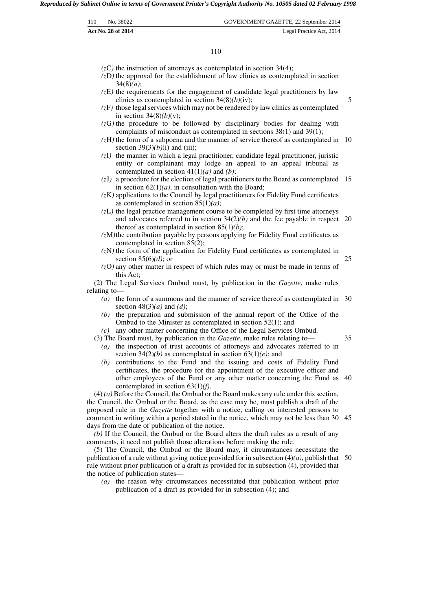| 110 | No. 38022          | GOVERNMENT GAZETTE, 22 September 2014 |
|-----|--------------------|---------------------------------------|
|     | Act No. 28 of 2014 | Legal Practice Act, 2014              |

#### 110

- $(zC)$  the instruction of attorneys as contemplated in section 34(4);
- *(z*D*)* the approval for the establishment of law clinics as contemplated in section 34(8)*(a)*;
- *(z*E*)* the requirements for the engagement of candidate legal practitioners by law clinics as contemplated in section 34(8)*(b)*(iv);

5

25

35

- *(z*F*)* those legal services which may not be rendered by law clinics as contemplated in section 34(8)*(b)*(v);
- *(z*G*)* the procedure to be followed by disciplinary bodies for dealing with complaints of misconduct as contemplated in sections 38(1) and 39(1);
- *(z*H*)* the form of a subpoena and the manner of service thereof as contemplated in 10 section  $39(3)(b)(i)$  and (iii);
- *(z*I*)* the manner in which a legal practitioner, candidate legal practitioner, juristic entity or complainant may lodge an appeal to an appeal tribunal as contemplated in section 41(1)*(a)* and *(b)*;
- *(z*J*)* a procedure for the election of legal practitioners to the Board as contemplated 15 in section  $62(1)(a)$ , in consultation with the Board;
- *(z*K*)* applications to the Council by legal practitioners for Fidelity Fund certificates as contemplated in section 85(1)*(a)*;
- *(z*L*)* the legal practice management course to be completed by first time attorneys and advocates referred to in section  $34(2)(b)$  and the fee payable in respect 20 thereof as contemplated in section 85(1)*(b)*;
- *(z*M*)*the contribution payable by persons applying for Fidelity Fund certificates as contemplated in section 85(2);
- *(z*N*)* the form of the application for Fidelity Fund certificates as contemplated in section 85(6)*(d)*; or
- *(z*O*)* any other matter in respect of which rules may or must be made in terms of this Act;

(2) The Legal Services Ombud must, by publication in the *Gazette*, make rules relating to—

- *(a)* the form of a summons and the manner of service thereof as contemplated in 30 section 48(3)*(a)* and *(d)*;
- *(b)* the preparation and submission of the annual report of the Office of the Ombud to the Minister as contemplated in section 52(1); and
- *(c)* any other matter concerning the Office of the Legal Services Ombud.
- (3) The Board must, by publication in the *Gazette*, make rules relating to—
	- *(a)* the inspection of trust accounts of attorneys and advocates referred to in section  $34(2)(b)$  as contemplated in section  $63(1)(e)$ ; and
	- *(b)* contributions to the Fund and the issuing and costs of Fidelity Fund certificates, the procedure for the appointment of the executive officer and other employees of the Fund or any other matter concerning the Fund as 40 contemplated in section 63(1)*(f)*.

(4) *(a)* Before the Council, the Ombud or the Board makes any rule under this section, the Council, the Ombud or the Board, as the case may be, must publish a draft of the proposed rule in the *Gazette* together with a notice, calling on interested persons to comment in writing within a period stated in the notice, which may not be less than 30 45 days from the date of publication of the notice.

*(b)* If the Council, the Ombud or the Board alters the draft rules as a result of any comments, it need not publish those alterations before making the rule.

(5) The Council, the Ombud or the Board may, if circumstances necessitate the publication of a rule without giving notice provided for in subsection  $(4)(a)$ , publish that 50 rule without prior publication of a draft as provided for in subsection (4), provided that the notice of publication states—

*(a)* the reason why circumstances necessitated that publication without prior publication of a draft as provided for in subsection (4); and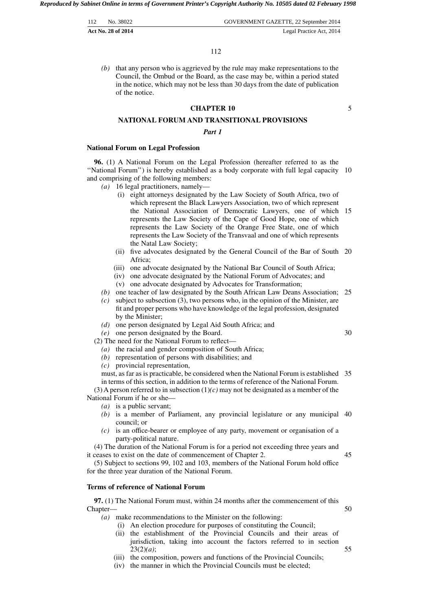| 112 | No. 38022          | GOVERNMENT GAZETTE, 22 September 2014 |
|-----|--------------------|---------------------------------------|
|     | Act No. 28 of 2014 | Legal Practice Act, 2014              |

*(b)* that any person who is aggrieved by the rule may make representations to the Council, the Ombud or the Board, as the case may be, within a period stated in the notice, which may not be less than 30 days from the date of publication of the notice.

# **CHAPTER 10**

5

# **NATIONAL FORUM AND TRANSITIONAL PROVISIONS**

#### *Part 1*

#### **National Forum on Legal Profession**

**96.** (1) A National Forum on the Legal Profession (hereafter referred to as the ''National Forum'') is hereby established as a body corporate with full legal capacity 10 and comprising of the following members:

- *(a)* 16 legal practitioners, namely—
	- (i) eight attorneys designated by the Law Society of South Africa, two of which represent the Black Lawyers Association, two of which represent the National Association of Democratic Lawyers, one of which 15 represents the Law Society of the Cape of Good Hope, one of which represents the Law Society of the Orange Free State, one of which represents the Law Society of the Transvaal and one of which represents the Natal Law Society;
	- (ii) five advocates designated by the General Council of the Bar of South 20 Africa;
	- (iii) one advocate designated by the National Bar Council of South Africa;
	- (iv) one advocate designated by the National Forum of Advocates; and
	- (v) one advocate designated by Advocates for Transformation;
- *(b)* one teacher of law designated by the South African Law Deans Association; 25
- *(c)* subject to subsection (3), two persons who, in the opinion of the Minister, are fit and proper persons who have knowledge of the legal profession, designated by the Minister;
- *(d)* one person designated by Legal Aid South Africa; and
- *(e)* one person designated by the Board.
- (2) The need for the National Forum to reflect—
	- *(a)* the racial and gender composition of South Africa;
	- *(b)* representation of persons with disabilities; and
	- *(c)* provincial representation,

must, as far as is practicable, be considered when the National Forum is established 35 in terms of this section, in addition to the terms of reference of the National Forum.

(3) A person referred to in subsection  $(1)(c)$  may not be designated as a member of the National Forum if he or she—

- *(a)* is a public servant;
- *(b)* is a member of Parliament, any provincial legislature or any municipal 40 council; or
- *(c)* is an office-bearer or employee of any party, movement or organisation of a party-political nature.

(4) The duration of the National Forum is for a period not exceeding three years and it ceases to exist on the date of commencement of Chapter 2. 45

(5) Subject to sections 99, 102 and 103, members of the National Forum hold office for the three year duration of the National Forum.

#### **Terms of reference of National Forum**

**97.** (1) The National Forum must, within 24 months after the commencement of this Chapter—

*(a)* make recommendations to the Minister on the following:

- (i) An election procedure for purposes of constituting the Council;
- (ii) the establishment of the Provincial Councils and their areas of jurisdiction, taking into account the factors referred to in section 23(2)*(a)*;
- (iii) the composition, powers and functions of the Provincial Councils;
- (iv) the manner in which the Provincial Councils must be elected;

30

50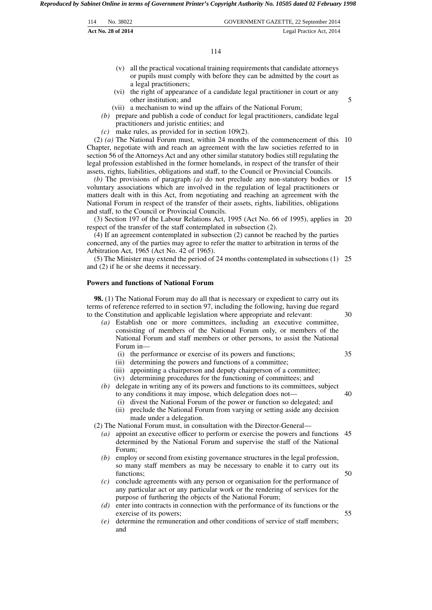| -114 | No. 38022          | GOVERNMENT GAZETTE, 22 September 2014 |
|------|--------------------|---------------------------------------|
|      | Act No. 28 of 2014 | Legal Practice Act, 2014              |

114

- (v) all the practical vocational training requirements that candidate attorneys or pupils must comply with before they can be admitted by the court as a legal practitioners;
- (vi) the right of appearance of a candidate legal practitioner in court or any other institution; and
- (vii) a mechanism to wind up the affairs of the National Forum;
- *(b)* prepare and publish a code of conduct for legal practitioners, candidate legal practitioners and juristic entities; and
- *(c)* make rules, as provided for in section 109(2).

(2) *(a)* The National Forum must, within 24 months of the commencement of this 10 Chapter, negotiate with and reach an agreement with the law societies referred to in section 56 of the Attorneys Act and any other similar statutory bodies still regulating the legal profession established in the former homelands, in respect of the transfer of their assets, rights, liabilities, obligations and staff, to the Council or Provincial Councils.

*(b)* The provisions of paragraph *(a)* do not preclude any non-statutory bodies or 15 voluntary associations which are involved in the regulation of legal practitioners or matters dealt with in this Act, from negotiating and reaching an agreement with the National Forum in respect of the transfer of their assets, rights, liabilities, obligations and staff, to the Council or Provincial Councils.

(3) Section 197 of the Labour Relations Act, 1995 (Act No. 66 of 1995), applies in 20 respect of the transfer of the staff contemplated in subsection (2).

(4) If an agreement contemplated in subsection (2) cannot be reached by the parties concerned, any of the parties may agree to refer the matter to arbitration in terms of the Arbitration Act, 1965 (Act No. 42 of 1965).

(5) The Minister may extend the period of 24 months contemplated in subsections (1) 25 and (2) if he or she deems it necessary.

# **Powers and functions of National Forum**

**98.** (1) The National Forum may do all that is necessary or expedient to carry out its terms of reference referred to in section 97, including the following, having due regard to the Constitution and applicable legislation where appropriate and relevant: 30

- *(a)* Establish one or more committees, including an executive committee, consisting of members of the National Forum only, or members of the National Forum and staff members or other persons, to assist the National Forum in—
	- (i) the performance or exercise of its powers and functions;
	- (ii) determining the powers and functions of a committee;
	- (iii) appointing a chairperson and deputy chairperson of a committee;
	- (iv) determining procedures for the functioning of committees; and
- *(b)* delegate in writing any of its powers and functions to its committees, subject to any conditions it may impose, which delegation does not—
	- (i) divest the National Forum of the power or function so delegated; and 40

35

50

55

5

(ii) preclude the National Forum from varying or setting aside any decision made under a delegation.

(2) The National Forum must, in consultation with the Director-General—

- *(a)* appoint an executive officer to perform or exercise the powers and functions 45 determined by the National Forum and supervise the staff of the National Forum;
- *(b)* employ or second from existing governance structures in the legal profession, so many staff members as may be necessary to enable it to carry out its functions:
- *(c)* conclude agreements with any person or organisation for the performance of any particular act or any particular work or the rendering of services for the purpose of furthering the objects of the National Forum;
- *(d)* enter into contracts in connection with the performance of its functions or the exercise of its powers;
- *(e)* determine the remuneration and other conditions of service of staff members; and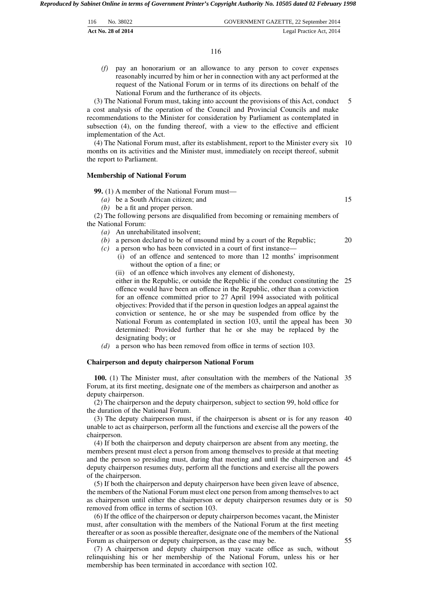| 116 | No. 38022                 | GOVERNMENT GAZETTE, 22 September 2014 |
|-----|---------------------------|---------------------------------------|
|     | <b>Act No. 28 of 2014</b> | Legal Practice Act, 2014              |

*(f)* pay an honorarium or an allowance to any person to cover expenses reasonably incurred by him or her in connection with any act performed at the request of the National Forum or in terms of its directions on behalf of the National Forum and the furtherance of its objects.

(3) The National Forum must, taking into account the provisions of this Act, conduct a cost analysis of the operation of the Council and Provincial Councils and make recommendations to the Minister for consideration by Parliament as contemplated in subsection (4), on the funding thereof, with a view to the effective and efficient implementation of the Act. 5

(4) The National Forum must, after its establishment, report to the Minister every six 10 months on its activities and the Minister must, immediately on receipt thereof, submit the report to Parliament.

#### **Membership of National Forum**

**99.** (1) A member of the National Forum must—

*(a)* be a South African citizen; and

*(b)* be a fit and proper person.

(2) The following persons are disqualified from becoming or remaining members of the National Forum:

- *(a)* An unrehabilitated insolvent;
- *(b)* a person declared to be of unsound mind by a court of the Republic;
- *(c)* a person who has been convicted in a court of first instance—
	- (i) of an offence and sentenced to more than 12 months' imprisonment without the option of a fine; or
	- (ii) of an offence which involves any element of dishonesty,

either in the Republic, or outside the Republic if the conduct constituting the 25 offence would have been an offence in the Republic, other than a conviction for an offence committed prior to 27 April 1994 associated with political objectives: Provided that if the person in question lodges an appeal against the conviction or sentence, he or she may be suspended from office by the National Forum as contemplated in section 103, until the appeal has been 30 determined: Provided further that he or she may be replaced by the designating body; or

*(d)* a person who has been removed from office in terms of section 103.

#### **Chairperson and deputy chairperson National Forum**

**100.** (1) The Minister must, after consultation with the members of the National 35 Forum, at its first meeting, designate one of the members as chairperson and another as deputy chairperson.

(2) The chairperson and the deputy chairperson, subject to section 99, hold office for the duration of the National Forum.

(3) The deputy chairperson must, if the chairperson is absent or is for any reason 40 unable to act as chairperson, perform all the functions and exercise all the powers of the chairperson.

(4) If both the chairperson and deputy chairperson are absent from any meeting, the members present must elect a person from among themselves to preside at that meeting and the person so presiding must, during that meeting and until the chairperson and deputy chairperson resumes duty, perform all the functions and exercise all the powers of the chairperson. 45

(5) If both the chairperson and deputy chairperson have been given leave of absence, the members of the National Forum must elect one person from among themselves to act as chairperson until either the chairperson or deputy chairperson resumes duty or is 50 removed from office in terms of section 103.

(6) If the office of the chairperson or deputy chairperson becomes vacant, the Minister must, after consultation with the members of the National Forum at the first meeting thereafter or as soon as possible thereafter, designate one of the members of the National Forum as chairperson or deputy chairperson, as the case may be.

(7) A chairperson and deputy chairperson may vacate office as such, without relinquishing his or her membership of the National Forum, unless his or her membership has been terminated in accordance with section 102.

15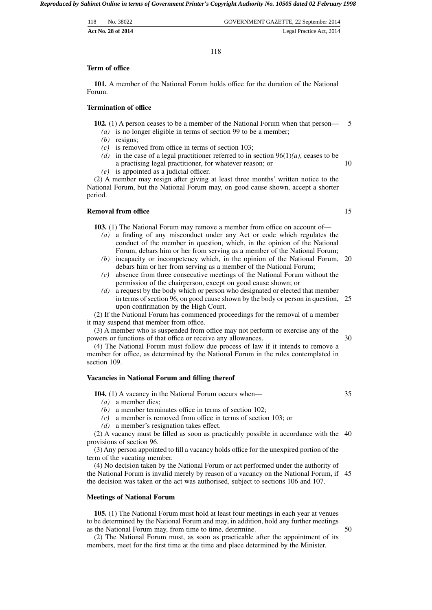| 118 | No. 38022          | GOVERNMENT GAZETTE, 22 September 2014 |
|-----|--------------------|---------------------------------------|
|     | Act No. 28 of 2014 | Legal Practice Act, 2014              |

118

#### **Term of office**

**101.** A member of the National Forum holds office for the duration of the National Forum.

# **Termination of office**

**102.** (1) A person ceases to be a member of the National Forum when that person— 5

- *(a)* is no longer eligible in terms of section 99 to be a member;
- *(b)* resigns;
- *(c)* is removed from office in terms of section 103;
- *(d)* in the case of a legal practitioner referred to in section 96(1)*(a)*, ceases to be a practising legal practitioner, for whatever reason; or 10
- *(e)* is appointed as a judicial officer.

(2) A member may resign after giving at least three months' written notice to the National Forum, but the National Forum may, on good cause shown, accept a shorter period.

#### **Removal from office**

**103.** (1) The National Forum may remove a member from office on account of-

- *(a)* a finding of any misconduct under any Act or code which regulates the conduct of the member in question, which, in the opinion of the National Forum, debars him or her from serving as a member of the National Forum;
- *(b)* incapacity or incompetency which, in the opinion of the National Forum, 20 debars him or her from serving as a member of the National Forum;
- *(c)* absence from three consecutive meetings of the National Forum without the permission of the chairperson, except on good cause shown; or
- *(d)* a request by the body which or person who designated or elected that member in terms of section 96, on good cause shown by the body or person in question, 25 upon confirmation by the High Court.

(2) If the National Forum has commenced proceedings for the removal of a member it may suspend that member from office.

(3) A member who is suspended from office may not perform or exercise any of the powers or functions of that office or receive any allowances.

(4) The National Forum must follow due process of law if it intends to remove a member for office, as determined by the National Forum in the rules contemplated in section 109.

#### **Vacancies in National Forum and filling thereof**

**104.** (1) A vacancy in the National Forum occurs when—

*(a)* a member dies;

*(b)* a member terminates office in terms of section 102;

*(c)* a member is removed from office in terms of section 103; or

*(d)* a member's resignation takes effect.

(2) A vacancy must be filled as soon as practicably possible in accordance with the 40 provisions of section 96.

(3) Any person appointed to fill a vacancy holds office for the unexpired portion of the term of the vacating member.

(4) No decision taken by the National Forum or act performed under the authority of the National Forum is invalid merely by reason of a vacancy on the National Forum, if 45 the decision was taken or the act was authorised, subject to sections 106 and 107.

#### **Meetings of National Forum**

**105.** (1) The National Forum must hold at least four meetings in each year at venues to be determined by the National Forum and may, in addition, hold any further meetings as the National Forum may, from time to time, determine.

(2) The National Forum must, as soon as practicable after the appointment of its members, meet for the first time at the time and place determined by the Minister.

50

30

35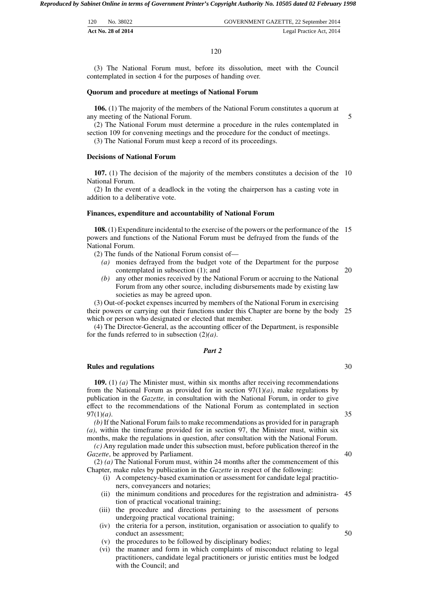| 120 | No. 38022          | GOVERNMENT GAZETTE, 22 September 2014 |
|-----|--------------------|---------------------------------------|
|     | Act No. 28 of 2014 | Legal Practice Act, 2014              |

(3) The National Forum must, before its dissolution, meet with the Council contemplated in section 4 for the purposes of handing over.

#### **Quorum and procedure at meetings of National Forum**

**106.** (1) The majority of the members of the National Forum constitutes a quorum at any meeting of the National Forum.

(2) The National Forum must determine a procedure in the rules contemplated in section 109 for convening meetings and the procedure for the conduct of meetings.

(3) The National Forum must keep a record of its proceedings.

#### **Decisions of National Forum**

**107.** (1) The decision of the majority of the members constitutes a decision of the 10 National Forum.

(2) In the event of a deadlock in the voting the chairperson has a casting vote in addition to a deliberative vote.

#### **Finances, expenditure and accountability of National Forum**

**108.** (1) Expenditure incidental to the exercise of the powers or the performance of the 15 powers and functions of the National Forum must be defrayed from the funds of the National Forum.

(2) The funds of the National Forum consist of—

- *(a)* monies defrayed from the budget vote of the Department for the purpose contemplated in subsection (1); and
- *(b)* any other monies received by the National Forum or accruing to the National Forum from any other source, including disbursements made by existing law societies as may be agreed upon.

(3) Out-of-pocket expenses incurred by members of the National Forum in exercising their powers or carrying out their functions under this Chapter are borne by the body 25 which or person who designated or elected that member.

(4) The Director-General, as the accounting officer of the Department, is responsible for the funds referred to in subsection (2)*(a)*.

#### *Part 2*

#### **Rules and regulations**

**109.** (1) *(a)* The Minister must, within six months after receiving recommendations from the National Forum as provided for in section 97(1)*(a)*, make regulations by publication in the *Gazette,* in consultation with the National Forum, in order to give effect to the recommendations of the National Forum as contemplated in section 97(1)*(a)*.

*(b)* If the National Forum fails to make recommendations as provided for in paragraph *(a)*, within the timeframe provided for in section 97, the Minister must, within six months, make the regulations in question, after consultation with the National Forum.

*(c)* Any regulation made under this subsection must, before publication thereof in the *Gazette*, be approved by Parliament.

(2) *(a)* The National Forum must, within 24 months after the commencement of this Chapter, make rules by publication in the *Gazette* in respect of the following:

- (i) A competency-based examination or assessment for candidate legal practitioners, conveyancers and notaries;
- (ii) the minimum conditions and procedures for the registration and administra-45 tion of practical vocational training;
- (iii) the procedure and directions pertaining to the assessment of persons undergoing practical vocational training;
- (iv) the criteria for a person, institution, organisation or association to qualify to conduct an assessment; 50
- (v) the procedures to be followed by disciplinary bodies;
- (vi) the manner and form in which complaints of misconduct relating to legal practitioners, candidate legal practitioners or juristic entities must be lodged with the Council; and

30

20

35

40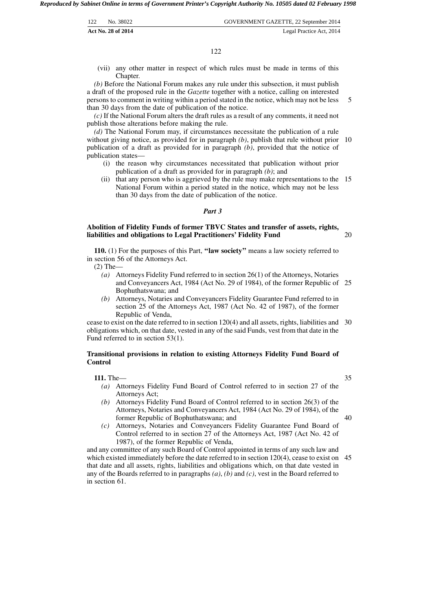| 122 | No. 38022          | GOVERNMENT GAZETTE, 22 September 2014 |
|-----|--------------------|---------------------------------------|
|     | Act No. 28 of 2014 | Legal Practice Act, 2014              |

(vii) any other matter in respect of which rules must be made in terms of this Chapter.

*(b)* Before the National Forum makes any rule under this subsection, it must publish a draft of the proposed rule in the *Gazette* together with a notice, calling on interested persons to comment in writing within a period stated in the notice, which may not be less than 30 days from the date of publication of the notice. 5

*(c)* If the National Forum alters the draft rules as a result of any comments, it need not publish those alterations before making the rule.

*(d)* The National Forum may, if circumstances necessitate the publication of a rule without giving notice, as provided for in paragraph (b), publish that rule without prior 10 publication of a draft as provided for in paragraph *(b)*, provided that the notice of publication states—

- (i) the reason why circumstances necessitated that publication without prior publication of a draft as provided for in paragraph *(b)*; and
- (ii) that any person who is aggrieved by the rule may make representations to the 15 National Forum within a period stated in the notice, which may not be less than 30 days from the date of publication of the notice.

#### *Part 3*

# **Abolition of Fidelity Funds of former TBVC States and transfer of assets, rights, liabilities and obligations to Legal Practitioners' Fidelity Fund**

**110.** (1) For the purposes of this Part, **''law society''** means a law society referred to in section 56 of the Attorneys Act.

(2) The—

- *(a)* Attorneys Fidelity Fund referred to in section 26(1) of the Attorneys, Notaries and Conveyancers Act, 1984 (Act No. 29 of 1984), of the former Republic of 25 Bophuthatswana; and
- *(b)* Attorneys, Notaries and Conveyancers Fidelity Guarantee Fund referred to in section 25 of the Attorneys Act, 1987 (Act No. 42 of 1987), of the former Republic of Venda,

cease to exist on the date referred to in section 120(4) and all assets, rights, liabilities and 30 obligations which, on that date, vested in any of the said Funds, vest from that date in the Fund referred to in section 53(1).

# **Transitional provisions in relation to existing Attorneys Fidelity Fund Board of Control**

**111.** The—

- *(a)* Attorneys Fidelity Fund Board of Control referred to in section 27 of the Attorneys Act;
- *(b)* Attorneys Fidelity Fund Board of Control referred to in section 26(3) of the Attorneys, Notaries and Conveyancers Act, 1984 (Act No. 29 of 1984), of the former Republic of Bophuthatswana; and
- *(c)* Attorneys, Notaries and Conveyancers Fidelity Guarantee Fund Board of Control referred to in section 27 of the Attorneys Act, 1987 (Act No. 42 of 1987), of the former Republic of Venda,

and any committee of any such Board of Control appointed in terms of any such law and which existed immediately before the date referred to in section 120(4), cease to exist on 45 that date and all assets, rights, liabilities and obligations which, on that date vested in any of the Boards referred to in paragraphs *(a)*, *(b)* and *(c)*, vest in the Board referred to in section 61.

40

35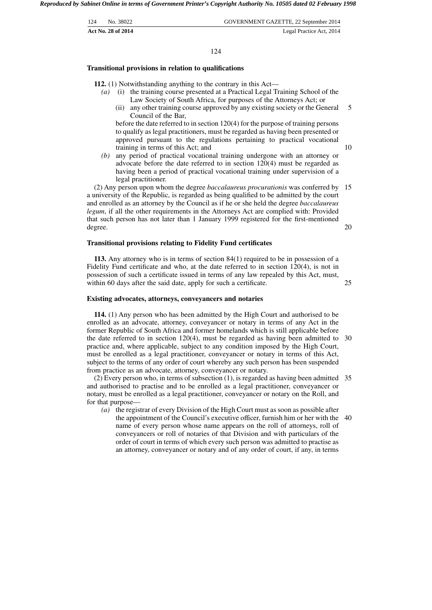| 124 | No. 38022          | GOVERNMENT GAZETTE, 22 September 2014 |
|-----|--------------------|---------------------------------------|
|     | Act No. 28 of 2014 | Legal Practice Act, 2014              |

#### 124

#### **Transitional provisions in relation to qualifications**

**112.** (1) Notwithstanding anything to the contrary in this Act—

- *(a)* (i) the training course presented at a Practical Legal Training School of the Law Society of South Africa, for purposes of the Attorneys Act; or
	- (ii) any other training course approved by any existing society or the General Council of the Bar, 5

before the date referred to in section 120(4) for the purpose of training persons to qualify as legal practitioners, must be regarded as having been presented or approved pursuant to the regulations pertaining to practical vocational training in terms of this Act; and

*(b)* any period of practical vocational training undergone with an attorney or advocate before the date referred to in section 120(4) must be regarded as having been a period of practical vocational training under supervision of a legal practitioner.

(2) Any person upon whom the degree *baccalaureus procurationis* was conferred by 15 a university of the Republic, is regarded as being qualified to be admitted by the court and enrolled as an attorney by the Council as if he or she held the degree *baccalaureus legum*, if all the other requirements in the Attorneys Act are complied with: Provided that such person has not later than 1 January 1999 registered for the first-mentioned degree. 20

#### **Transitional provisions relating to Fidelity Fund certificates**

**113.** Any attorney who is in terms of section 84(1) required to be in possession of a Fidelity Fund certificate and who, at the date referred to in section 120(4), is not in possession of such a certificate issued in terms of any law repealed by this Act, must, within 60 days after the said date, apply for such a certificate.

#### **Existing advocates, attorneys, conveyancers and notaries**

**114.** (1) Any person who has been admitted by the High Court and authorised to be enrolled as an advocate, attorney, conveyancer or notary in terms of any Act in the former Republic of South Africa and former homelands which is still applicable before the date referred to in section 120(4), must be regarded as having been admitted to 30 practice and, where applicable, subject to any condition imposed by the High Court, must be enrolled as a legal practitioner, conveyancer or notary in terms of this Act, subject to the terms of any order of court whereby any such person has been suspended from practice as an advocate, attorney, conveyancer or notary.

(2) Every person who, in terms of subsection (1), is regarded as having been admitted 35 and authorised to practise and to be enrolled as a legal practitioner, conveyancer or notary, must be enrolled as a legal practitioner, conveyancer or notary on the Roll, and for that purpose—

*(a)* the registrar of every Division of the High Court must as soon as possible after the appointment of the Council's executive officer, furnish him or her with the 40 name of every person whose name appears on the roll of attorneys, roll of conveyancers or roll of notaries of that Division and with particulars of the order of court in terms of which every such person was admitted to practise as an attorney, conveyancer or notary and of any order of court, if any, in terms

10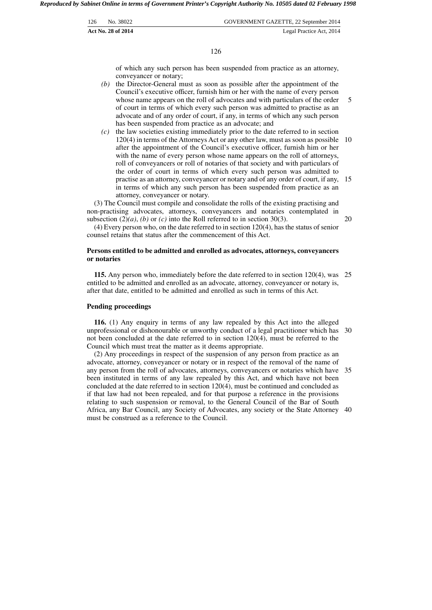| 126 | No. 38022          | GOVERNMENT GAZETTE, 22 September 2014 |
|-----|--------------------|---------------------------------------|
|     | Act No. 28 of 2014 | Legal Practice Act, 2014              |

126

of which any such person has been suspended from practice as an attorney, conveyancer or notary;

- *(b)* the Director-General must as soon as possible after the appointment of the Council's executive officer, furnish him or her with the name of every person whose name appears on the roll of advocates and with particulars of the order of court in terms of which every such person was admitted to practise as an advocate and of any order of court, if any, in terms of which any such person has been suspended from practice as an advocate; and 5
- *(c)* the law societies existing immediately prior to the date referred to in section 120(4) in terms of the Attorneys Act or any other law, must as soon as possible 10 after the appointment of the Council's executive officer, furnish him or her with the name of every person whose name appears on the roll of attorneys, roll of conveyancers or roll of notaries of that society and with particulars of the order of court in terms of which every such person was admitted to practise as an attorney, conveyancer or notary and of any order of court, if any, 15 in terms of which any such person has been suspended from practice as an attorney, conveyancer or notary.

(3) The Council must compile and consolidate the rolls of the existing practising and non-practising advocates, attorneys, conveyancers and notaries contemplated in subsection  $(2)(a)$ ,  $(b)$  or  $(c)$  into the Roll referred to in section 30(3).

(4) Every person who, on the date referred to in section 120(4), has the status of senior counsel retains that status after the commencement of this Act. 20

## **Persons entitled to be admitted and enrolled as advocates, attorneys, conveyancers or notaries**

**115.** Any person who, immediately before the date referred to in section 120(4), was 25 entitled to be admitted and enrolled as an advocate, attorney, conveyancer or notary is, after that date, entitled to be admitted and enrolled as such in terms of this Act.

#### **Pending proceedings**

**116.** (1) Any enquiry in terms of any law repealed by this Act into the alleged unprofessional or dishonourable or unworthy conduct of a legal practitioner which has 30 not been concluded at the date referred to in section 120(4), must be referred to the Council which must treat the matter as it deems appropriate.

(2) Any proceedings in respect of the suspension of any person from practice as an advocate, attorney, conveyancer or notary or in respect of the removal of the name of any person from the roll of advocates, attorneys, conveyancers or notaries which have 35 been instituted in terms of any law repealed by this Act, and which have not been concluded at the date referred to in section 120(4), must be continued and concluded as if that law had not been repealed, and for that purpose a reference in the provisions relating to such suspension or removal, to the General Council of the Bar of South Africa, any Bar Council, any Society of Advocates, any society or the State Attorney 40 must be construed as a reference to the Council.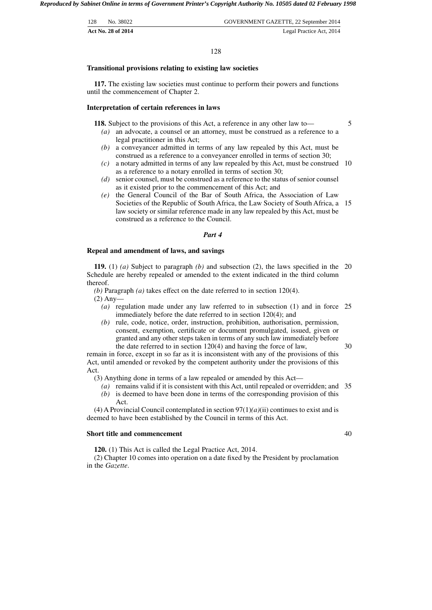| 128<br>No. 38022<br><b>Act No. 28 of 2014</b> | GOVERNMENT GAZETTE, 22 September 2014<br>Legal Practice Act, 2014 |
|-----------------------------------------------|-------------------------------------------------------------------|
|                                               |                                                                   |

#### 128

#### **Transitional provisions relating to existing law societies**

**117.** The existing law societies must continue to perform their powers and functions until the commencement of Chapter 2.

#### **Interpretation of certain references in laws**

**118.** Subject to the provisions of this Act, a reference in any other law to—

5

- *(a)* an advocate, a counsel or an attorney, must be construed as a reference to a legal practitioner in this Act;
- *(b)* a conveyancer admitted in terms of any law repealed by this Act, must be construed as a reference to a conveyancer enrolled in terms of section 30;
- *(c)* a notary admitted in terms of any law repealed by this Act, must be construed 10 as a reference to a notary enrolled in terms of section 30;
- *(d)* senior counsel, must be construed as a reference to the status of senior counsel as it existed prior to the commencement of this Act; and
- *(e)* the General Council of the Bar of South Africa, the Association of Law Societies of the Republic of South Africa, the Law Society of South Africa, a 15 law society or similar reference made in any law repealed by this Act, must be construed as a reference to the Council.

#### *Part 4*

#### **Repeal and amendment of laws, and savings**

**119.** (1) *(a)* Subject to paragraph *(b)* and subsection (2), the laws specified in the 20 Schedule are hereby repealed or amended to the extent indicated in the third column thereof.

*(b)* Paragraph *(a)* takes effect on the date referred to in section 120(4).

(2) Any—

- *(a)* regulation made under any law referred to in subsection (1) and in force 25 immediately before the date referred to in section 120(4); and
- *(b)* rule, code, notice, order, instruction, prohibition, authorisation, permission, consent, exemption, certificate or document promulgated, issued, given or granted and any other steps taken in terms of any such law immediately before the date referred to in section 120(4) and having the force of law,

remain in force, except in so far as it is inconsistent with any of the provisions of this Act, until amended or revoked by the competent authority under the provisions of this Act.

(3) Anything done in terms of a law repealed or amended by this Act—

- *(a)* remains valid if it is consistent with this Act, until repealed or overridden; and 35 *(b)* is deemed to have been done in terms of the corresponding provision of this
- Act.

(4) A Provincial Council contemplated in section 97(1)*(a)*(ii) continues to exist and is deemed to have been established by the Council in terms of this Act.

#### **Short title and commencement**

**120.** (1) This Act is called the Legal Practice Act, 2014.

(2) Chapter 10 comes into operation on a date fixed by the President by proclamation in the *Gazette*.

40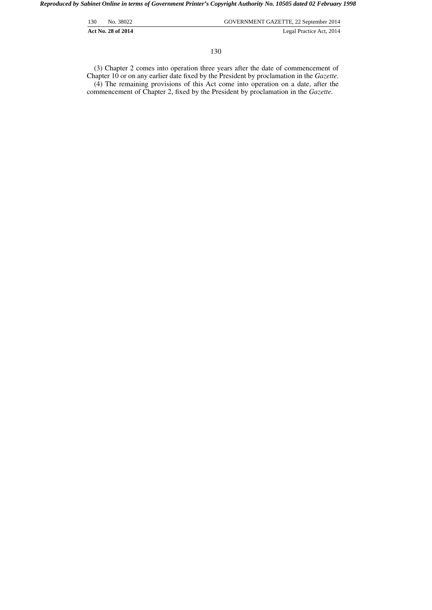| 130 | No. 38022                 | GOVERNMENT GAZETTE, 22 September 2014 |
|-----|---------------------------|---------------------------------------|
|     | <b>Act No. 28 of 2014</b> | Legal Practice Act, 2014              |

(3) Chapter 2 comes into operation three years after the date of commencement of Chapter 10 or on any earlier date fixed by the President by proclamation in the *Gazette*. (4) The remaining provisions of this Act come into operation on a date, after the commencement of Chapter 2, fixed by the President by proclamation in the *Gazette*.